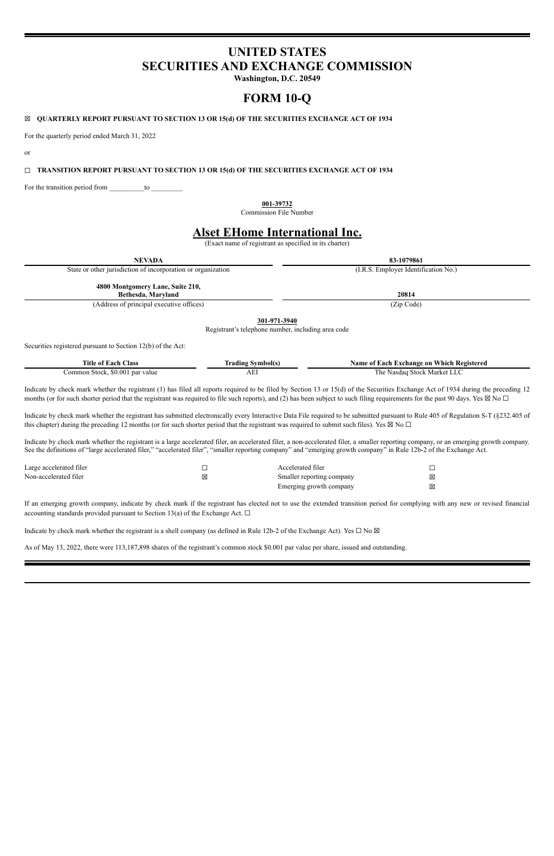# **UNITED STATES SECURITIES AND EXCHANGE COMMISSION**

**Washington, D.C. 20549**

# **FORM 10-Q**

# ☒ **QUARTERLY REPORT PURSUANT TO SECTION 13 OR 15(d) OF THE SECURITIES EXCHANGE ACT OF 1934**

For the quarterly period ended March 31, 2022

or

# ☐ **TRANSITION REPORT PURSUANT TO SECTION 13 OR 15(d) OF THE SECURITIES EXCHANGE ACT OF 1934**

For the transition period from \_\_\_\_\_\_\_\_\_\_to \_\_\_\_\_\_\_\_\_

**001-39732**

Commission File Number

# **Alset EHome International Inc.**

(Exact name of registrant as specified in its charter)

| <b>NEVADA</b>                                                                                                                                                                                                                                                                                                                     |        |                                                                    | 83-1079861                                                                                                                                                                                                                                                                                                                                                                    |  |  |  |  |  |
|-----------------------------------------------------------------------------------------------------------------------------------------------------------------------------------------------------------------------------------------------------------------------------------------------------------------------------------|--------|--------------------------------------------------------------------|-------------------------------------------------------------------------------------------------------------------------------------------------------------------------------------------------------------------------------------------------------------------------------------------------------------------------------------------------------------------------------|--|--|--|--|--|
| State or other jurisdiction of incorporation or organization                                                                                                                                                                                                                                                                      |        |                                                                    | (I.R.S. Employer Identification No.)                                                                                                                                                                                                                                                                                                                                          |  |  |  |  |  |
| 4800 Montgomery Lane, Suite 210,<br>Bethesda, Maryland                                                                                                                                                                                                                                                                            |        |                                                                    | 20814                                                                                                                                                                                                                                                                                                                                                                         |  |  |  |  |  |
| (Address of principal executive offices)                                                                                                                                                                                                                                                                                          |        |                                                                    | (Zip Code)                                                                                                                                                                                                                                                                                                                                                                    |  |  |  |  |  |
|                                                                                                                                                                                                                                                                                                                                   |        | 301-971-3940<br>Registrant's telephone number, including area code |                                                                                                                                                                                                                                                                                                                                                                               |  |  |  |  |  |
| Securities registered pursuant to Section 12(b) of the Act:                                                                                                                                                                                                                                                                       |        |                                                                    |                                                                                                                                                                                                                                                                                                                                                                               |  |  |  |  |  |
| <b>Title of Each Class</b>                                                                                                                                                                                                                                                                                                        |        | <b>Trading Symbol(s)</b>                                           | Name of Each Exchange on Which Registered                                                                                                                                                                                                                                                                                                                                     |  |  |  |  |  |
| Common Stock, \$0.001 par value                                                                                                                                                                                                                                                                                                   |        | <b>AEI</b>                                                         | The Nasdaq Stock Market LLC                                                                                                                                                                                                                                                                                                                                                   |  |  |  |  |  |
| this chapter) during the preceding 12 months (or for such shorter period that the registrant was required to submit such files). Yes $\boxtimes$ No $\Box$<br>See the definitions of "large accelerated filer," "accelerated filer", "smaller reporting company" and "emerging growth company" in Rule 12b-2 of the Exchange Act. |        |                                                                    | Indicate by check mark whether the registrant has submitted electronically every Interactive Data File required to be submitted pursuant to Rule 405 of Regulation S-T (§232.405 of<br>Indicate by check mark whether the registrant is a large accelerated filer, an accelerated filer, a non-accelerated filer, a smaller reporting company, or an emerging growth company. |  |  |  |  |  |
| Large accelerated filer                                                                                                                                                                                                                                                                                                           | $\Box$ | Accelerated filer                                                  | □                                                                                                                                                                                                                                                                                                                                                                             |  |  |  |  |  |
| Non-accelerated filer                                                                                                                                                                                                                                                                                                             | 区      | Smaller reporting company                                          | ⊠                                                                                                                                                                                                                                                                                                                                                                             |  |  |  |  |  |
|                                                                                                                                                                                                                                                                                                                                   |        | Emerging growth company                                            | 区                                                                                                                                                                                                                                                                                                                                                                             |  |  |  |  |  |
| accounting standards provided pursuant to Section 13(a) of the Exchange Act. $\Box$                                                                                                                                                                                                                                               |        |                                                                    | If an emerging growth company, indicate by check mark if the registrant has elected not to use the extended transition period for complying with any new or revised financial                                                                                                                                                                                                 |  |  |  |  |  |
| Indicate by check mark whether the registrant is a shell company (as defined in Rule 12b-2 of the Exchange Act). Yes $\Box$ No $\boxtimes$                                                                                                                                                                                        |        |                                                                    |                                                                                                                                                                                                                                                                                                                                                                               |  |  |  |  |  |
| As of May 13, 2022, there were 113,187,898 shares of the registrant's common stock \$0.001 par value per share, issued and outstanding.                                                                                                                                                                                           |        |                                                                    |                                                                                                                                                                                                                                                                                                                                                                               |  |  |  |  |  |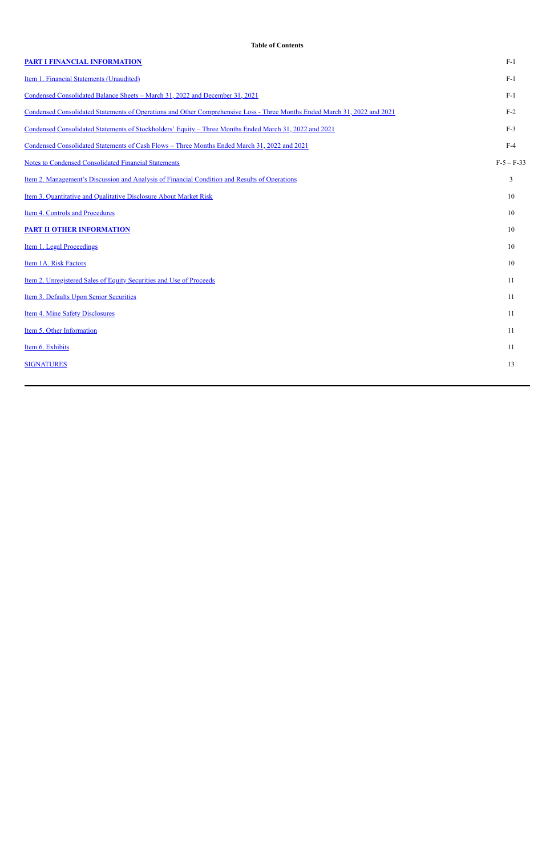# **Table of Contents**

| <b>PART I FINANCIAL INFORMATION</b>                                                                                       | $F-1$          |
|---------------------------------------------------------------------------------------------------------------------------|----------------|
| Item 1. Financial Statements (Unaudited)                                                                                  | $F-1$          |
| Condensed Consolidated Balance Sheets - March 31, 2022 and December 31, 2021                                              | $F-1$          |
| Condensed Consolidated Statements of Operations and Other Comprehensive Loss - Three Months Ended March 31, 2022 and 2021 | $F-2$          |
| Condensed Consolidated Statements of Stockholders' Equity - Three Months Ended March 31, 2022 and 2021                    | $F-3$          |
| Condensed Consolidated Statements of Cash Flows - Three Months Ended March 31, 2022 and 2021                              | $F-4$          |
| <b>Notes to Condensed Consolidated Financial Statements</b>                                                               | $F-5-F-33$     |
| <u>Item 2. Management's Discussion and Analysis of Financial Condition and Results of Operations</u>                      | $\mathfrak{Z}$ |
| Item 3. Quantitative and Qualitative Disclosure About Market Risk                                                         | 10             |
| Item 4. Controls and Procedures                                                                                           | 10             |
| <b>PART II OTHER INFORMATION</b>                                                                                          | 10             |
| Item 1. Legal Proceedings                                                                                                 | 10             |
| Item 1A. Risk Factors                                                                                                     | 10             |
| Item 2. Unregistered Sales of Equity Securities and Use of Proceeds                                                       | 11             |
| Item 3. Defaults Upon Senior Securities                                                                                   | 11             |
| <b>Item 4. Mine Safety Disclosures</b>                                                                                    | 11             |
| Item 5. Other Information                                                                                                 | 11             |
| Item 6. Exhibits                                                                                                          | 11             |
| <b>SIGNATURES</b>                                                                                                         | 13             |
|                                                                                                                           |                |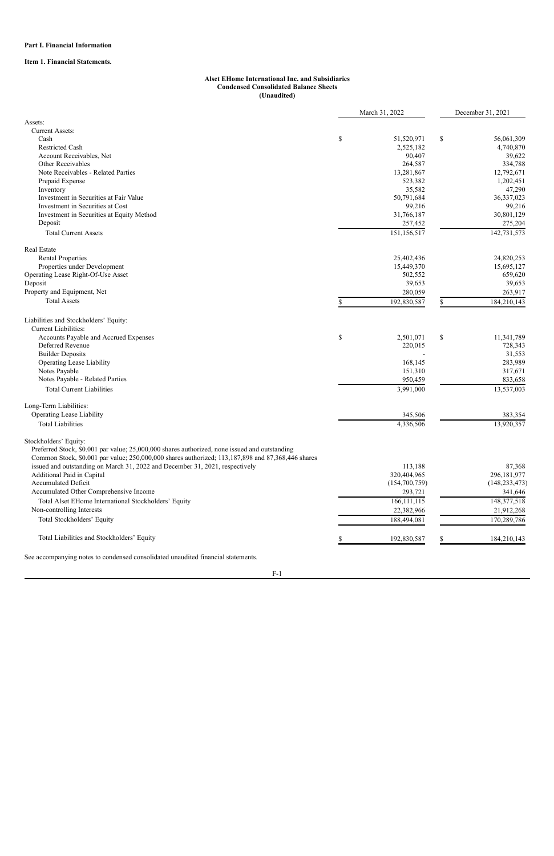# <span id="page-2-2"></span><span id="page-2-1"></span><span id="page-2-0"></span>**Item 1. Financial Statements.**

# **Alset EHome International Inc. and Subsidiaries Condensed Consolidated Balance Sheets (Unaudited)**

|                                                                                                   | March 31, 2022    | December 31, 2021 |                 |  |
|---------------------------------------------------------------------------------------------------|-------------------|-------------------|-----------------|--|
| Assets:                                                                                           |                   |                   |                 |  |
| <b>Current Assets:</b>                                                                            |                   |                   |                 |  |
| Cash                                                                                              | \$<br>51,520,971  | \$                | 56,061,309      |  |
| Restricted Cash                                                                                   | 2,525,182         |                   | 4,740,870       |  |
| Account Receivables, Net                                                                          | 90,407            |                   | 39,622          |  |
| Other Receivables                                                                                 | 264,587           |                   | 334,788         |  |
| Note Receivables - Related Parties                                                                | 13,281,867        |                   | 12,792,671      |  |
| Prepaid Expense                                                                                   | 523,382           |                   | 1,202,451       |  |
| Inventory                                                                                         | 35,582            |                   | 47,290          |  |
| Investment in Securities at Fair Value                                                            | 50,791,684        |                   | 36,337,023      |  |
| Investment in Securities at Cost                                                                  | 99,216            |                   | 99,216          |  |
| Investment in Securities at Equity Method                                                         | 31,766,187        |                   | 30,801,129      |  |
| Deposit                                                                                           | 257,452           |                   | 275,204         |  |
| <b>Total Current Assets</b>                                                                       | 151,156,517       |                   | 142,731,573     |  |
| Real Estate                                                                                       |                   |                   |                 |  |
| <b>Rental Properties</b>                                                                          | 25,402,436        |                   | 24,820,253      |  |
| Properties under Development                                                                      | 15,449,370        |                   | 15,695,127      |  |
| Operating Lease Right-Of-Use Asset                                                                | 502,552           |                   | 659,620         |  |
| Deposit                                                                                           | 39,653            |                   | 39,653          |  |
| Property and Equipment, Net                                                                       | 280,059           |                   | 263,917         |  |
| <b>Total Assets</b>                                                                               | \$<br>192,830,587 | \$                | 184,210,143     |  |
|                                                                                                   |                   |                   |                 |  |
| Liabilities and Stockholders' Equity:                                                             |                   |                   |                 |  |
| <b>Current Liabilities:</b>                                                                       |                   |                   |                 |  |
| Accounts Payable and Accrued Expenses                                                             | \$<br>2,501,071   | \$                | 11,341,789      |  |
| Deferred Revenue                                                                                  | 220,015           |                   | 728,343         |  |
| <b>Builder Deposits</b>                                                                           |                   |                   | 31,553          |  |
| Operating Lease Liability                                                                         | 168,145           |                   | 283,989         |  |
| Notes Payable                                                                                     | 151,310           |                   | 317,671         |  |
| Notes Payable - Related Parties                                                                   | 950,459           |                   | 833,658         |  |
| <b>Total Current Liabilities</b>                                                                  | 3,991,000         |                   | 13,537,003      |  |
| Long-Term Liabilities:                                                                            |                   |                   |                 |  |
| Operating Lease Liability                                                                         | 345,506           |                   | 383,354         |  |
| Total Liabilities                                                                                 | 4,336,506         |                   | 13,920,357      |  |
| Stockholders' Equity:                                                                             |                   |                   |                 |  |
| Preferred Stock, \$0.001 par value; 25,000,000 shares authorized, none issued and outstanding     |                   |                   |                 |  |
| Common Stock, \$0.001 par value; 250,000,000 shares authorized; 113,187,898 and 87,368,446 shares |                   |                   |                 |  |
| issued and outstanding on March 31, 2022 and December 31, 2021, respectively                      | 113,188           |                   | 87,368          |  |
| Additional Paid in Capital                                                                        | 320,404,965       |                   | 296, 181, 977   |  |
| <b>Accumulated Deficit</b>                                                                        | (154,700,759)     |                   | (148, 233, 473) |  |
| Accumulated Other Comprehensive Income                                                            | 293,721           |                   | 341,646         |  |
| Total Alset EHome International Stockholders' Equity                                              | 166, 111, 115     |                   | 148, 377, 518   |  |
| Non-controlling Interests                                                                         |                   |                   |                 |  |
|                                                                                                   | 22,382,966        |                   | 21,912,268      |  |
| Total Stockholders' Equity                                                                        | 188,494,081       |                   | 170,289,786     |  |
| Total Liabilities and Stockholders' Equity                                                        | 192,830,587       | S                 | 184,210,143     |  |
|                                                                                                   |                   |                   |                 |  |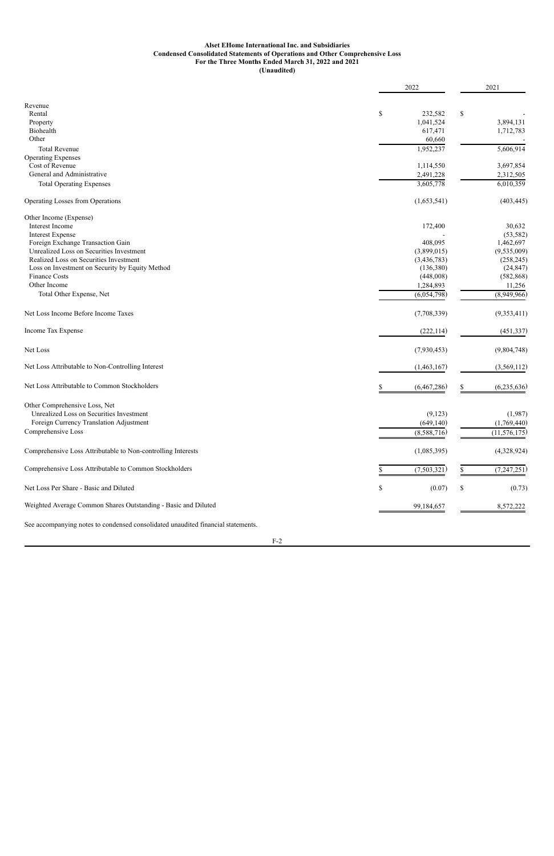# **Alset EHome International Inc. and Subsidiaries Condensed Consolidated Statements of Operations and Other Comprehensive Loss For the Three Months Ended March 31, 2022 and 2021**

**(Unaudited)**

<span id="page-3-0"></span>

|                                                                | 2022              | 2021              |
|----------------------------------------------------------------|-------------------|-------------------|
|                                                                |                   |                   |
| Revenue                                                        |                   |                   |
| Rental                                                         | $\$$<br>232,582   | \$                |
| Property                                                       | 1,041,524         | 3,894,131         |
| Biohealth                                                      | 617,471           | 1,712,783         |
| Other                                                          | 60,660            |                   |
| <b>Total Revenue</b>                                           | 1,952,237         | 5,606,914         |
| <b>Operating Expenses</b>                                      |                   |                   |
| Cost of Revenue                                                | 1,114,550         | 3,697,854         |
| General and Administrative                                     | 2,491,228         | 2,312,505         |
| <b>Total Operating Expenses</b>                                | 3,605,778         | 6,010,359         |
| Operating Losses from Operations                               | (1,653,541)       | (403, 445)        |
| Other Income (Expense)                                         |                   |                   |
| Interest Income                                                | 172,400           | 30,632            |
| <b>Interest Expense</b>                                        |                   | (53, 582)         |
| Foreign Exchange Transaction Gain                              | 408,095           | 1,462,697         |
| Unrealized Loss on Securities Investment                       | (3,899,015)       | (9, 535, 009)     |
| Realized Loss on Securities Investment                         | (3,436,783)       | (258, 245)        |
| Loss on Investment on Security by Equity Method                | (136,380)         | (24, 847)         |
| <b>Finance Costs</b>                                           | (448,008)         | (582, 868)        |
| Other Income                                                   | 1,284,893         | 11,256            |
| Total Other Expense, Net                                       | (6,054,798)       | (8,949,966)       |
| Net Loss Income Before Income Taxes                            | (7,708,339)       | (9,353,411)       |
| Income Tax Expense                                             | (222, 114)        | (451, 337)        |
| Net Loss                                                       | (7,930,453)       | (9,804,748)       |
|                                                                |                   |                   |
| Net Loss Attributable to Non-Controlling Interest              | (1,463,167)       | (3,569,112)       |
| Net Loss Attributable to Common Stockholders                   | (6,467,286)<br>\$ | (6,235,636)<br>\$ |
| Other Comprehensive Loss, Net                                  |                   |                   |
| Unrealized Loss on Securities Investment                       | (9,123)           | (1,987)           |
| Foreign Currency Translation Adjustment                        | (649, 140)        | (1,769,440)       |
| Comprehensive Loss                                             | (8,588,716)       | (11, 576, 175)    |
| Comprehensive Loss Attributable to Non-controlling Interests   | (1,085,395)       | (4,328,924)       |
| Comprehensive Loss Attributable to Common Stockholders         | (7,503,321)       | (7,247,251)<br>S. |
|                                                                |                   |                   |
| Net Loss Per Share - Basic and Diluted                         | \$<br>(0.07)      | (0.73)<br>\$      |
| Weighted Average Common Shares Outstanding - Basic and Diluted | 99,184,657        | 8,572,222         |
|                                                                |                   |                   |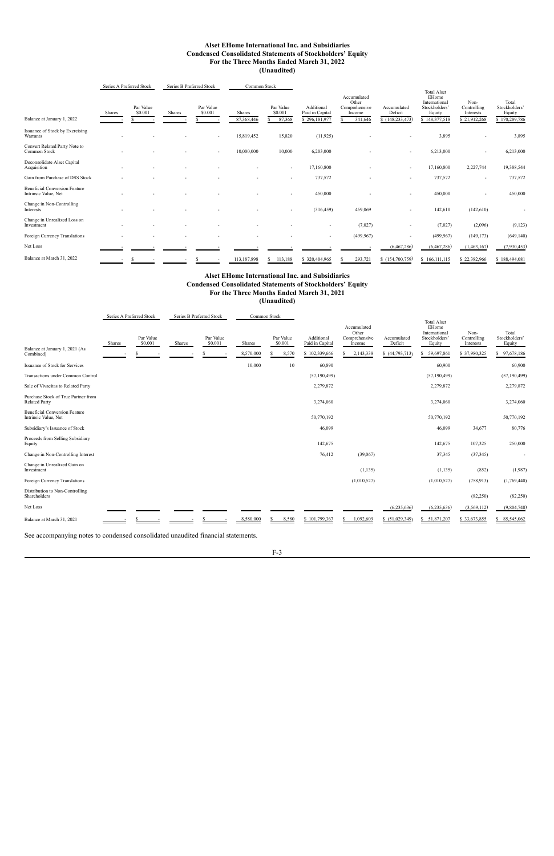## **Alset EHome International Inc. and Subsidiaries Condensed Consolidated Statements of Stockholders' Equity For the Three Months Ended March 31, 2022 (Unaudited)**

<span id="page-4-0"></span>

|                                                              |        | Series B Preferred Stock<br>Common Stock<br>Series A Preferred Stock |        |                          |                      |                                |                                                |                                                            |                                             |                                                                                          |                                                  |                                                   |
|--------------------------------------------------------------|--------|----------------------------------------------------------------------|--------|--------------------------|----------------------|--------------------------------|------------------------------------------------|------------------------------------------------------------|---------------------------------------------|------------------------------------------------------------------------------------------|--------------------------------------------------|---------------------------------------------------|
| Balance at January 1, 2022                                   | Shares | Par Value<br>\$0.001                                                 | Shares | Par Value<br>\$0.001     | Shares<br>87,368,446 | Par Value<br>\$0.001<br>87,368 | Additional<br>Paid in Capital<br>\$296,181,977 | Accumulated<br>Other<br>Comprehensive<br>Income<br>341,646 | Accumulated<br>Deficit<br>\$(148, 233, 473) | <b>Total Alset</b><br>EHome<br>International<br>Stockholders'<br>Equity<br>\$148,377,518 | Non-<br>Controlling<br>Interests<br>\$21,912,268 | Total<br>Stockholders'<br>Equity<br>\$170,289,786 |
| Issuance of Stock by Exercising<br>Warrants                  |        |                                                                      |        |                          | 15,819,452           | 15,820                         | (11, 925)                                      |                                                            |                                             | 3,895                                                                                    |                                                  | 3,895                                             |
| Convert Related Party Note to<br>Common Stock                |        |                                                                      |        | $\overline{\phantom{a}}$ | 10,000,000           | 10,000                         | 6,203,000                                      | $\overline{\phantom{a}}$                                   | $\overline{\phantom{a}}$                    | 6,213,000                                                                                |                                                  | 6,213,000                                         |
| Deconsolidate Alset Capital<br>Acquisition                   |        |                                                                      |        |                          |                      |                                | 17,160,800                                     |                                                            | $\overline{\phantom{a}}$                    | 17,160,800                                                                               | 2,227,744                                        | 19,388,544                                        |
| Gain from Purchase of DSS Stock                              |        |                                                                      |        |                          |                      |                                | 737,572                                        |                                                            | $\overline{\phantom{a}}$                    | 737,572                                                                                  |                                                  | 737,572                                           |
| <b>Beneficial Conversion Feature</b><br>Intrinsic Value, Net |        |                                                                      |        |                          |                      |                                | 450,000                                        |                                                            | $\overline{\phantom{a}}$                    | 450,000                                                                                  |                                                  | 450,000                                           |
| Change in Non-Controlling<br>Interests                       |        |                                                                      |        |                          |                      |                                | (316, 459)                                     | 459,069                                                    | $\overline{\phantom{a}}$                    | 142,610                                                                                  | (142,610)                                        |                                                   |
| Change in Unrealized Loss on<br>Investment                   |        |                                                                      |        |                          |                      |                                |                                                | (7,027)                                                    | $\overline{\phantom{a}}$                    | (7,027)                                                                                  | (2,096)                                          | (9,123)                                           |
| Foreign Currency Translations                                |        |                                                                      |        |                          |                      |                                | $\overline{\phantom{a}}$                       | (499, 967)                                                 | $\overline{\phantom{a}}$                    | (499, 967)                                                                               | (149, 173)                                       | (649, 140)                                        |
| Net Loss                                                     |        |                                                                      |        |                          |                      |                                |                                                |                                                            | (6,467,286)                                 | (6,467,286)                                                                              | (1,463,167)                                      | (7,930,453)                                       |
| Balance at March 31, 2022                                    |        |                                                                      |        |                          | 113,187,898          | 113,188                        | \$320,404,965                                  | 293,721                                                    | \$(154,700,759)                             | \$166,111,115                                                                            | \$22,382,966                                     | \$188,494,081                                     |

# **Alset EHome International Inc. and Subsidiaries Condensed Consolidated Statements of Stockholders' Equity**

**For the Three Months Ended March 31, 2021**

**(Unaudited)**

|                                                              |        | Series A Preferred Stock |        | Series B Preferred Stock |           | Common Stock         |                               |                                                 |                        |                                                                         |                                  |                                  |
|--------------------------------------------------------------|--------|--------------------------|--------|--------------------------|-----------|----------------------|-------------------------------|-------------------------------------------------|------------------------|-------------------------------------------------------------------------|----------------------------------|----------------------------------|
|                                                              | Shares | Par Value<br>\$0.001     | Shares | Par Value<br>\$0.001     | Shares    | Par Value<br>\$0.001 | Additional<br>Paid in Capital | Accumulated<br>Other<br>Comprehensive<br>Income | Accumulated<br>Deficit | <b>Total Alset</b><br>EHome<br>International<br>Stockholders'<br>Equity | Non-<br>Controlling<br>Interests | Total<br>Stockholders'<br>Equity |
| Balance at January 1, 2021 (As<br>Combined)                  |        |                          |        |                          | 8,570,000 | 8,570                | \$102,339,666                 | 2,143,338                                       | \$ (44,793,713)        | \$ 59,697,861                                                           | \$37,980,325                     | \$97,678,186                     |
| Issuance of Stock for Services                               |        |                          |        |                          | 10,000    | 10                   | 60,890                        |                                                 |                        | 60,900                                                                  |                                  | 60,900                           |
| Transactions under Common Control                            |        |                          |        |                          |           |                      | (57, 190, 499)                |                                                 |                        | (57, 190, 499)                                                          |                                  | (57, 190, 499)                   |
| Sale of Vivacitas to Related Party                           |        |                          |        |                          |           |                      | 2,279,872                     |                                                 |                        | 2,279,872                                                               |                                  | 2,279,872                        |
| Purchase Stock of True Partner from<br><b>Related Party</b>  |        |                          |        |                          |           |                      | 3,274,060                     |                                                 |                        | 3,274,060                                                               |                                  | 3,274,060                        |
| <b>Beneficial Conversion Feature</b><br>Intrinsic Value, Net |        |                          |        |                          |           |                      | 50,770,192                    |                                                 |                        | 50,770,192                                                              |                                  | 50,770,192                       |
| Subsidiary's Issuance of Stock                               |        |                          |        |                          |           |                      | 46,099                        |                                                 |                        | 46,099                                                                  | 34,677                           | 80,776                           |
| Proceeds from Selling Subsidiary<br>Equity                   |        |                          |        |                          |           |                      | 142,675                       |                                                 |                        | 142,675                                                                 | 107,325                          | 250,000                          |
| Change in Non-Controlling Interest                           |        |                          |        |                          |           |                      | 76,412                        | (39,067)                                        |                        | 37,345                                                                  | (37, 345)                        | $\sim$                           |
| Change in Unrealized Gain on<br>Investment                   |        |                          |        |                          |           |                      |                               | (1, 135)                                        |                        | (1,135)                                                                 | (852)                            | (1,987)                          |
| Foreign Currency Translations                                |        |                          |        |                          |           |                      |                               | (1,010,527)                                     |                        | (1,010,527)                                                             | (758, 913)                       | (1,769,440)                      |
| Distribution to Non-Controlling<br>Shareholders              |        |                          |        |                          |           |                      |                               |                                                 |                        |                                                                         | (82,250)                         | (82,250)                         |
| Net Loss                                                     |        |                          |        |                          |           |                      |                               |                                                 | (6,235,636)            | (6,235,636)                                                             | (3,569,112)                      | (9,804,748)                      |
| Balance at March 31, 2021                                    |        |                          |        |                          | 8,580,000 | 8,580                | \$101,799,367                 | 1,092,609                                       | \$ (51,029,349)        | \$51,871,207                                                            | \$33,673,855                     | \$85,545,062                     |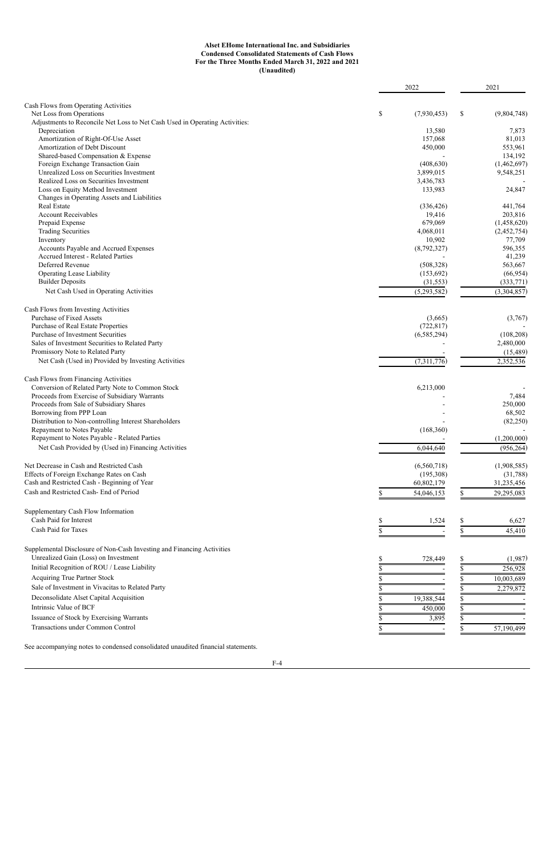## **Alset EHome International Inc. and Subsidiaries Condensed Consolidated Statements of Cash Flows For the Three Months Ended March 31, 2022 and 2021 (Unaudited)**

<span id="page-5-0"></span>

|                                                                             | 2022              | 2021              |
|-----------------------------------------------------------------------------|-------------------|-------------------|
|                                                                             |                   |                   |
| Cash Flows from Operating Activities                                        |                   |                   |
| Net Loss from Operations                                                    | \$<br>(7,930,453) | \$<br>(9,804,748) |
| Adjustments to Reconcile Net Loss to Net Cash Used in Operating Activities: |                   |                   |
| Depreciation                                                                | 13,580            | 7,873             |
| Amortization of Right-Of-Use Asset                                          | 157,068           | 81,013            |
| Amortization of Debt Discount                                               | 450,000           | 553,961           |
| Shared-based Compensation & Expense                                         |                   | 134,192           |
| Foreign Exchange Transaction Gain                                           | (408, 630)        | (1,462,697)       |
| Unrealized Loss on Securities Investment                                    | 3,899,015         | 9,548,251         |
| Realized Loss on Securities Investment                                      | 3,436,783         |                   |
| Loss on Equity Method Investment                                            | 133,983           | 24,847            |
| Changes in Operating Assets and Liabilities                                 |                   |                   |
| Real Estate                                                                 | (336, 426)        | 441,764           |
| <b>Account Receivables</b>                                                  | 19,416            | 203,816           |
| Prepaid Expense                                                             | 679,069           | (1,458,620)       |
| <b>Trading Securities</b>                                                   | 4,068,011         | (2,452,754)       |
| Inventory                                                                   | 10,902            | 77,709            |
| Accounts Payable and Accrued Expenses                                       | (8,792,327)       | 596,355           |
| <b>Accrued Interest - Related Parties</b>                                   |                   | 41,239            |
| Deferred Revenue                                                            | (508, 328)        | 563,667           |
| <b>Operating Lease Liability</b>                                            | (153,692)         | (66, 954)         |
| <b>Builder Deposits</b>                                                     | (31, 553)         | (333,771)         |
| Net Cash Used in Operating Activities                                       | (5,293,582)       | (3,304,857)       |
|                                                                             |                   |                   |
| Cash Flows from Investing Activities<br><b>Purchase of Fixed Assets</b>     |                   |                   |
| Purchase of Real Estate Properties                                          | (3,665)           | (3,767)           |
| Purchase of Investment Securities                                           | (722, 817)        |                   |
|                                                                             | (6, 585, 294)     | (108, 208)        |
| Sales of Investment Securities to Related Party                             |                   | 2,480,000         |
| Promissory Note to Related Party                                            |                   | (15, 489)         |
| Net Cash (Used in) Provided by Investing Activities                         | (7,311,776)       | 2,352,536         |
| Cash Flows from Financing Activities                                        |                   |                   |
| Conversion of Related Party Note to Common Stock                            | 6,213,000         |                   |
| Proceeds from Exercise of Subsidiary Warrants                               |                   | 7,484             |
| Proceeds from Sale of Subsidiary Shares                                     |                   | 250,000           |
| Borrowing from PPP Loan                                                     |                   | 68,502            |
| Distribution to Non-controlling Interest Shareholders                       |                   | (82,250)          |
| Repayment to Notes Payable                                                  | (168, 360)        |                   |
| Repayment to Notes Payable - Related Parties                                |                   | (1,200,000)       |
| Net Cash Provided by (Used in) Financing Activities                         | 6,044,640         |                   |
|                                                                             |                   | (956, 264)        |
| Net Decrease in Cash and Restricted Cash                                    | (6,560,718)       | (1,908,585)       |
| Effects of Foreign Exchange Rates on Cash                                   | (195,308)         | (31,788)          |
| Cash and Restricted Cash - Beginning of Year                                | 60,802,179        | 31,235,456        |
| Cash and Restricted Cash- End of Period                                     | 54,046,153        | 29,295,083<br>S.  |
|                                                                             |                   |                   |
| Supplementary Cash Flow Information                                         |                   |                   |
| Cash Paid for Interest                                                      | 1,524             | 6,627             |
| Cash Paid for Taxes                                                         |                   | 45,410            |
|                                                                             |                   |                   |
| Supplemental Disclosure of Non-Cash Investing and Financing Activities      |                   |                   |
| Unrealized Gain (Loss) on Investment                                        | 728,449<br>S      | (1,987)<br>\$     |
| Initial Recognition of ROU / Lease Liability                                |                   | \$<br>256,928     |
| Acquiring True Partner Stock                                                |                   | 10,003,689<br>\$  |
| Sale of Investment in Vivacitas to Related Party                            |                   |                   |
|                                                                             |                   | 2,279,872<br>S    |
| Deconsolidate Alset Capital Acquisition                                     | 19,388,544        | \$                |
| Intrinsic Value of BCF                                                      | 450,000           | S                 |
| Issuance of Stock by Exercising Warrants                                    | 3,895             |                   |
| Transactions under Common Control                                           |                   | 57,190,499        |
|                                                                             |                   |                   |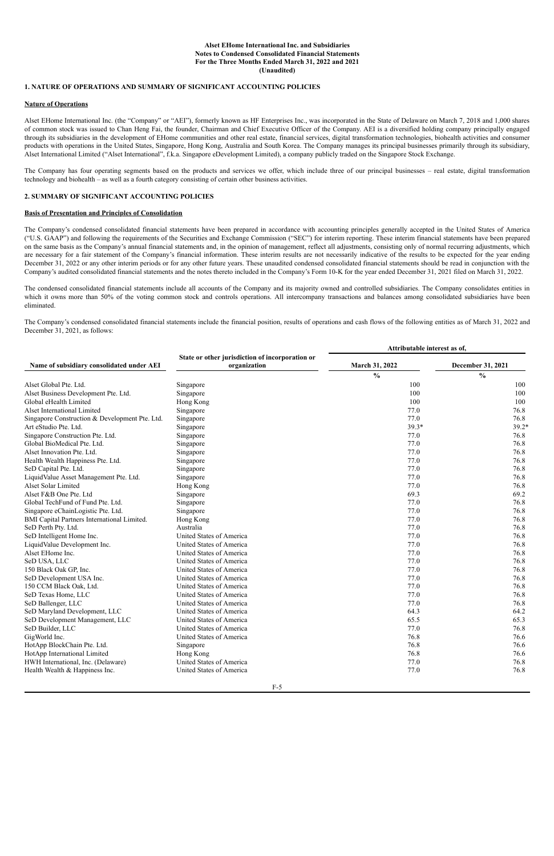## **Alset EHome International Inc. and Subsidiaries Notes to Condensed Consolidated Financial Statements For the Three Months Ended March 31, 2022 and 2021 (Unaudited)**

# <span id="page-6-0"></span>**1. NATURE OF OPERATIONS AND SUMMARY OF SIGNIFICANT ACCOUNTING POLICIES**

## **Nature of Operations**

Alset EHome International Inc. (the "Company" or "AEI"), formerly known as HF Enterprises Inc., was incorporated in the State of Delaware on March 7, 2018 and 1,000 shares of common stock was issued to Chan Heng Fai, the founder, Chairman and Chief Executive Officer of the Company. AEI is a diversified holding company principally engaged through its subsidiaries in the development of EHome communities and other real estate, financial services, digital transformation technologies, biohealth activities and consumer products with operations in the United States, Singapore, Hong Kong, Australia and South Korea. The Company manages its principal businesses primarily through its subsidiary, Alset International Limited ("Alset International", f.k.a. Singapore eDevelopment Limited), a company publicly traded on the Singapore Stock Exchange.

The Company has four operating segments based on the products and services we offer, which include three of our principal businesses – real estate, digital transformation technology and biohealth – as well as a fourth category consisting of certain other business activities.

# **2. SUMMARY OF SIGNIFICANT ACCOUNTING POLICIES**

## **Basis of Presentation and Principles of Consolidation**

The Company's condensed consolidated financial statements have been prepared in accordance with accounting principles generally accepted in the United States of America ("U.S. GAAP") and following the requirements of the Securities and Exchange Commission ("SEC") for interim reporting. These interim financial statements have been prepared on the same basis as the Company's annual financial statements and, in the opinion of management, reflect all adjustments, consisting only of normal recurring adjustments, which are necessary for a fair statement of the Company's financial information. These interim results are not necessarily indicative of the results to be expected for the year ending December 31, 2022 or any other interim periods or for any other future years. These unaudited condensed consolidated financial statements should be read in conjunction with the Company's audited consolidated financial statements and the notes thereto included in the Company's Form 10-K for the year ended December 31, 2021 filed on March 31, 2022.

The condensed consolidated financial statements include all accounts of the Company and its majority owned and controlled subsidiaries. The Company consolidates entities in which it owns more than 50% of the voting common stock and controls operations. All intercompany transactions and balances among consolidated subsidiaries have been eliminated.

The Company's condensed consolidated financial statements include the financial position, results of operations and cash flows of the following entities as of March 31, 2022 and December 31, 2021, as follows:

|                                                |                                                                 | Attributable interest as of, |                   |  |  |
|------------------------------------------------|-----------------------------------------------------------------|------------------------------|-------------------|--|--|
| Name of subsidiary consolidated under AEI      | State or other jurisdiction of incorporation or<br>organization | March 31, 2022               | December 31, 2021 |  |  |
|                                                |                                                                 | $\frac{0}{0}$                | $\frac{0}{0}$     |  |  |
| Alset Global Pte. Ltd.                         | Singapore                                                       | 100                          | 100               |  |  |
| Alset Business Development Pte. Ltd.           | Singapore                                                       | 100                          | 100               |  |  |
| Global eHealth Limited                         | Hong Kong                                                       | 100                          | 100               |  |  |
| Alset International Limited                    | Singapore                                                       | 77.0                         | 76.8              |  |  |
| Singapore Construction & Development Pte. Ltd. | Singapore                                                       | 77.0                         | 76.8              |  |  |
| Art eStudio Pte. Ltd.                          | Singapore                                                       | $39.3*$                      | $39.2*$           |  |  |
| Singapore Construction Pte. Ltd.               | Singapore                                                       | 77.0                         | 76.8              |  |  |
| Global BioMedical Pte. Ltd.                    | Singapore                                                       | 77.0                         | 76.8              |  |  |
| Alset Innovation Pte. Ltd.                     | Singapore                                                       | 77.0                         | 76.8              |  |  |
| Health Wealth Happiness Pte. Ltd.              | Singapore                                                       | 77.0                         | 76.8              |  |  |
| SeD Capital Pte. Ltd.                          | Singapore                                                       | 77.0                         | 76.8              |  |  |
| LiquidValue Asset Management Pte. Ltd.         | Singapore                                                       | 77.0                         | 76.8              |  |  |
| Alset Solar Limited                            | Hong Kong                                                       | 77.0                         | 76.8              |  |  |
| Alset F&B One Pte. Ltd                         | Singapore                                                       | 69.3                         | 69.2              |  |  |
| Global TechFund of Fund Pte. Ltd.              | Singapore                                                       | 77.0                         | 76.8              |  |  |
| Singapore eChainLogistic Pte. Ltd.             | Singapore                                                       | 77.0                         | 76.8              |  |  |
| BMI Capital Partners International Limited.    | Hong Kong                                                       | 77.0                         | 76.8              |  |  |
| SeD Perth Pty. Ltd.                            | Australia                                                       | 77.0                         | 76.8              |  |  |
| SeD Intelligent Home Inc.                      | United States of America                                        | 77.0                         | 76.8              |  |  |
| LiquidValue Development Inc.                   | United States of America                                        | 77.0                         | 76.8              |  |  |
| Alset EHome Inc.                               | United States of America                                        | 77.0                         | 76.8              |  |  |
| SeD USA, LLC                                   | United States of America                                        | 77.0                         | 76.8              |  |  |
| 150 Black Oak GP, Inc.                         | United States of America                                        | 77.0                         | 76.8              |  |  |
| SeD Development USA Inc.                       | United States of America                                        | 77.0                         | 76.8              |  |  |
| 150 CCM Black Oak, Ltd.                        | United States of America                                        | 77.0                         | 76.8              |  |  |
| SeD Texas Home, LLC                            | United States of America                                        | 77.0                         | 76.8              |  |  |
| SeD Ballenger, LLC                             | United States of America                                        | 77.0                         | 76.8              |  |  |
| SeD Maryland Development, LLC                  | United States of America                                        | 64.3                         | 64.2              |  |  |
| SeD Development Management, LLC                | United States of America                                        | 65.5                         | 65.3              |  |  |
| SeD Builder, LLC                               | United States of America                                        | 77.0                         | 76.8              |  |  |
| GigWorld Inc.                                  | United States of America                                        | 76.8                         | 76.6              |  |  |
| HotApp BlockChain Pte. Ltd.                    | Singapore                                                       | 76.8                         | 76.6              |  |  |
| HotApp International Limited                   | Hong Kong                                                       | 76.8                         | 76.6              |  |  |
| HWH International, Inc. (Delaware)             | United States of America                                        | 77.0                         | 76.8              |  |  |
| Health Wealth & Happiness Inc.                 | United States of America                                        | 77.0                         | 76.8              |  |  |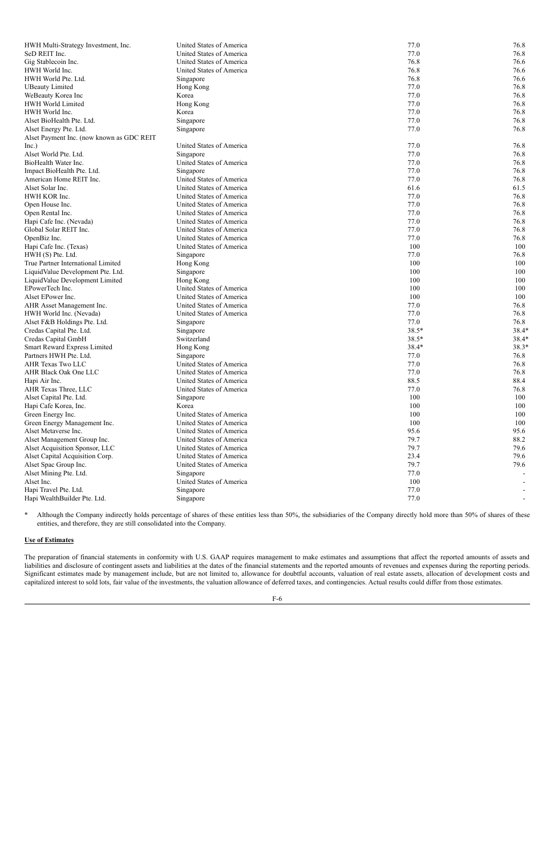| HWH Multi-Strategy Investment, Inc.       | United States of America | 77.0  | 76.8  |
|-------------------------------------------|--------------------------|-------|-------|
| SeD REIT Inc.                             | United States of America | 77.0  | 76.8  |
| Gig Stablecoin Inc.                       | United States of America | 76.8  | 76.6  |
| HWH World Inc.                            | United States of America | 76.8  | 76.6  |
| HWH World Pte. Ltd.                       | Singapore                | 76.8  | 76.6  |
| <b>UBeauty Limited</b>                    | Hong Kong                | 77.0  | 76.8  |
| WeBeauty Korea Inc                        | Korea                    | 77.0  | 76.8  |
| <b>HWH World Limited</b>                  | Hong Kong                | 77.0  | 76.8  |
| HWH World Inc.                            | Korea                    | 77.0  | 76.8  |
| Alset BioHealth Pte. Ltd.                 | Singapore                | 77.0  | 76.8  |
| Alset Energy Pte. Ltd.                    | Singapore                | 77.0  | 76.8  |
| Alset Payment Inc. (now known as GDC REIT |                          |       |       |
| Inc.)                                     | United States of America | 77.0  | 76.8  |
| Alset World Pte. Ltd.                     | Singapore                | 77.0  | 76.8  |
| BioHealth Water Inc.                      | United States of America | 77.0  | 76.8  |
| Impact BioHealth Pte. Ltd.                | Singapore                | 77.0  | 76.8  |
| American Home REIT Inc.                   | United States of America | 77.0  | 76.8  |
| Alset Solar Inc.                          | United States of America | 61.6  | 61.5  |
| HWH KOR Inc.                              | United States of America | 77.0  | 76.8  |
| Open House Inc.                           | United States of America | 77.0  | 76.8  |
|                                           | United States of America | 77.0  |       |
| Open Rental Inc.                          |                          |       | 76.8  |
| Hapi Cafe Inc. (Nevada)                   | United States of America | 77.0  | 76.8  |
| Global Solar REIT Inc.                    | United States of America | 77.0  | 76.8  |
| OpenBiz Inc.                              | United States of America | 77.0  | 76.8  |
| Hapi Cafe Inc. (Texas)                    | United States of America | 100   | 100   |
| HWH (S) Pte. Ltd.                         | Singapore                | 77.0  | 76.8  |
| True Partner International Limited        | Hong Kong                | 100   | 100   |
| LiquidValue Development Pte. Ltd.         | Singapore                | 100   | 100   |
| LiquidValue Development Limited           | Hong Kong                | 100   | 100   |
| EPowerTech Inc.                           | United States of America | 100   | 100   |
| Alset EPower Inc.                         | United States of America | 100   | 100   |
| AHR Asset Management Inc.                 | United States of America | 77.0  | 76.8  |
| HWH World Inc. (Nevada)                   | United States of America | 77.0  | 76.8  |
| Alset F&B Holdings Pte. Ltd.              | Singapore                | 77.0  | 76.8  |
| Credas Capital Pte. Ltd.                  | Singapore                | 38.5* | 38.4* |
| Credas Capital GmbH                       | Switzerland              | 38.5* | 38.4* |
| Smart Reward Express Limited              | Hong Kong                | 38.4* | 38.3* |
| Partners HWH Pte. Ltd.                    | Singapore                | 77.0  | 76.8  |
| AHR Texas Two LLC                         | United States of America | 77.0  | 76.8  |
| AHR Black Oak One LLC                     | United States of America | 77.0  | 76.8  |
| Hapi Air Inc.                             | United States of America | 88.5  | 88.4  |
| AHR Texas Three, LLC                      | United States of America | 77.0  | 76.8  |
| Alset Capital Pte. Ltd.                   | Singapore                | 100   | 100   |
| Hapi Cafe Korea, Inc.                     | Korea                    | 100   | 100   |
| Green Energy Inc.                         | United States of America | 100   | 100   |
| Green Energy Management Inc.              | United States of America | 100   | 100   |
| Alset Metaverse Inc.                      | United States of America | 95.6  | 95.6  |
| Alset Management Group Inc.               | United States of America | 79.7  | 88.2  |
| Alset Acquisition Sponsor, LLC            | United States of America | 79.7  | 79.6  |
| Alset Capital Acquisition Corp.           | United States of America | 23.4  | 79.6  |
| Alset Spac Group Inc.                     | United States of America | 79.7  | 79.6  |
| Alset Mining Pte. Ltd.                    | Singapore                | 77.0  |       |
| Alset Inc.                                | United States of America | 100   |       |
| Hapi Travel Pte. Ltd.                     | Singapore                | 77.0  |       |
| Hapi WealthBuilder Pte. Ltd.              | Singapore                | 77.0  |       |
|                                           |                          |       |       |

\* Although the Company indirectly holds percentage of shares of these entities less than 50%, the subsidiaries of the Company directly hold more than 50% of shares of these entities, and therefore, they are still consolidated into the Company.

## **Use of Estimates**

The preparation of financial statements in conformity with U.S. GAAP requires management to make estimates and assumptions that affect the reported amounts of assets and liabilities and disclosure of contingent assets and liabilities at the dates of the financial statements and the reported amounts of revenues and expenses during the reporting periods. Significant estimates made by management include, but are not limited to, allowance for doubtful accounts, valuation of real estate assets, allocation of development costs and capitalized interest to sold lots, fair value of the investments, the valuation allowance of deferred taxes, and contingencies. Actual results could differ from those estimates.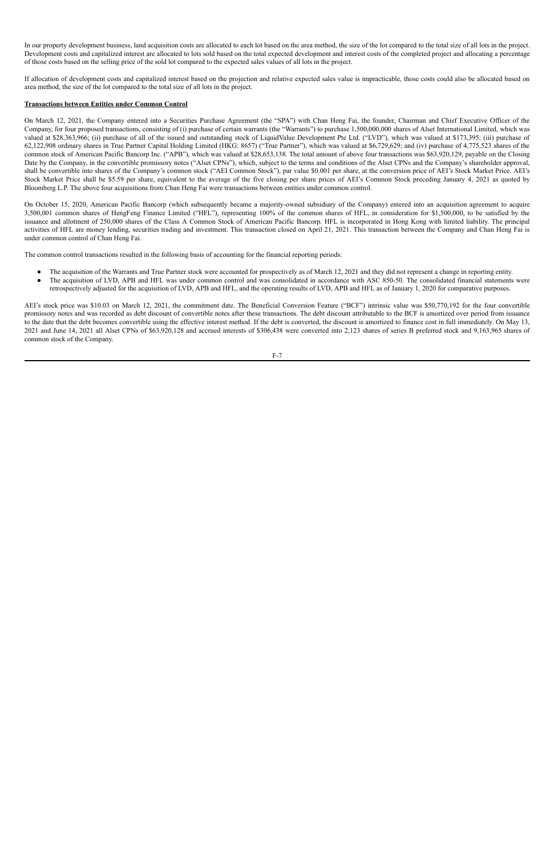In our property development business, land acquisition costs are allocated to each lot based on the area method, the size of the lot compared to the total size of all lots in the project. Development costs and capitalized interest are allocated to lots sold based on the total expected development and interest costs of the completed project and allocating a percentage of those costs based on the selling price of the sold lot compared to the expected sales values of all lots in the project.

If allocation of development costs and capitalized interest based on the projection and relative expected sales value is impracticable, those costs could also be allocated based on area method, the size of the lot compared to the total size of all lots in the project.

## **Transactions between Entities under Common Control**

On March 12, 2021, the Company entered into a Securities Purchase Agreement (the "SPA") with Chan Heng Fai, the founder, Chairman and Chief Executive Officer of the Company, for four proposed transactions, consisting of (i) purchase of certain warrants (the "Warrants") to purchase 1,500,000,000 shares of Alset International Limited, which was valued at \$28,363,966; (ii) purchase of all of the issued and outstanding stock of LiquidValue Development Pte Ltd. ("LVD"), which was valued at \$173,395; (iii) purchase of 62,122,908 ordinary shares in True Partner Capital Holding Limited (HKG: 8657) ("True Partner"), which was valued at \$6,729,629; and (iv) purchase of 4,775,523 shares of the common stock of American Pacific Bancorp Inc. ("APB"), which was valued at \$28,653,138. The total amount of above four transactions was \$63,920,129, payable on the Closing Date by the Company, in the convertible promissory notes ("Alset CPNs"), which, subject to the terms and conditions of the Alset CPNs and the Company's shareholder approval, shall be convertible into shares of the Company's common stock ("AEI Common Stock"), par value \$0.001 per share, at the conversion price of AEI's Stock Market Price. AEI's Stock Market Price shall be \$5.59 per share, equivalent to the average of the five closing per share prices of AEI's Common Stock preceding January 4, 2021 as quoted by Bloomberg L.P. The above four acquisitions from Chan Heng Fai were transactions between entities under common control.

- The acquisition of the Warrants and True Partner stock were accounted for prospectively as of March 12, 2021 and they did not represent a change in reporting entity.
- The acquisition of LVD, APB and HFL was under common control and was consolidated in accordance with ASC 850-50. The consolidated financial statements were retrospectively adjusted for the acquisition of LVD, APB and HFL, and the operating results of LVD, APB and HFL as of January 1, 2020 for comparative purposes.

AEI's stock price was \$10.03 on March 12, 2021, the commitment date. The Beneficial Conversion Feature ("BCF") intrinsic value was \$50,770,192 for the four convertible promissory notes and was recorded as debt discount of convertible notes after these transactions. The debt discount attributable to the BCF is amortized over period from issuance to the date that the debt becomes convertible using the effective interest method. If the debt is converted, the discount is amortized to finance cost in full immediately. On May 13, 2021 and June 14, 2021 all Alset CPNs of \$63,920,128 and accrued interests of \$306,438 were converted into 2,123 shares of series B preferred stock and 9,163,965 shares of common stock of the Company.

On October 15, 2020, American Pacific Bancorp (which subsequently became a majority-owned subsidiary of the Company) entered into an acquisition agreement to acquire 3,500,001 common shares of HengFeng Finance Limited ("HFL"), representing 100% of the common shares of HFL, in consideration for \$1,500,000, to be satisfied by the issuance and allotment of 250,000 shares of the Class A Common Stock of American Pacific Bancorp. HFL is incorporated in Hong Kong with limited liability. The principal activities of HFL are money lending, securities trading and investment. This transaction closed on April 21, 2021. This transaction between the Company and Chan Heng Fai is under common control of Chan Heng Fai.

The common control transactions resulted in the following basis of accounting for the financial reporting periods: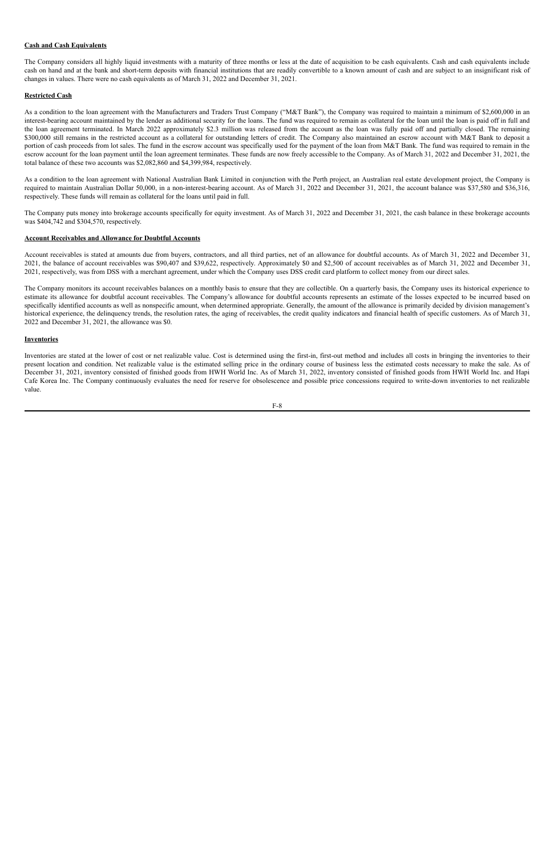## **Cash and Cash Equivalents**

The Company considers all highly liquid investments with a maturity of three months or less at the date of acquisition to be cash equivalents. Cash and cash equivalents include cash on hand and at the bank and short-term deposits with financial institutions that are readily convertible to a known amount of cash and are subject to an insignificant risk of changes in values. There were no cash equivalents as of March 31, 2022 and December 31, 2021.

## **Restricted Cash**

As a condition to the loan agreement with the Manufacturers and Traders Trust Company ("M&T Bank"), the Company was required to maintain a minimum of \$2,600,000 in an interest-bearing account maintained by the lender as additional security for the loans. The fund was required to remain as collateral for the loan until the loan is paid off in full and the loan agreement terminated. In March 2022 approximately \$2.3 million was released from the account as the loan was fully paid off and partially closed. The remaining \$300,000 still remains in the restricted account as a collateral for outstanding letters of credit. The Company also maintained an escrow account with M&T Bank to deposit a portion of cash proceeds from lot sales. The fund in the escrow account was specifically used for the payment of the loan from M&T Bank. The fund was required to remain in the escrow account for the loan payment until the loan agreement terminates. These funds are now freely accessible to the Company. As of March 31, 2022 and December 31, 2021, the total balance of these two accounts was \$2,082,860 and \$4,399,984, respectively.

As a condition to the loan agreement with National Australian Bank Limited in conjunction with the Perth project, an Australian real estate development project, the Company is required to maintain Australian Dollar 50,000, in a non-interest-bearing account. As of March 31, 2022 and December 31, 2021, the account balance was \$37,580 and \$36,316, respectively. These funds will remain as collateral for the loans until paid in full.

The Company puts money into brokerage accounts specifically for equity investment. As of March 31, 2022 and December 31, 2021, the cash balance in these brokerage accounts was \$404,742 and \$304,570, respectively.

## **Account Receivables and Allowance for Doubtful Accounts**

Account receivables is stated at amounts due from buyers, contractors, and all third parties, net of an allowance for doubtful accounts. As of March 31, 2022 and December 31, 2021, the balance of account receivables was \$90,407 and \$39,622, respectively. Approximately \$0 and \$2,500 of account receivables as of March 31, 2022 and December 31, 2021, respectively, was from DSS with a merchant agreement, under which the Company uses DSS credit card platform to collect money from our direct sales.

The Company monitors its account receivables balances on a monthly basis to ensure that they are collectible. On a quarterly basis, the Company uses its historical experience to estimate its allowance for doubtful account receivables. The Company's allowance for doubtful accounts represents an estimate of the losses expected to be incurred based on specifically identified accounts as well as nonspecific amount, when determined appropriate. Generally, the amount of the allowance is primarily decided by division management's historical experience, the delinquency trends, the resolution rates, the aging of receivables, the credit quality indicators and financial health of specific customers. As of March 31, 2022 and December 31, 2021, the allowance was \$0.

## **Inventories**

Inventories are stated at the lower of cost or net realizable value. Cost is determined using the first-in, first-out method and includes all costs in bringing the inventories to their present location and condition. Net realizable value is the estimated selling price in the ordinary course of business less the estimated costs necessary to make the sale. As of December 31, 2021, inventory consisted of finished goods from HWH World Inc. As of March 31, 2022, inventory consisted of finished goods from HWH World Inc. and Hapi Cafe Korea Inc. The Company continuously evaluates the need for reserve for obsolescence and possible price concessions required to write-down inventories to net realizable value.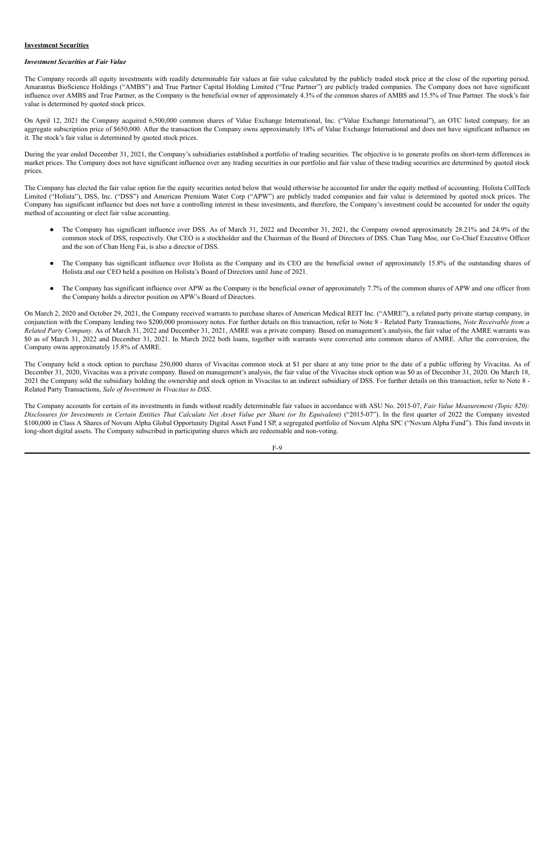## **Investment Securities**

## *Investment Securities at Fair Value*

The Company records all equity investments with readily determinable fair values at fair value calculated by the publicly traded stock price at the close of the reporting period. Amarantus BioScience Holdings ("AMBS") and True Partner Capital Holding Limited ("True Partner") are publicly traded companies. The Company does not have significant influence over AMBS and True Partner, as the Company is the beneficial owner of approximately 4.3% of the common shares of AMBS and 15.5% of True Partner. The stock's fair value is determined by quoted stock prices.

During the year ended December 31, 2021, the Company's subsidiaries established a portfolio of trading securities. The objective is to generate profits on short-term differences in market prices. The Company does not have significant influence over any trading securities in our portfolio and fair value of these trading securities are determined by quoted stock prices.

On April 12, 2021 the Company acquired 6,500,000 common shares of Value Exchange International, Inc. ("Value Exchange International"), an OTC listed company, for an aggregate subscription price of \$650,000. After the transaction the Company owns approximately 18% of Value Exchange International and does not have significant influence on it. The stock's fair value is determined by quoted stock prices.

The Company has elected the fair value option for the equity securities noted below that would otherwise be accounted for under the equity method of accounting. Holista CollTech Limited ("Holista"), DSS, Inc. ("DSS") and American Premium Water Corp ("APW") are publicly traded companies and fair value is determined by quoted stock prices. The Company has significant influence but does not have a controlling interest in these investments, and therefore, the Company's investment could be accounted for under the equity method of accounting or elect fair value accounting.

- The Company has significant influence over DSS. As of March 31, 2022 and December 31, 2021, the Company owned approximately 28.21% and 24.9% of the common stock of DSS, respectively. Our CEO is a stockholder and the Chairman of the Board of Directors of DSS. Chan Tung Moe, our Co-Chief Executive Officer and the son of Chan Heng Fai, is also a director of DSS.
- The Company has significant influence over Holista as the Company and its CEO are the beneficial owner of approximately 15.8% of the outstanding shares of Holista and our CEO held a position on Holista's Board of Directors until June of 2021.
- The Company has significant influence over APW as the Company is the beneficial owner of approximately 7.7% of the common shares of APW and one officer from the Company holds a director position on APW's Board of Directors.

On March 2, 2020 and October 29, 2021, the Company received warrants to purchase shares of American Medical REIT Inc. ("AMRE"), a related party private startup company, in conjunction with the Company lending two \$200,000 promissory notes. For further details on this transaction, refer to Note 8 - Related Party Transactions, *Note Receivable from a Related Party Company*. As of March 31, 2022 and December 31, 2021, AMRE was a private company. Based on management's analysis, the fair value of the AMRE warrants was \$0 as of March 31, 2022 and December 31, 2021. In March 2022 both loans, together with warrants were converted into common shares of AMRE. After the conversion, the Company owns approximately 15.8% of AMRE.

The Company held a stock option to purchase 250,000 shares of Vivacitas common stock at \$1 per share at any time prior to the date of a public offering by Vivacitas. As of December 31, 2020, Vivacitas was a private company. Based on management's analysis, the fair value of the Vivacitas stock option was \$0 as of December 31, 2020. On March 18, 2021 the Company sold the subsidiary holding the ownership and stock option in Vivacitas to an indirect subsidiary of DSS. For further details on this transaction, refer to Note 8 -Related Party Transactions, *Sale of Investment in Vivacitas to DSS*.

The Company accounts for certain of its investments in funds without readily determinable fair values in accordance with ASU No. 2015-07, *Fair Value Measurement (Topic 820):* Disclosures for Investments in Certain Entities That Calculate Net Asset Value per Share (or Its Equivalent) ("2015-07"). In the first quarter of 2022 the Company invested \$100,000 in Class A Shares of Novum Alpha Global Opportunity Digital Asset Fund I SP, a segregated portfolio of Novum Alpha SPC ("Novum Alpha Fund"). This fund invests in long-short digital assets. The Company subscribed in participating shares which are redeemable and non-voting.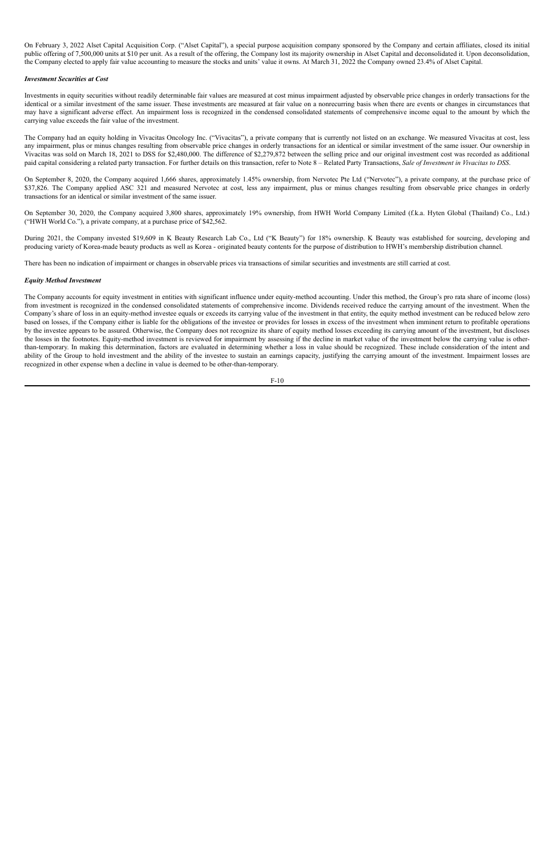On February 3, 2022 Alset Capital Acquisition Corp. ("Alset Capital"), a special purpose acquisition company sponsored by the Company and certain affiliates, closed its initial public offering of 7,500,000 units at \$10 per unit. As a result of the offering, the Company lost its majority ownership in Alset Capital and deconsolidated it. Upon deconsolidation, the Company elected to apply fair value accounting to measure the stocks and units' value it owns. At March 31, 2022 the Company owned 23.4% of Alset Capital.

## *Investment Securities at Cost*

The Company had an equity holding in Vivacitas Oncology Inc. ("Vivacitas"), a private company that is currently not listed on an exchange. We measured Vivacitas at cost, less any impairment, plus or minus changes resulting from observable price changes in orderly transactions for an identical or similar investment of the same issuer. Our ownership in Vivacitas was sold on March 18, 2021 to DSS for \$2,480,000. The difference of \$2,279,872 between the selling price and our original investment cost was recorded as additional paid capital considering a related party transaction. For further details on this transaction, refer to Note 8 - Related Party Transactions, Sale of Investment in Vivacitas to DSS.

Investments in equity securities without readily determinable fair values are measured at cost minus impairment adjusted by observable price changes in orderly transactions for the identical or a similar investment of the same issuer. These investments are measured at fair value on a nonrecurring basis when there are events or changes in circumstances that may have a significant adverse effect. An impairment loss is recognized in the condensed consolidated statements of comprehensive income equal to the amount by which the carrying value exceeds the fair value of the investment.

On September 8, 2020, the Company acquired 1,666 shares, approximately 1.45% ownership, from Nervotec Pte Ltd ("Nervotec"), a private company, at the purchase price of \$37,826. The Company applied ASC 321 and measured Nervotec at cost, less any impairment, plus or minus changes resulting from observable price changes in orderly transactions for an identical or similar investment of the same issuer.

On September 30, 2020, the Company acquired 3,800 shares, approximately 19% ownership, from HWH World Company Limited (f.k.a. Hyten Global (Thailand) Co., Ltd.) ("HWH World Co."), a private company, at a purchase price of \$42,562.

During 2021, the Company invested \$19,609 in K Beauty Research Lab Co., Ltd ("K Beauty") for 18% ownership. K Beauty was established for sourcing, developing and producing variety of Korea-made beauty products as well as Korea - originated beauty contents for the purpose of distribution to HWH's membership distribution channel.

There has been no indication of impairment or changes in observable prices via transactions of similar securities and investments are still carried at cost.

## *Equity Method Investment*

The Company accounts for equity investment in entities with significant influence under equity-method accounting. Under this method, the Group's pro rata share of income (loss) from investment is recognized in the condensed consolidated statements of comprehensive income. Dividends received reduce the carrying amount of the investment. When the Company's share of loss in an equity-method investee equals or exceeds its carrying value of the investment in that entity, the equity method investment can be reduced below zero based on losses, if the Company either is liable for the obligations of the investee or provides for losses in excess of the investment when imminent return to profitable operations by the investee appears to be assured. Otherwise, the Company does not recognize its share of equity method losses exceeding its carrying amount of the investment, but discloses the losses in the footnotes. Equity-method investment is reviewed for impairment by assessing if the decline in market value of the investment below the carrying value is otherthan-temporary. In making this determination, factors are evaluated in determining whether a loss in value should be recognized. These include consideration of the intent and ability of the Group to hold investment and the ability of the investee to sustain an earnings capacity, justifying the carrying amount of the investment. Impairment losses are recognized in other expense when a decline in value is deemed to be other-than-temporary.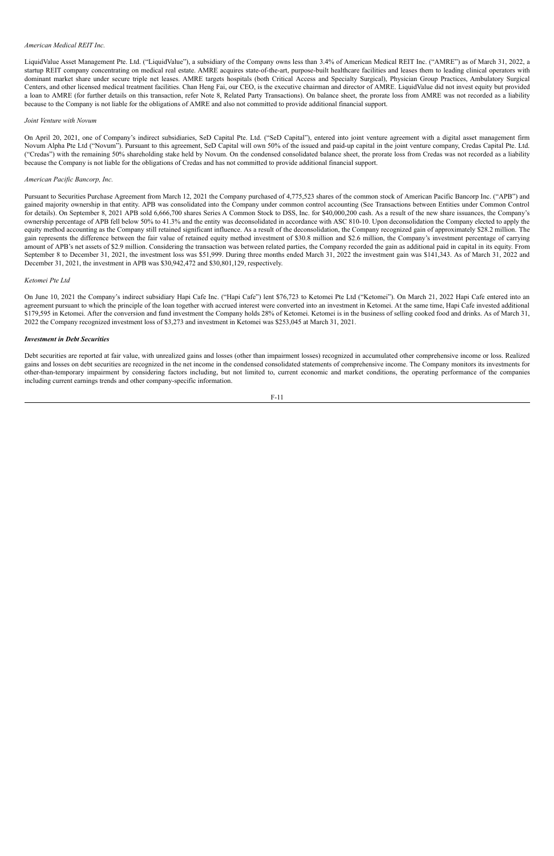## *American Medical REIT Inc.*

LiquidValue Asset Management Pte. Ltd. ("LiquidValue"), a subsidiary of the Company owns less than 3.4% of American Medical REIT Inc. ("AMRE") as of March 31, 2022, a startup REIT company concentrating on medical real estate. AMRE acquires state-of-the-art, purpose-built healthcare facilities and leases them to leading clinical operators with dominant market share under secure triple net leases. AMRE targets hospitals (both Critical Access and Specialty Surgical), Physician Group Practices, Ambulatory Surgical Centers, and other licensed medical treatment facilities. Chan Heng Fai, our CEO, is the executive chairman and director of AMRE. LiquidValue did not invest equity but provided a loan to AMRE (for further details on this transaction, refer Note 8, Related Party Transactions). On balance sheet, the prorate loss from AMRE was not recorded as a liability because to the Company is not liable for the obligations of AMRE and also not committed to provide additional financial support.

#### *Joint Venture with Novum*

On April 20, 2021, one of Company's indirect subsidiaries, SeD Capital Pte. Ltd. ("SeD Capital"), entered into joint venture agreement with a digital asset management firm Novum Alpha Pte Ltd ("Novum"). Pursuant to this agreement, SeD Capital will own 50% of the issued and paid-up capital in the joint venture company, Credas Capital Pte. Ltd. ("Credas") with the remaining 50% shareholding stake held by Novum. On the condensed consolidated balance sheet, the prorate loss from Credas was not recorded as a liability because the Company is not liable for the obligations of Credas and has not committed to provide additional financial support.

#### *American Pacific Bancorp, Inc.*

Pursuant to Securities Purchase Agreement from March 12, 2021 the Company purchased of 4,775,523 shares of the common stock of American Pacific Bancorp Inc. ("APB") and gained majority ownership in that entity. APB was consolidated into the Company under common control accounting (See Transactions between Entities under Common Control for details). On September 8, 2021 APB sold 6,666,700 shares Series A Common Stock to DSS, Inc. for \$40,000,200 cash. As a result of the new share issuances, the Company's ownership percentage of APB fell below 50% to 41.3% and the entity was deconsolidated in accordance with ASC 810-10. Upon deconsolidation the Company elected to apply the equity method accounting as the Company still retained significant influence. As a result of the deconsolidation, the Company recognized gain of approximately \$28.2 million. The gain represents the difference between the fair value of retained equity method investment of \$30.8 million and \$2.6 million, the Company's investment percentage of carrying amount of APB's net assets of \$2.9 million. Considering the transaction was between related parties, the Company recorded the gain as additional paid in capital in its equity. From September 8 to December 31, 2021, the investment loss was \$51,999. During three months ended March 31, 2022 the investment gain was \$141,343. As of March 31, 2022 and December 31, 2021, the investment in APB was \$30,942,472 and \$30,801,129, respectively.

## *Ketomei Pte Ltd*

On June 10, 2021 the Company's indirect subsidiary Hapi Cafe Inc. ("Hapi Cafe") lent \$76,723 to Ketomei Pte Ltd ("Ketomei"). On March 21, 2022 Hapi Cafe entered into an agreement pursuant to which the principle of the loan together with accrued interest were converted into an investment in Ketomei. At the same time, Hapi Cafe invested additional \$179,595 in Ketomei. After the conversion and fund investment the Company holds 28% of Ketomei. Ketomei is in the business of selling cooked food and drinks. As of March 31, 2022 the Company recognized investment loss of \$3,273 and investment in Ketomei was \$253,045 at March 31, 2021.

## *Investment in Debt Securities*

Debt securities are reported at fair value, with unrealized gains and losses (other than impairment losses) recognized in accumulated other comprehensive income or loss. Realized gains and losses on debt securities are recognized in the net income in the condensed consolidated statements of comprehensive income. The Company monitors its investments for other-than-temporary impairment by considering factors including, but not limited to, current economic and market conditions, the operating performance of the companies including current earnings trends and other company-specific information.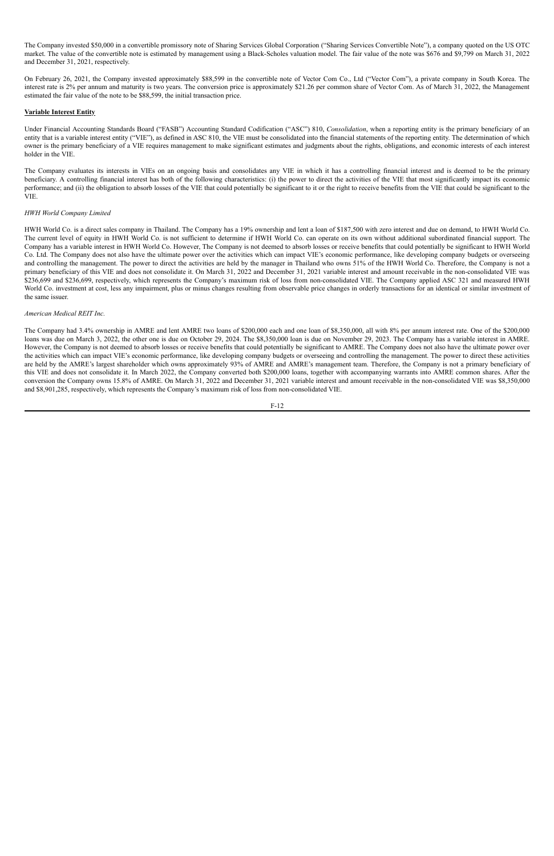The Company invested \$50,000 in a convertible promissory note of Sharing Services Global Corporation ("Sharing Services Convertible Note"), a company quoted on the US OTC market. The value of the convertible note is estimated by management using a Black-Scholes valuation model. The fair value of the note was \$676 and \$9,799 on March 31, 2022 and December 31, 2021, respectively.

On February 26, 2021, the Company invested approximately \$88,599 in the convertible note of Vector Com Co., Ltd ("Vector Com"), a private company in South Korea. The interest rate is 2% per annum and maturity is two years. The conversion price is approximately \$21.26 per common share of Vector Com. As of March 31, 2022, the Management estimated the fair value of the note to be \$88,599, the initial transaction price.

## **Variable Interest Entity**

Under Financial Accounting Standards Board ("FASB") Accounting Standard Codification ("ASC") 810, *Consolidation*, when a reporting entity is the primary beneficiary of an entity that is a variable interest entity ("VIE"), as defined in ASC 810, the VIE must be consolidated into the financial statements of the reporting entity. The determination of which owner is the primary beneficiary of a VIE requires management to make significant estimates and judgments about the rights, obligations, and economic interests of each interest holder in the VIE.

The Company evaluates its interests in VIEs on an ongoing basis and consolidates any VIE in which it has a controlling financial interest and is deemed to be the primary beneficiary. A controlling financial interest has both of the following characteristics: (i) the power to direct the activities of the VIE that most significantly impact its economic performance; and (ii) the obligation to absorb losses of the VIE that could potentially be significant to it or the right to receive benefits from the VIE that could be significant to the VIE.

## *HWH World Company Limited*

HWH World Co. is a direct sales company in Thailand. The Company has a 19% ownership and lent a loan of \$187,500 with zero interest and due on demand, to HWH World Co. The current level of equity in HWH World Co. is not sufficient to determine if HWH World Co. can operate on its own without additional subordinated financial support. The Company has a variable interest in HWH World Co. However, The Company is not deemed to absorb losses or receive benefits that could potentially be significant to HWH World Co. Ltd. The Company does not also have the ultimate power over the activities which can impact VIE's economic performance, like developing company budgets or overseeing and controlling the management. The power to direct the activities are held by the manager in Thailand who owns 51% of the HWH World Co. Therefore, the Company is not a primary beneficiary of this VIE and does not consolidate it. On March 31, 2022 and December 31, 2021 variable interest and amount receivable in the non-consolidated VIE was \$236,699 and \$236,699, respectively, which represents the Company's maximum risk of loss from non-consolidated VIE. The Company applied ASC 321 and measured HWH World Co. investment at cost, less any impairment, plus or minus changes resulting from observable price changes in orderly transactions for an identical or similar investment of the same issuer.

## *American Medical REIT Inc.*

The Company had 3.4% ownership in AMRE and lent AMRE two loans of \$200,000 each and one loan of \$8,350,000, all with 8% per annum interest rate. One of the \$200,000 loans was due on March 3, 2022, the other one is due on October 29, 2024. The \$8,350,000 loan is due on November 29, 2023. The Company has a variable interest in AMRE. However, the Company is not deemed to absorb losses or receive benefits that could potentially be significant to AMRE. The Company does not also have the ultimate power over the activities which can impact VIE's economic performance, like developing company budgets or overseeing and controlling the management. The power to direct these activities are held by the AMRE's largest shareholder which owns approximately 93% of AMRE and AMRE's management team. Therefore, the Company is not a primary beneficiary of this VIE and does not consolidate it. In March 2022, the Company converted both \$200,000 loans, together with accompanying warrants into AMRE common shares. After the conversion the Company owns 15.8% of AMRE. On March 31, 2022 and December 31, 2021 variable interest and amount receivable in the non-consolidated VIE was \$8,350,000 and \$8,901,285, respectively, which represents the Company's maximum risk of loss from non-consolidated VIE.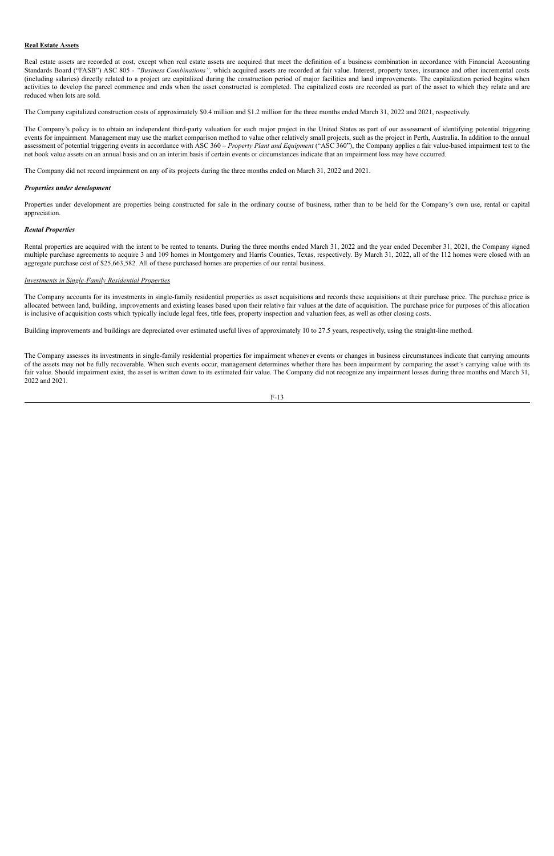## **Real Estate Assets**

Real estate assets are recorded at cost, except when real estate assets are acquired that meet the definition of a business combination in accordance with Financial Accounting Standards Board ("FASB") ASC 805 - *"Business Combinations",* which acquired assets are recorded at fair value. Interest, property taxes, insurance and other incremental costs (including salaries) directly related to a project are capitalized during the construction period of major facilities and land improvements. The capitalization period begins when activities to develop the parcel commence and ends when the asset constructed is completed. The capitalized costs are recorded as part of the asset to which they relate and are reduced when lots are sold.

The Company capitalized construction costs of approximately \$0.4 million and \$1.2 million for the three months ended March 31, 2022 and 2021, respectively.

The Company's policy is to obtain an independent third-party valuation for each major project in the United States as part of our assessment of identifying potential triggering events for impairment. Management may use the market comparison method to value other relatively small projects, such as the project in Perth, Australia. In addition to the annual assessment of potential triggering events in accordance with ASC 360 – *Property Plant and Equipment* ("ASC 360"), the Company applies a fair value-based impairment test to the net book value assets on an annual basis and on an interim basis if certain events or circumstances indicate that an impairment loss may have occurred.

The Company did not record impairment on any of its projects during the three months ended on March 31, 2022 and 2021.

#### *Properties under development*

Properties under development are properties being constructed for sale in the ordinary course of business, rather than to be held for the Company's own use, rental or capital appreciation.

#### *Rental Properties*

Rental properties are acquired with the intent to be rented to tenants. During the three months ended March 31, 2022 and the year ended December 31, 2021, the Company signed multiple purchase agreements to acquire 3 and 109 homes in Montgomery and Harris Counties, Texas, respectively. By March 31, 2022, all of the 112 homes were closed with an aggregate purchase cost of \$25,663,582. All of these purchased homes are properties of our rental business.

## *Investments in Single-Family Residential Properties*

The Company accounts for its investments in single-family residential properties as asset acquisitions and records these acquisitions at their purchase price. The purchase price is allocated between land, building, improvements and existing leases based upon their relative fair values at the date of acquisition. The purchase price for purposes of this allocation is inclusive of acquisition costs which typically include legal fees, title fees, property inspection and valuation fees, as well as other closing costs.

Building improvements and buildings are depreciated over estimated useful lives of approximately 10 to 27.5 years, respectively, using the straight-line method.

The Company assesses its investments in single-family residential properties for impairment whenever events or changes in business circumstances indicate that carrying amounts of the assets may not be fully recoverable. When such events occur, management determines whether there has been impairment by comparing the asset's carrying value with its fair value. Should impairment exist, the asset is written down to its estimated fair value. The Company did not recognize any impairment losses during three months end March 31, 2022 and 2021.

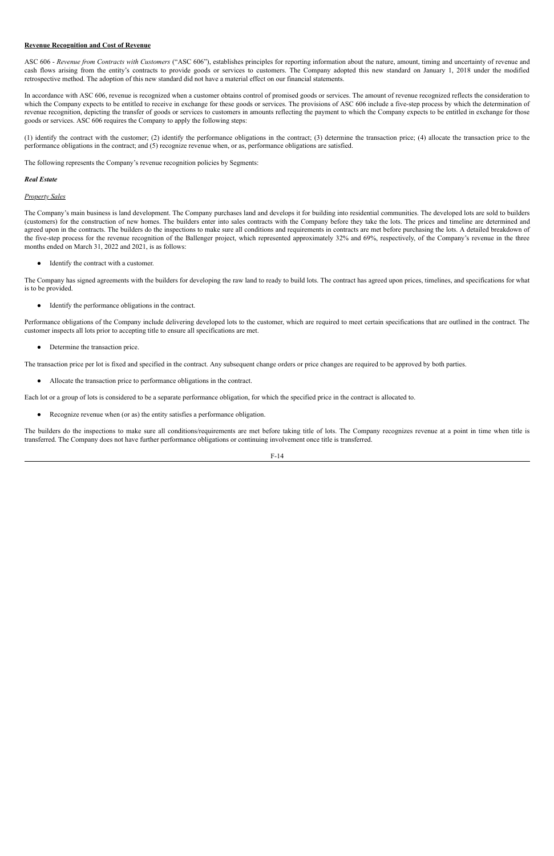## **Revenue Recognition and Cost of Revenue**

ASC 606 - *Revenue from Contracts with Customers* ("ASC 606"), establishes principles for reporting information about the nature, amount, timing and uncertainty of revenue and cash flows arising from the entity's contracts to provide goods or services to customers. The Company adopted this new standard on January 1, 2018 under the modified retrospective method. The adoption of this new standard did not have a material effect on our financial statements.

In accordance with ASC 606, revenue is recognized when a customer obtains control of promised goods or services. The amount of revenue recognized reflects the consideration to which the Company expects to be entitled to receive in exchange for these goods or services. The provisions of ASC 606 include a five-step process by which the determination of revenue recognition, depicting the transfer of goods or services to customers in amounts reflecting the payment to which the Company expects to be entitled in exchange for those goods or services. ASC 606 requires the Company to apply the following steps:

(1) identify the contract with the customer; (2) identify the performance obligations in the contract; (3) determine the transaction price; (4) allocate the transaction price to the performance obligations in the contract; and (5) recognize revenue when, or as, performance obligations are satisfied.

The following represents the Company's revenue recognition policies by Segments:

## *Real Estate*

## *Property Sales*

The Company's main business is land development. The Company purchases land and develops it for building into residential communities. The developed lots are sold to builders (customers) for the construction of new homes. The builders enter into sales contracts with the Company before they take the lots. The prices and timeline are determined and agreed upon in the contracts. The builders do the inspections to make sure all conditions and requirements in contracts are met before purchasing the lots. A detailed breakdown of the five-step process for the revenue recognition of the Ballenger project, which represented approximately 32% and 69%, respectively, of the Company's revenue in the three months ended on March 31, 2022 and 2021, is as follows:

● Identify the contract with a customer.

The Company has signed agreements with the builders for developing the raw land to ready to build lots. The contract has agreed upon prices, timelines, and specifications for what is to be provided.

Identify the performance obligations in the contract.

Performance obligations of the Company include delivering developed lots to the customer, which are required to meet certain specifications that are outlined in the contract. The customer inspects all lots prior to accepting title to ensure all specifications are met.

• Determine the transaction price.

The transaction price per lot is fixed and specified in the contract. Any subsequent change orders or price changes are required to be approved by both parties.

● Allocate the transaction price to performance obligations in the contract.

Each lot or a group of lots is considered to be a separate performance obligation, for which the specified price in the contract is allocated to.

● Recognize revenue when (or as) the entity satisfies a performance obligation.

The builders do the inspections to make sure all conditions/requirements are met before taking title of lots. The Company recognizes revenue at a point in time when title is transferred. The Company does not have further performance obligations or continuing involvement once title is transferred.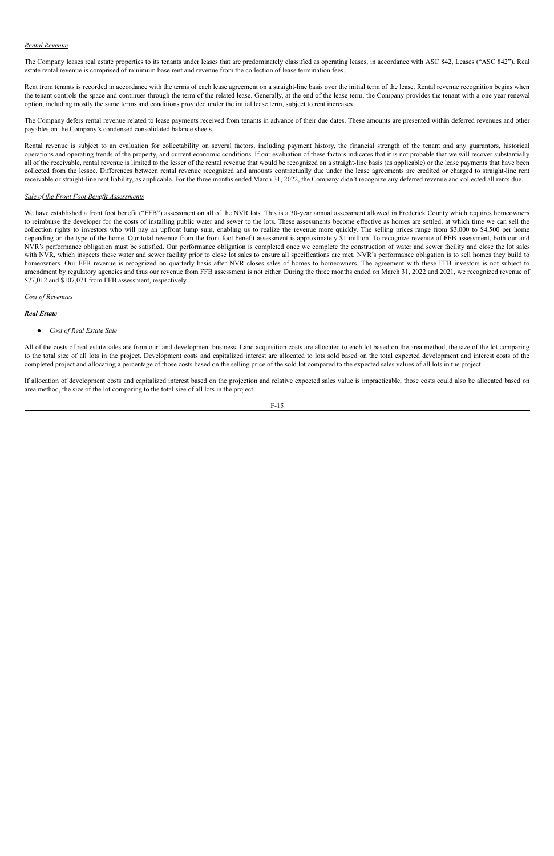## *Rental Revenue*

The Company leases real estate properties to its tenants under leases that are predominately classified as operating leases, in accordance with ASC 842, Leases ("ASC 842"). Real estate rental revenue is comprised of minimum base rent and revenue from the collection of lease termination fees.

Rent from tenants is recorded in accordance with the terms of each lease agreement on a straight-line basis over the initial term of the lease. Rental revenue recognition begins when the tenant controls the space and continues through the term of the related lease. Generally, at the end of the lease term, the Company provides the tenant with a one year renewal option, including mostly the same terms and conditions provided under the initial lease term, subject to rent increases.

The Company defers rental revenue related to lease payments received from tenants in advance of their due dates. These amounts are presented within deferred revenues and other payables on the Company's condensed consolidated balance sheets.

Rental revenue is subject to an evaluation for collectability on several factors, including payment history, the financial strength of the tenant and any guarantors, historical operations and operating trends of the property, and current economic conditions. If our evaluation of these factors indicates that it is not probable that we will recover substantially all of the receivable, rental revenue is limited to the lesser of the rental revenue that would be recognized on a straight-line basis (as applicable) or the lease payments that have been collected from the lessee. Differences between rental revenue recognized and amounts contractually due under the lease agreements are credited or charged to straight-line rent receivable or straight-line rent liability, as applicable. For the three months ended March 31, 2022, the Company didn't recognize any deferred revenue and collected all rents due.

#### *Sale of the Front Foot Benefit Assessments*

All of the costs of real estate sales are from our land development business. Land acquisition costs are allocated to each lot based on the area method, the size of the lot comparing to the total size of all lots in the project. Development costs and capitalized interest are allocated to lots sold based on the total expected development and interest costs of the completed project and allocating a percentage of those costs based on the selling price of the sold lot compared to the expected sales values of all lots in the project.

We have established a front foot benefit ("FFB") assessment on all of the NVR lots. This is a 30-year annual assessment allowed in Frederick County which requires homeowners to reimburse the developer for the costs of installing public water and sewer to the lots. These assessments become effective as homes are settled, at which time we can sell the collection rights to investors who will pay an upfront lump sum, enabling us to realize the revenue more quickly. The selling prices range from \$3,000 to \$4,500 per home depending on the type of the home. Our total revenue from the front foot benefit assessment is approximately \$1 million. To recognize revenue of FFB assessment, both our and NVR's performance obligation must be satisfied. Our performance obligation is completed once we complete the construction of water and sewer facility and close the lot sales with NVR, which inspects these water and sewer facility prior to close lot sales to ensure all specifications are met. NVR's performance obligation is to sell homes they build to homeowners. Our FFB revenue is recognized on quarterly basis after NVR closes sales of homes to homeowners. The agreement with these FFB investors is not subject to amendment by regulatory agencies and thus our revenue from FFB assessment is not either. During the three months ended on March 31, 2022 and 2021, we recognized revenue of \$77,012 and \$107,071 from FFB assessment, respectively.

#### *Cost of Revenues*

## *Real Estate*

● *Cost of Real Estate Sale*

If allocation of development costs and capitalized interest based on the projection and relative expected sales value is impracticable, those costs could also be allocated based on area method, the size of the lot comparing to the total size of all lots in the project.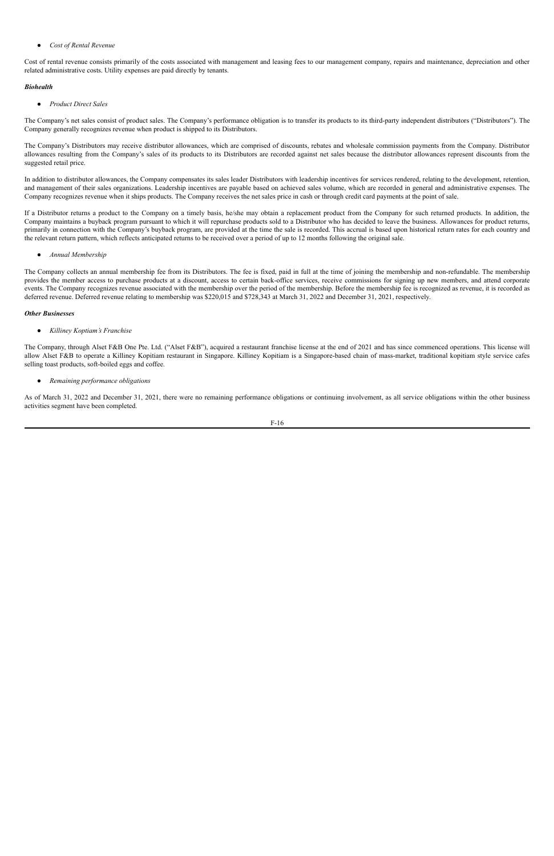● *Cost of Rental Revenue*

Cost of rental revenue consists primarily of the costs associated with management and leasing fees to our management company, repairs and maintenance, depreciation and other related administrative costs. Utility expenses are paid directly by tenants.

## *Biohealth*

● *Product Direct Sales*

The Company's net sales consist of product sales. The Company's performance obligation is to transfer its products to its third-party independent distributors ("Distributors"). The Company generally recognizes revenue when product is shipped to its Distributors.

In addition to distributor allowances, the Company compensates its sales leader Distributors with leadership incentives for services rendered, relating to the development, retention, and management of their sales organizations. Leadership incentives are payable based on achieved sales volume, which are recorded in general and administrative expenses. The Company recognizes revenue when it ships products. The Company receives the net sales price in cash or through credit card payments at the point of sale.

The Company's Distributors may receive distributor allowances, which are comprised of discounts, rebates and wholesale commission payments from the Company. Distributor allowances resulting from the Company's sales of its products to its Distributors are recorded against net sales because the distributor allowances represent discounts from the suggested retail price.

If a Distributor returns a product to the Company on a timely basis, he/she may obtain a replacement product from the Company for such returned products. In addition, the Company maintains a buyback program pursuant to which it will repurchase products sold to a Distributor who has decided to leave the business. Allowances for product returns, primarily in connection with the Company's buyback program, are provided at the time the sale is recorded. This accrual is based upon historical return rates for each country and the relevant return pattern, which reflects anticipated returns to be received over a period of up to 12 months following the original sale.

● *Annual Membership*

The Company collects an annual membership fee from its Distributors. The fee is fixed, paid in full at the time of joining the membership and non-refundable. The membership provides the member access to purchase products at a discount, access to certain back-office services, receive commissions for signing up new members, and attend corporate events. The Company recognizes revenue associated with the membership over the period of the membership. Before the membership fee is recognized as revenue, it is recorded as deferred revenue. Deferred revenue relating to membership was \$220,015 and \$728,343 at March 31, 2022 and December 31, 2021, respectively.

## *Other Businesses*

● *Killiney Koptiam's Franchise*

The Company, through Alset F&B One Pte. Ltd. ("Alset F&B"), acquired a restaurant franchise license at the end of 2021 and has since commenced operations. This license will allow Alset F&B to operate a Killiney Kopitiam restaurant in Singapore. Killiney Kopitiam is a Singapore-based chain of mass-market, traditional kopitiam style service cafes selling toast products, soft-boiled eggs and coffee.

● *Remaining performance obligations*

As of March 31, 2022 and December 31, 2021, there were no remaining performance obligations or continuing involvement, as all service obligations within the other business activities segment have been completed.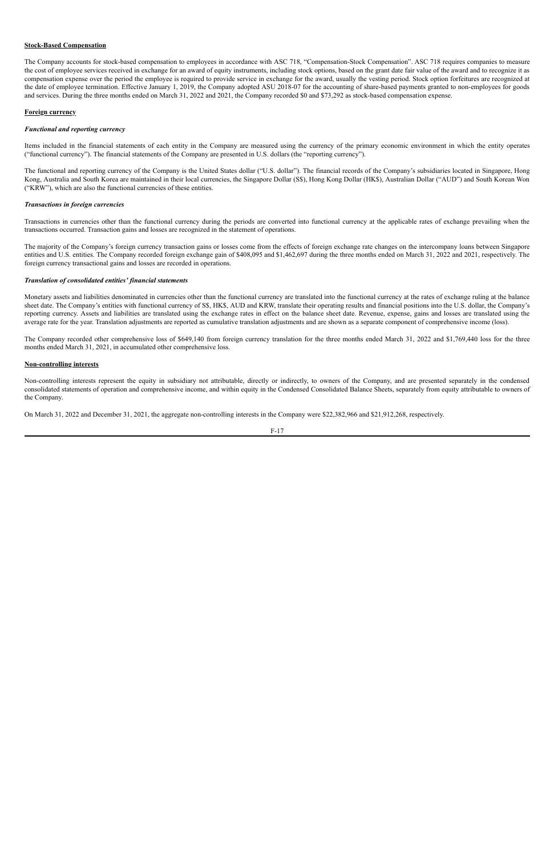## **Stock-Based Compensation**

The Company accounts for stock-based compensation to employees in accordance with ASC 718, "Compensation-Stock Compensation". ASC 718 requires companies to measure the cost of employee services received in exchange for an award of equity instruments, including stock options, based on the grant date fair value of the award and to recognize it as compensation expense over the period the employee is required to provide service in exchange for the award, usually the vesting period. Stock option forfeitures are recognized at the date of employee termination. Effective January 1, 2019, the Company adopted ASU 2018-07 for the accounting of share-based payments granted to non-employees for goods and services. During the three months ended on March 31, 2022 and 2021, the Company recorded \$0 and \$73,292 as stock-based compensation expense.

## **Foreign currency**

## *Functional and reporting currency*

Items included in the financial statements of each entity in the Company are measured using the currency of the primary economic environment in which the entity operates ("functional currency"). The financial statements of the Company are presented in U.S. dollars (the "reporting currency").

The functional and reporting currency of the Company is the United States dollar ("U.S. dollar"). The financial records of the Company's subsidiaries located in Singapore, Hong Kong, Australia and South Korea are maintained in their local currencies, the Singapore Dollar (S\$), Hong Kong Dollar (HK\$), Australian Dollar ("AUD") and South Korean Won ("KRW"), which are also the functional currencies of these entities.

## *Transactions in foreign currencies*

Transactions in currencies other than the functional currency during the periods are converted into functional currency at the applicable rates of exchange prevailing when the transactions occurred. Transaction gains and losses are recognized in the statement of operations.

The majority of the Company's foreign currency transaction gains or losses come from the effects of foreign exchange rate changes on the intercompany loans between Singapore entities and U.S. entities. The Company recorded foreign exchange gain of \$408,095 and \$1,462,697 during the three months ended on March 31, 2022 and 2021, respectively. The foreign currency transactional gains and losses are recorded in operations.

## *Translation of consolidated entities' financial statements*

Monetary assets and liabilities denominated in currencies other than the functional currency are translated into the functional currency at the rates of exchange ruling at the balance sheet date. The Company's entities with functional currency of S\$, HK\$, AUD and KRW, translate their operating results and financial positions into the U.S. dollar, the Company's reporting currency. Assets and liabilities are translated using the exchange rates in effect on the balance sheet date. Revenue, expense, gains and losses are translated using the average rate for the year. Translation adjustments are reported as cumulative translation adjustments and are shown as a separate component of comprehensive income (loss).

The Company recorded other comprehensive loss of \$649,140 from foreign currency translation for the three months ended March 31, 2022 and \$1,769,440 loss for the three months ended March 31, 2021, in accumulated other comprehensive loss.

## **Non-controlling interests**

Non-controlling interests represent the equity in subsidiary not attributable, directly or indirectly, to owners of the Company, and are presented separately in the condensed consolidated statements of operation and comprehensive income, and within equity in the Condensed Consolidated Balance Sheets, separately from equity attributable to owners of the Company.

On March 31, 2022 and December 31, 2021, the aggregate non-controlling interests in the Company were \$22,382,966 and \$21,912,268, respectively.

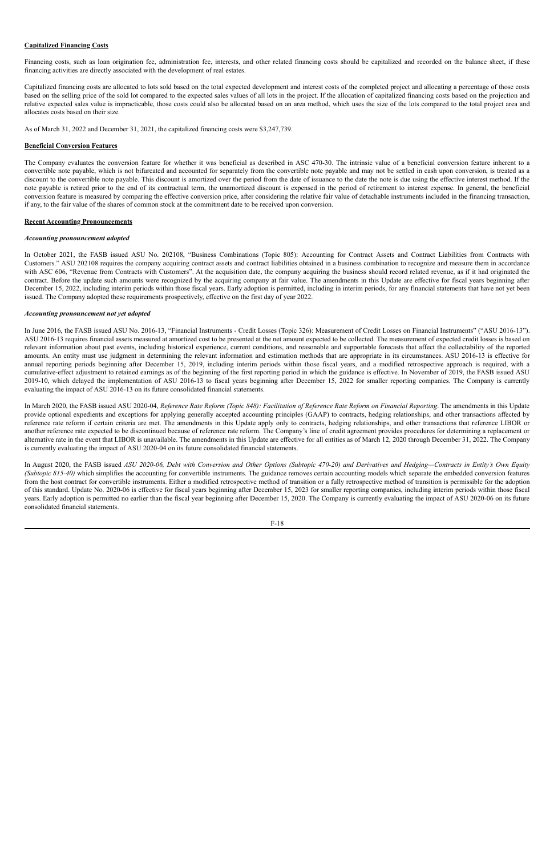## **Capitalized Financing Costs**

Financing costs, such as loan origination fee, administration fee, interests, and other related financing costs should be capitalized and recorded on the balance sheet, if these financing activities are directly associated with the development of real estates.

Capitalized financing costs are allocated to lots sold based on the total expected development and interest costs of the completed project and allocating a percentage of those costs based on the selling price of the sold lot compared to the expected sales values of all lots in the project. If the allocation of capitalized financing costs based on the projection and relative expected sales value is impracticable, those costs could also be allocated based on an area method, which uses the size of the lots compared to the total project area and allocates costs based on their size.

As of March 31, 2022 and December 31, 2021, the capitalized financing costs were \$3,247,739.

## **Beneficial Conversion Features**

The Company evaluates the conversion feature for whether it was beneficial as described in ASC 470-30. The intrinsic value of a beneficial conversion feature inherent to a convertible note payable, which is not bifurcated and accounted for separately from the convertible note payable and may not be settled in cash upon conversion, is treated as a discount to the convertible note payable. This discount is amortized over the period from the date of issuance to the date the note is due using the effective interest method. If the note payable is retired prior to the end of its contractual term, the unamortized discount is expensed in the period of retirement to interest expense. In general, the beneficial conversion feature is measured by comparing the effective conversion price, after considering the relative fair value of detachable instruments included in the financing transaction, if any, to the fair value of the shares of common stock at the commitment date to be received upon conversion.

In October 2021, the FASB issued ASU No. 202108, "Business Combinations (Topic 805): Accounting for Contract Assets and Contract Liabilities from Contracts with Customers." ASU 202108 requires the company acquiring contract assets and contract liabilities obtained in a business combination to recognize and measure them in accordance with ASC 606, "Revenue from Contracts with Customers". At the acquisition date, the company acquiring the business should record related revenue, as if it had originated the contract. Before the update such amounts were recognized by the acquiring company at fair value. The amendments in this Update are effective for fiscal years beginning after December 15, 2022, including interim periods within those fiscal years. Early adoption is permitted, including in interim periods, for any financial statements that have not yet been issued. The Company adopted these requirements prospectively, effective on the first day of year 2022.

## **Recent Accounting Pronouncements**

## *Accounting pronouncement adopted*

In March 2020, the FASB issued ASU 2020-04, Reference Rate Reform (Topic 848): Facilitation of Reference Rate Reform on Financial Reporting. The amendments in this Update provide optional expedients and exceptions for applying generally accepted accounting principles (GAAP) to contracts, hedging relationships, and other transactions affected by reference rate reform if certain criteria are met. The amendments in this Update apply only to contracts, hedging relationships, and other transactions that reference LIBOR or another reference rate expected to be discontinued because of reference rate reform. The Company's line of credit agreement provides procedures for determining a replacement or alternative rate in the event that LIBOR is unavailable. The amendments in this Update are effective for all entities as of March 12, 2020 through December 31, 2022. The Company is currently evaluating the impact of ASU 2020-04 on its future consolidated financial statements.

## *Accounting pronouncement not yet adopted*

In August 2020, the FASB issued ASU 2020-06, Debt with Conversion and Other Options (Subtopic 470-20) and Derivatives and Hedging-Contracts in Entity's Own Equity *(Subtopic 815-40)* which simplifies the accounting for convertible instruments. The guidance removes certain accounting models which separate the embedded conversion features from the host contract for convertible instruments. Either a modified retrospective method of transition or a fully retrospective method of transition is permissible for the adoption of this standard. Update No. 2020-06 is effective for fiscal years beginning after December 15, 2023 for smaller reporting companies, including interim periods within those fiscal years. Early adoption is permitted no earlier than the fiscal year beginning after December 15, 2020. The Company is currently evaluating the impact of ASU 2020-06 on its future consolidated financial statements.

In June 2016, the FASB issued ASU No. 2016-13, "Financial Instruments - Credit Losses (Topic 326): Measurement of Credit Losses on Financial Instruments" ("ASU 2016-13"). ASU 2016-13 requires financial assets measured at amortized cost to be presented at the net amount expected to be collected. The measurement of expected credit losses is based on relevant information about past events, including historical experience, current conditions, and reasonable and supportable forecasts that affect the collectability of the reported amounts. An entity must use judgment in determining the relevant information and estimation methods that are appropriate in its circumstances. ASU 2016-13 is effective for annual reporting periods beginning after December 15, 2019, including interim periods within those fiscal years, and a modified retrospective approach is required, with a cumulative-effect adjustment to retained earnings as of the beginning of the first reporting period in which the guidance is effective. In November of 2019, the FASB issued ASU 2019-10, which delayed the implementation of ASU 2016-13 to fiscal years beginning after December 15, 2022 for smaller reporting companies. The Company is currently evaluating the impact of ASU 2016-13 on its future consolidated financial statements.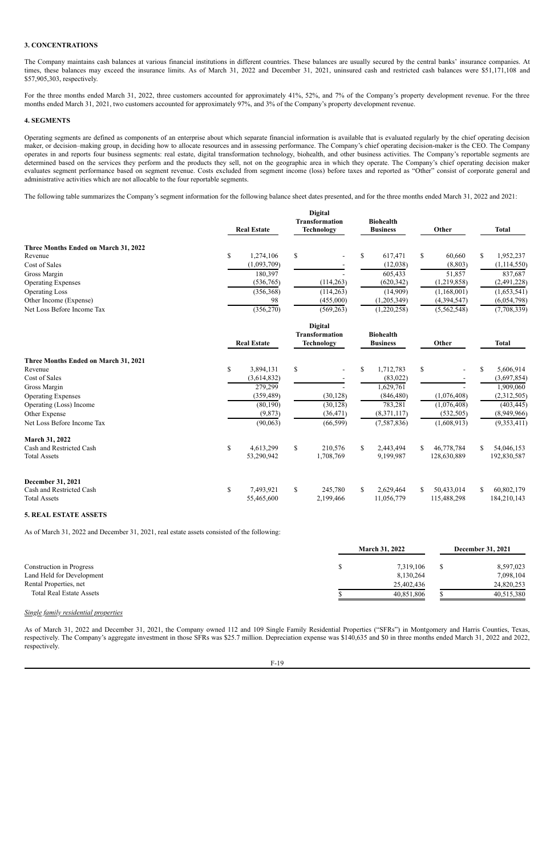#### **3. CONCENTRATIONS**

The Company maintains cash balances at various financial institutions in different countries. These balances are usually secured by the central banks' insurance companies. At times, these balances may exceed the insurance limits. As of March 31, 2022 and December 31, 2021, uninsured cash and restricted cash balances were \$51,171,108 and \$57,905,303, respectively.

For the three months ended March 31, 2022, three customers accounted for approximately 41%, 52%, and 7% of the Company's property development revenue. For the three months ended March 31, 2021, two customers accounted for approximately 97%, and 3% of the Company's property development revenue.

#### **4. SEGMENTS**

Operating segments are defined as components of an enterprise about which separate financial information is available that is evaluated regularly by the chief operating decision maker, or decision–making group, in deciding how to allocate resources and in assessing performance. The Company's chief operating decision-maker is the CEO. The Company operates in and reports four business segments: real estate, digital transformation technology, biohealth, and other business activities. The Company's reportable segments are determined based on the services they perform and the products they sell, not on the geographic area in which they operate. The Company's chief operating decision maker evaluates segment performance based on segment revenue. Costs excluded from segment income (loss) before taxes and reported as "Other" consist of corporate general and administrative activities which are not allocable to the four reportable segments.

The following table summarizes the Company's segment information for the following balance sheet dates presented, and for the three months ended March 31, 2022 and 2021:

|                                      |              | <b>Real Estate</b> |      | <b>Digital</b><br><b>Transformation</b><br><b>Technology</b> |      | <b>Biohealth</b><br><b>Business</b> |    | Other       | <b>Total</b>     |
|--------------------------------------|--------------|--------------------|------|--------------------------------------------------------------|------|-------------------------------------|----|-------------|------------------|
| Three Months Ended on March 31, 2022 |              |                    |      |                                                              |      |                                     |    |             |                  |
| Revenue                              | $\$$         | 1,274,106          | \$   |                                                              | \$   | 617,471                             | \$ | 60,660      | \$<br>1,952,237  |
| Cost of Sales                        |              | (1,093,709)        |      |                                                              |      | (12,038)                            |    | (8, 803)    | (1, 114, 550)    |
| Gross Margin                         |              | 180,397            |      |                                                              |      | 605,433                             |    | 51,857      | 837,687          |
| <b>Operating Expenses</b>            |              | (536,765)          |      | (114, 263)                                                   |      | (620, 342)                          |    | (1,219,858) | (2,491,228)      |
| <b>Operating Loss</b>                |              | (356, 368)         |      | (114, 263)                                                   |      | (14,909)                            |    | (1,168,001) | (1,653,541)      |
| Other Income (Expense)               |              | 98                 |      | (455,000)                                                    |      | (1,205,349)                         |    | (4,394,547) | (6,054,798)      |
| Net Loss Before Income Tax           |              | (356, 270)         |      | (569, 263)                                                   |      | (1,220,258)                         |    | (5,562,548) | (7,708,339)      |
|                                      |              | <b>Real Estate</b> |      | <b>Digital</b><br><b>Transformation</b><br>Technology        |      | <b>Biohealth</b><br><b>Business</b> |    | Other       | <b>Total</b>     |
|                                      |              |                    |      |                                                              |      |                                     |    |             |                  |
| Three Months Ended on March 31, 2021 |              |                    |      |                                                              |      |                                     |    |             |                  |
| Revenue                              | $\mathbb{S}$ | 3,894,131          | $\$$ |                                                              | $\$$ | 1,712,783                           | \$ |             | \$<br>5,606,914  |
| Cost of Sales                        |              | (3,614,832)        |      |                                                              |      | (83, 022)                           |    |             | (3,697,854)      |
| Gross Margin                         |              | 279,299            |      |                                                              |      | 1,629,761                           |    |             | 1,909,060        |
| <b>Operating Expenses</b>            |              | (359, 489)         |      | (30, 128)                                                    |      | (846, 480)                          |    | (1,076,408) | (2,312,505)      |
| Operating (Loss) Income              |              | (80, 190)          |      | (30, 128)                                                    |      | 783,281                             |    | (1,076,408) | (403, 445)       |
| Other Expense                        |              | (9,873)            |      | (36, 471)                                                    |      | (8,371,117)                         |    | (532, 505)  | (8,949,966)      |
| Net Loss Before Income Tax           |              | (90,063)           |      | (66, 599)                                                    |      | (7,587,836)                         |    | (1,608,913) | (9,353,411)      |
| March 31, 2022                       |              |                    |      |                                                              |      |                                     |    |             |                  |
| Cash and Restricted Cash             | $\mathbb S$  | 4,613,299          | \$   | 210,576                                                      | \$   | 2,443,494                           | \$ | 46,778,784  | \$<br>54,046,153 |
| <b>Total Assets</b>                  |              | 53,290,942         |      | 1,708,769                                                    |      | 9,199,987                           |    | 128,630,889 | 192,830,587      |
| December 31, 2021                    |              |                    |      |                                                              |      |                                     |    |             |                  |
| Cash and Restricted Cash             | \$           | 7,493,921          | \$   | 245,780                                                      | \$   | 2,629,464                           | S  | 50,433,014  | \$<br>60,802,179 |
| <b>Total Assets</b>                  |              | 55,465,600         |      | 2,199,466                                                    |      | 11,056,779                          |    | 115,488,298 | 184,210,143      |

#### **5. REAL ESTATE ASSETS**

As of March 31, 2022 and December 31, 2021, real estate assets consisted of the following:

|                                 | <b>March 31, 2022</b> | <b>December 31, 2021</b> |
|---------------------------------|-----------------------|--------------------------|
| <b>Construction in Progress</b> | 7,319,106             | 8,597,023                |
| Land Held for Development       | 8,130,264             | 7,098,104                |
| Rental Properties, net          | 25,402,436            | 24,820,253               |
| <b>Total Real Estate Assets</b> | 40,851,806            | 40,515,380               |

#### *Single family residential properties*

As of March 31, 2022 and December 31, 2021, the Company owned 112 and 109 Single Family Residential Properties ("SFRs") in Montgomery and Harris Counties, Texas, respectively. The Company's aggregate investment in those SFRs was \$25.7 million. Depreciation expense was \$140,635 and \$0 in three months ended March 31, 2022 and 2022, respectively.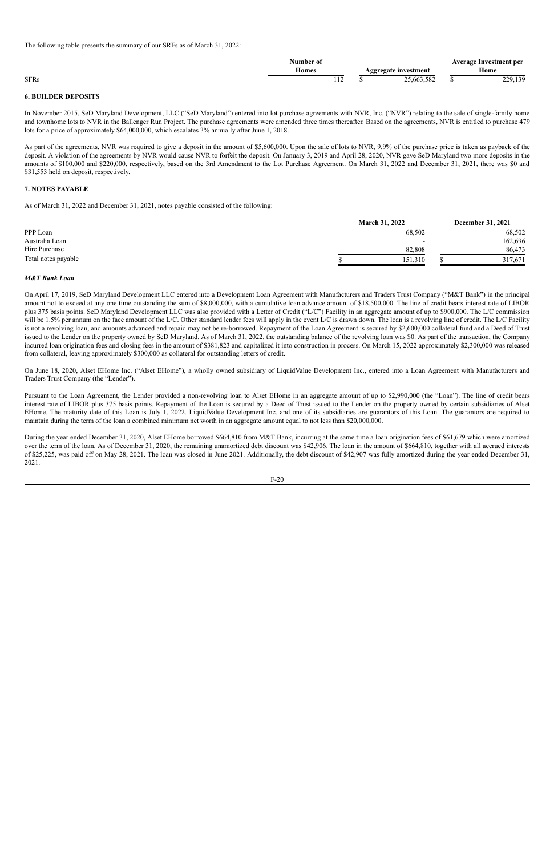The following table presents the summary of our SRFs as of March 31, 2022:

|             | Number of |                      | Average Investment per |
|-------------|-----------|----------------------|------------------------|
|             | Homes     | Aggregate investment | Home                   |
| <b>SFRs</b> | 1 1 Z     | 25,663,582           | 229,139                |

## **6. BUILDER DEPOSITS**

In November 2015, SeD Maryland Development, LLC ("SeD Maryland") entered into lot purchase agreements with NVR, Inc. ("NVR") relating to the sale of single-family home and townhome lots to NVR in the Ballenger Run Project. The purchase agreements were amended three times thereafter. Based on the agreements, NVR is entitled to purchase 479 lots for a price of approximately \$64,000,000, which escalates 3% annually after June 1, 2018.

As part of the agreements, NVR was required to give a deposit in the amount of \$5,600,000. Upon the sale of lots to NVR, 9.9% of the purchase price is taken as payback of the deposit. A violation of the agreements by NVR would cause NVR to forfeit the deposit. On January 3, 2019 and April 28, 2020, NVR gave SeD Maryland two more deposits in the amounts of \$100,000 and \$220,000, respectively, based on the 3rd Amendment to the Lot Purchase Agreement. On March 31, 2022 and December 31, 2021, there was \$0 and \$31,553 held on deposit, respectively.

# **7. NOTES PAYABLE**

As of March 31, 2022 and December 31, 2021, notes payable consisted of the following:

|                     | <b>March 31, 2022</b>    | <b>December 31, 2021</b> |
|---------------------|--------------------------|--------------------------|
| PPP Loan            | 68,502                   | 68,502                   |
| Australia Loan      | $\overline{\phantom{0}}$ | 162,696                  |
| Hire Purchase       | 82,808                   | 86,473                   |
| Total notes payable | 151,310                  | 317.671                  |

#### *M&T Bank Loan*

Pursuant to the Loan Agreement, the Lender provided a non-revolving loan to Alset EHome in an aggregate amount of up to \$2,990,000 (the "Loan"). The line of credit bears interest rate of LIBOR plus 375 basis points. Repayment of the Loan is secured by a Deed of Trust issued to the Lender on the property owned by certain subsidiaries of Alset EHome. The maturity date of this Loan is July 1, 2022. LiquidValue Development Inc. and one of its subsidiaries are guarantors of this Loan. The guarantors are required to maintain during the term of the loan a combined minimum net worth in an aggregate amount equal to not less than \$20,000,000.

On April 17, 2019, SeD Maryland Development LLC entered into a Development Loan Agreement with Manufacturers and Traders Trust Company ("M&T Bank") in the principal amount not to exceed at any one time outstanding the sum of \$8,000,000, with a cumulative loan advance amount of \$18,500,000. The line of credit bears interest rate of LIBOR plus 375 basis points. SeD Maryland Development LLC was also provided with a Letter of Credit ("L/C") Facility in an aggregate amount of up to \$900,000. The L/C commission will be 1.5% per annum on the face amount of the L/C. Other standard lender fees will apply in the event L/C is drawn down. The loan is a revolving line of credit. The L/C Facility is not a revolving loan, and amounts advanced and repaid may not be re-borrowed. Repayment of the Loan Agreement is secured by \$2,600,000 collateral fund and a Deed of Trust issued to the Lender on the property owned by SeD Maryland. As of March 31, 2022, the outstanding balance of the revolving loan was \$0. As part of the transaction, the Company incurred loan origination fees and closing fees in the amount of \$381,823 and capitalized it into construction in process. On March 15, 2022 approximately \$2,300,000 was released from collateral, leaving approximately \$300,000 as collateral for outstanding letters of credit.

On June 18, 2020, Alset EHome Inc. ("Alset EHome"), a wholly owned subsidiary of LiquidValue Development Inc., entered into a Loan Agreement with Manufacturers and Traders Trust Company (the "Lender").

During the year ended December 31, 2020, Alset EHome borrowed \$664,810 from M&T Bank, incurring at the same time a loan origination fees of \$61,679 which were amortized over the term of the loan. As of December 31, 2020, the remaining unamortized debt discount was \$42,906. The loan in the amount of \$664,810, together with all accrued interests of \$25,225, was paid off on May 28, 2021. The loan was closed in June 2021. Additionally, the debt discount of \$42,907 was fully amortized during the year ended December 31, 2021.

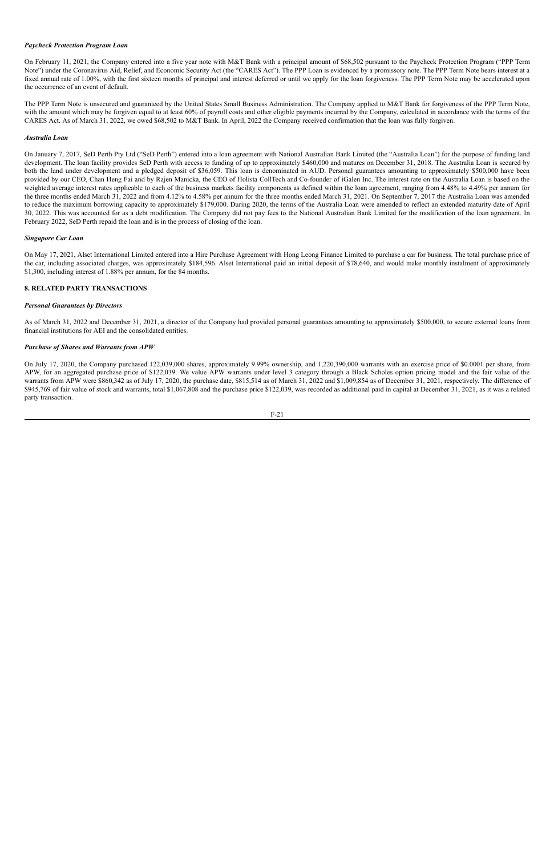## *Paycheck Protection Program Loan*

On February 11, 2021, the Company entered into a five year note with M&T Bank with a principal amount of \$68,502 pursuant to the Paycheck Protection Program ("PPP Term Note") under the Coronavirus Aid, Relief, and Economic Security Act (the "CARES Act"). The PPP Loan is evidenced by a promissory note. The PPP Term Note bears interest at a fixed annual rate of 1.00%, with the first sixteen months of principal and interest deferred or until we apply for the loan forgiveness. The PPP Term Note may be accelerated upon the occurrence of an event of default.

The PPP Term Note is unsecured and guaranteed by the United States Small Business Administration. The Company applied to M&T Bank for forgiveness of the PPP Term Note, with the amount which may be forgiven equal to at least 60% of payroll costs and other eligible payments incurred by the Company, calculated in accordance with the terms of the CARES Act. As of March 31, 2022, we owed \$68,502 to M&T Bank. In April, 2022 the Company received confirmation that the loan was fully forgiven.

## *Australia Loan*

On January 7, 2017, SeD Perth Pty Ltd ("SeD Perth") entered into a loan agreement with National Australian Bank Limited (the "Australia Loan") for the purpose of funding land development. The loan facility provides SeD Perth with access to funding of up to approximately \$460,000 and matures on December 31, 2018. The Australia Loan is secured by both the land under development and a pledged deposit of \$36,059. This loan is denominated in AUD. Personal guarantees amounting to approximately \$500,000 have been provided by our CEO, Chan Heng Fai and by Rajen Manicka, the CEO of Holista CollTech and Co-founder of iGalen Inc. The interest rate on the Australia Loan is based on the weighted average interest rates applicable to each of the business markets facility components as defined within the loan agreement, ranging from 4.48% to 4.49% per annum for the three months ended March 31, 2022 and from 4.12% to 4.58% per annum for the three months ended March 31, 2021. On September 7, 2017 the Australia Loan was amended to reduce the maximum borrowing capacity to approximately \$179,000. During 2020, the terms of the Australia Loan were amended to reflect an extended maturity date of April 30, 2022. This was accounted for as a debt modification. The Company did not pay fees to the National Australian Bank Limited for the modification of the loan agreement. In February 2022, SeD Perth repaid the loan and is in the process of closing of the loan.

#### *Singapore Car Loan*

On May 17, 2021, Alset International Limited entered into a Hire Purchase Agreement with Hong Leong Finance Limited to purchase a car for business. The total purchase price of the car, including associated charges, was approximately \$184,596. Alset International paid an initial deposit of \$78,640, and would make monthly instalment of approximately \$1,300, including interest of 1.88% per annum, for the 84 months.

## **8. RELATED PARTY TRANSACTIONS**

#### *Personal Guarantees by Directors*

As of March 31, 2022 and December 31, 2021, a director of the Company had provided personal guarantees amounting to approximately \$500,000, to secure external loans from financial institutions for AEI and the consolidated entities.

#### *Purchase of Shares and Warrants from APW*

On July 17, 2020, the Company purchased 122,039,000 shares, approximately 9.99% ownership, and 1,220,390,000 warrants with an exercise price of \$0.0001 per share, from APW, for an aggregated purchase price of \$122,039. We value APW warrants under level 3 category through a Black Scholes option pricing model and the fair value of the warrants from APW were \$860,342 as of July 17, 2020, the purchase date, \$815,514 as of March 31, 2022 and \$1,009,854 as of December 31, 2021, respectively. The difference of \$945,769 of fair value of stock and warrants, total \$1,067,808 and the purchase price \$122,039, was recorded as additional paid in capital at December 31, 2021, as it was a related party transaction.

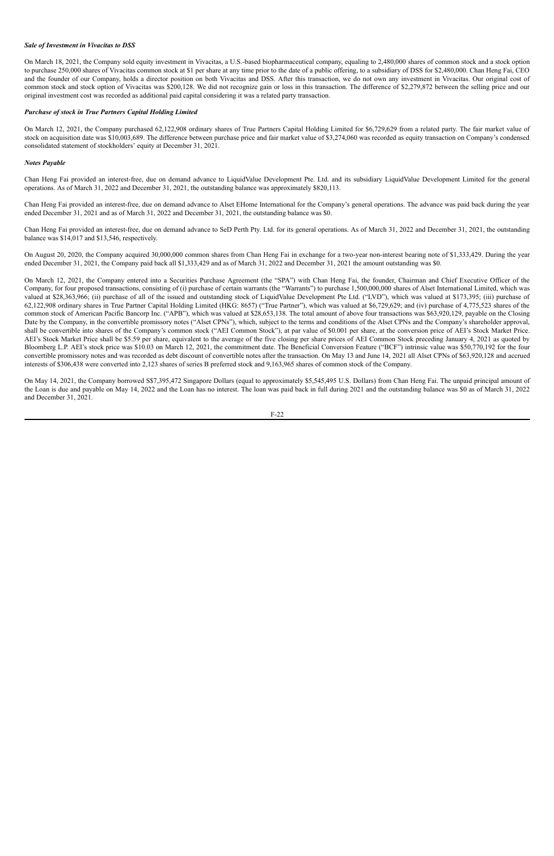## *Sale of Investment in Vivacitas to DSS*

On March 18, 2021, the Company sold equity investment in Vivacitas, a U.S.-based biopharmaceutical company, equaling to 2,480,000 shares of common stock and a stock option to purchase 250,000 shares of Vivacitas common stock at \$1 per share at any time prior to the date of a public offering, to a subsidiary of DSS for \$2,480,000. Chan Heng Fai, CEO and the founder of our Company, holds a director position on both Vivacitas and DSS. After this transaction, we do not own any investment in Vivacitas. Our original cost of common stock and stock option of Vivacitas was \$200,128. We did not recognize gain or loss in this transaction. The difference of \$2,279,872 between the selling price and our original investment cost was recorded as additional paid capital considering it was a related party transaction.

## *Purchase of stock in True Partners Capital Holding Limited*

On March 12, 2021, the Company purchased 62,122,908 ordinary shares of True Partners Capital Holding Limited for \$6,729,629 from a related party. The fair market value of stock on acquisition date was \$10,003,689. The difference between purchase price and fair market value of \$3,274,060 was recorded as equity transaction on Company's condensed consolidated statement of stockholders' equity at December 31, 2021.

## *Notes Payable*

Chan Heng Fai provided an interest-free, due on demand advance to LiquidValue Development Pte. Ltd. and its subsidiary LiquidValue Development Limited for the general operations. As of March 31, 2022 and December 31, 2021, the outstanding balance was approximately \$820,113.

Chan Heng Fai provided an interest-free, due on demand advance to Alset EHome International for the Company's general operations. The advance was paid back during the year ended December 31, 2021 and as of March 31, 2022 and December 31, 2021, the outstanding balance was \$0.

Chan Heng Fai provided an interest-free, due on demand advance to SeD Perth Pty. Ltd. for its general operations. As of March 31, 2022 and December 31, 2021, the outstanding balance was \$14,017 and \$13,546, respectively.

On August 20, 2020, the Company acquired 30,000,000 common shares from Chan Heng Fai in exchange for a two-year non-interest bearing note of \$1,333,429. During the year ended December 31, 2021, the Company paid back all \$1,333,429 and as of March 31, 2022 and December 31, 2021 the amount outstanding was \$0.

On March 12, 2021, the Company entered into a Securities Purchase Agreement (the "SPA") with Chan Heng Fai, the founder, Chairman and Chief Executive Officer of the Company, for four proposed transactions, consisting of (i) purchase of certain warrants (the "Warrants") to purchase 1,500,000,000 shares of Alset International Limited, which was valued at \$28,363,966; (ii) purchase of all of the issued and outstanding stock of LiquidValue Development Pte Ltd. ("LVD"), which was valued at \$173,395; (iii) purchase of 62,122,908 ordinary shares in True Partner Capital Holding Limited (HKG: 8657) ("True Partner"), which was valued at \$6,729,629; and (iv) purchase of 4,775,523 shares of the common stock of American Pacific Bancorp Inc. ("APB"), which was valued at \$28,653,138. The total amount of above four transactions was \$63,920,129, payable on the Closing Date by the Company, in the convertible promissory notes ("Alset CPNs"), which, subject to the terms and conditions of the Alset CPNs and the Company's shareholder approval, shall be convertible into shares of the Company's common stock ("AEI Common Stock"), at par value of \$0.001 per share, at the conversion price of AEI's Stock Market Price. AEI's Stock Market Price shall be \$5.59 per share, equivalent to the average of the five closing per share prices of AEI Common Stock preceding January 4, 2021 as quoted by Bloomberg L.P. AEI's stock price was \$10.03 on March 12, 2021, the commitment date. The Beneficial Conversion Feature ("BCF") intrinsic value was \$50,770,192 for the four convertible promissory notes and was recorded as debt discount of convertible notes after the transaction. On May 13 and June 14, 2021 all Alset CPNs of \$63,920,128 and accrued interests of \$306,438 were converted into 2,123 shares of series B preferred stock and 9,163,965 shares of common stock of the Company.

On May 14, 2021, the Company borrowed S\$7,395,472 Singapore Dollars (equal to approximately \$5,545,495 U.S. Dollars) from Chan Heng Fai. The unpaid principal amount of the Loan is due and payable on May 14, 2022 and the Loan has no interest. The loan was paid back in full during 2021 and the outstanding balance was \$0 as of March 31, 2022 and December 31, 2021.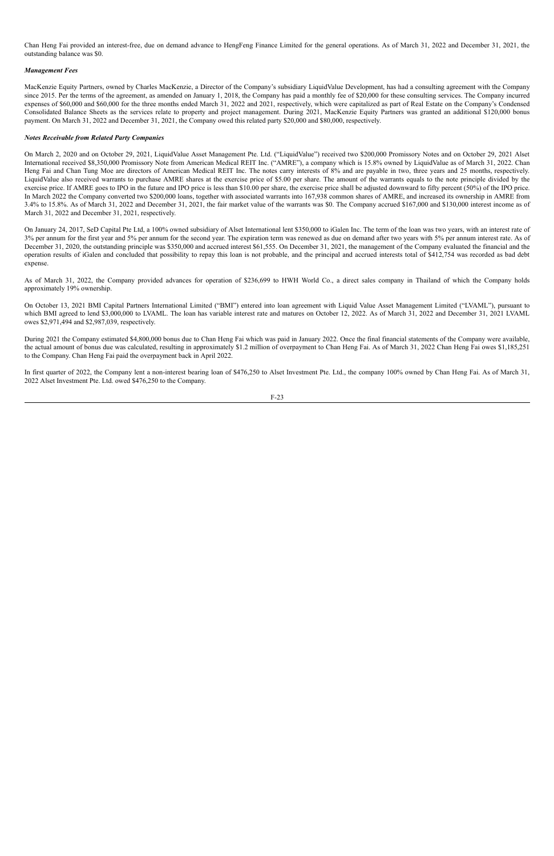Chan Heng Fai provided an interest-free, due on demand advance to HengFeng Finance Limited for the general operations. As of March 31, 2022 and December 31, 2021, the outstanding balance was \$0.

## *Management Fees*

MacKenzie Equity Partners, owned by Charles MacKenzie, a Director of the Company's subsidiary LiquidValue Development, has had a consulting agreement with the Company since 2015. Per the terms of the agreement, as amended on January 1, 2018, the Company has paid a monthly fee of \$20,000 for these consulting services. The Company incurred expenses of \$60,000 and \$60,000 for the three months ended March 31, 2022 and 2021, respectively, which were capitalized as part of Real Estate on the Company's Condensed Consolidated Balance Sheets as the services relate to property and project management. During 2021, MacKenzie Equity Partners was granted an additional \$120,000 bonus payment. On March 31, 2022 and December 31, 2021, the Company owed this related party \$20,000 and \$80,000, respectively.

## *Notes Receivable from Related Party Companies*

On March 2, 2020 and on October 29, 2021, LiquidValue Asset Management Pte. Ltd. ("LiquidValue") received two \$200,000 Promissory Notes and on October 29, 2021 Alset International received \$8,350,000 Promissory Note from American Medical REIT Inc. ("AMRE"), a company which is 15.8% owned by LiquidValue as of March 31, 2022. Chan Heng Fai and Chan Tung Moe are directors of American Medical REIT Inc. The notes carry interests of 8% and are payable in two, three years and 25 months, respectively. LiquidValue also received warrants to purchase AMRE shares at the exercise price of \$5.00 per share. The amount of the warrants equals to the note principle divided by the exercise price. If AMRE goes to IPO in the future and IPO price is less than \$10.00 per share, the exercise price shall be adjusted downward to fifty percent (50%) of the IPO price. In March 2022 the Company converted two \$200,000 loans, together with associated warrants into 167,938 common shares of AMRE, and increased its ownership in AMRE from 3.4% to 15.8%. As of March 31, 2022 and December 31, 2021, the fair market value of the warrants was \$0. The Company accrued \$167,000 and \$130,000 interest income as of March 31, 2022 and December 31, 2021, respectively.

On January 24, 2017, SeD Capital Pte Ltd, a 100% owned subsidiary of Alset International lent \$350,000 to iGalen Inc. The term of the loan was two years, with an interest rate of 3% per annum for the first year and 5% per annum for the second year. The expiration term was renewed as due on demand after two years with 5% per annum interest rate. As of December 31, 2020, the outstanding principle was \$350,000 and accrued interest \$61,555. On December 31, 2021, the management of the Company evaluated the financial and the operation results of iGalen and concluded that possibility to repay this loan is not probable, and the principal and accrued interests total of \$412,754 was recorded as bad debt expense.

As of March 31, 2022, the Company provided advances for operation of \$236,699 to HWH World Co., a direct sales company in Thailand of which the Company holds approximately 19% ownership.

On October 13, 2021 BMI Capital Partners International Limited ("BMI") entered into loan agreement with Liquid Value Asset Management Limited ("LVAML"), pursuant to which BMI agreed to lend \$3,000,000 to LVAML. The loan has variable interest rate and matures on October 12, 2022. As of March 31, 2022 and December 31, 2021 LVAML owes \$2,971,494 and \$2,987,039, respectively.

During 2021 the Company estimated \$4,800,000 bonus due to Chan Heng Fai which was paid in January 2022. Once the final financial statements of the Company were available, the actual amount of bonus due was calculated, resulting in approximately \$1.2 million of overpayment to Chan Heng Fai. As of March 31, 2022 Chan Heng Fai owes \$1,185,251 to the Company. Chan Heng Fai paid the overpayment back in April 2022.

In first quarter of 2022, the Company lent a non-interest bearing loan of \$476,250 to Alset Investment Pte. Ltd., the company 100% owned by Chan Heng Fai. As of March 31, 2022 Alset Investment Pte. Ltd. owed \$476,250 to the Company.

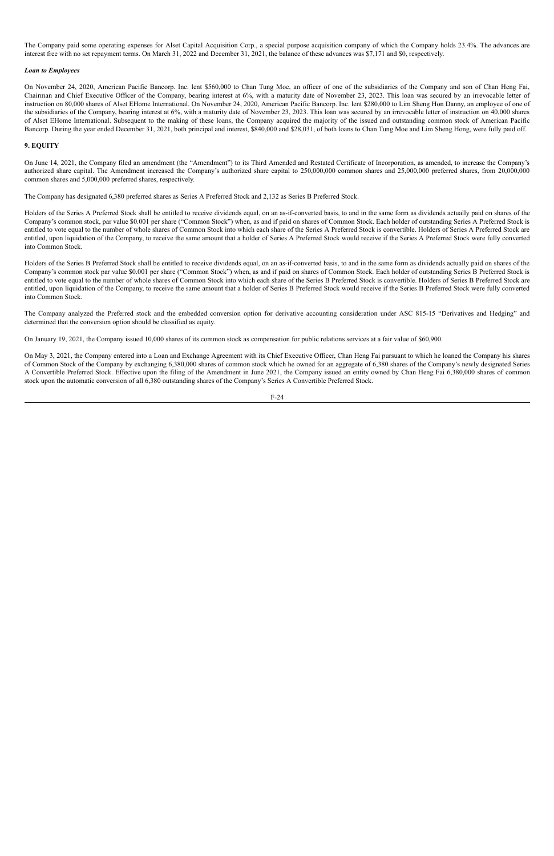The Company paid some operating expenses for Alset Capital Acquisition Corp., a special purpose acquisition company of which the Company holds 23.4%. The advances are interest free with no set repayment terms. On March 31, 2022 and December 31, 2021, the balance of these advances was \$7,171 and \$0, respectively.

## *Loan to Employees*

On November 24, 2020, American Pacific Bancorp. Inc. lent \$560,000 to Chan Tung Moe, an officer of one of the subsidiaries of the Company and son of Chan Heng Fai, Chairman and Chief Executive Officer of the Company, bearing interest at 6%, with a maturity date of November 23, 2023. This loan was secured by an irrevocable letter of instruction on 80,000 shares of Alset EHome International. On November 24, 2020, American Pacific Bancorp. Inc. lent \$280,000 to Lim Sheng Hon Danny, an employee of one of the subsidiaries of the Company, bearing interest at 6%, with a maturity date of November 23, 2023. This loan was secured by an irrevocable letter of instruction on 40,000 shares of Alset EHome International. Subsequent to the making of these loans, the Company acquired the majority of the issued and outstanding common stock of American Pacific Bancorp. During the year ended December 31, 2021, both principal and interest, \$840,000 and \$28,031, of both loans to Chan Tung Moe and Lim Sheng Hong, were fully paid off.

## **9. EQUITY**

On June 14, 2021, the Company filed an amendment (the "Amendment") to its Third Amended and Restated Certificate of Incorporation, as amended, to increase the Company's authorized share capital. The Amendment increased the Company's authorized share capital to 250,000,000 common shares and 25,000,000 preferred shares, from 20,000,000 common shares and 5,000,000 preferred shares, respectively.

The Company has designated 6,380 preferred shares as Series A Preferred Stock and 2,132 as Series B Preferred Stock.

Holders of the Series A Preferred Stock shall be entitled to receive dividends equal, on an as-if-converted basis, to and in the same form as dividends actually paid on shares of the Company's common stock, par value \$0.001 per share ("Common Stock") when, as and if paid on shares of Common Stock. Each holder of outstanding Series A Preferred Stock is entitled to vote equal to the number of whole shares of Common Stock into which each share of the Series A Preferred Stock is convertible. Holders of Series A Preferred Stock are entitled, upon liquidation of the Company, to receive the same amount that a holder of Series A Preferred Stock would receive if the Series A Preferred Stock were fully converted into Common Stock.

Holders of the Series B Preferred Stock shall be entitled to receive dividends equal, on an as-if-converted basis, to and in the same form as dividends actually paid on shares of the Company's common stock par value \$0.001 per share ("Common Stock") when, as and if paid on shares of Common Stock. Each holder of outstanding Series B Preferred Stock is entitled to vote equal to the number of whole shares of Common Stock into which each share of the Series B Preferred Stock is convertible. Holders of Series B Preferred Stock are entitled, upon liquidation of the Company, to receive the same amount that a holder of Series B Preferred Stock would receive if the Series B Preferred Stock were fully converted into Common Stock.

The Company analyzed the Preferred stock and the embedded conversion option for derivative accounting consideration under ASC 815-15 "Derivatives and Hedging" and determined that the conversion option should be classified as equity.

On January 19, 2021, the Company issued 10,000 shares of its common stock as compensation for public relations services at a fair value of \$60,900.

On May 3, 2021, the Company entered into a Loan and Exchange Agreement with its Chief Executive Officer, Chan Heng Fai pursuant to which he loaned the Company his shares of Common Stock of the Company by exchanging 6,380,000 shares of common stock which he owned for an aggregate of 6,380 shares of the Company's newly designated Series A Convertible Preferred Stock. Effective upon the filing of the Amendment in June 2021, the Company issued an entity owned by Chan Heng Fai 6,380,000 shares of common stock upon the automatic conversion of all 6,380 outstanding shares of the Company's Series A Convertible Preferred Stock.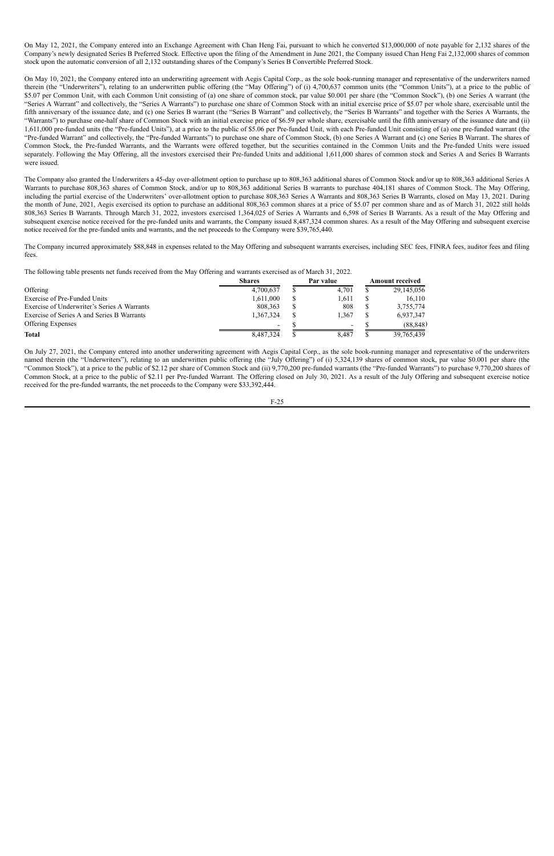On May 12, 2021, the Company entered into an Exchange Agreement with Chan Heng Fai, pursuant to which he converted \$13,000,000 of note payable for 2,132 shares of the Company's newly designated Series B Preferred Stock. Effective upon the filing of the Amendment in June 2021, the Company issued Chan Heng Fai 2,132,000 shares of common stock upon the automatic conversion of all 2,132 outstanding shares of the Company's Series B Convertible Preferred Stock.

On May 10, 2021, the Company entered into an underwriting agreement with Aegis Capital Corp., as the sole book-running manager and representative of the underwriters named therein (the "Underwriters"), relating to an underwritten public offering (the "May Offering") of (i) 4,700,637 common units (the "Common Units"), at a price to the public of \$5.07 per Common Unit, with each Common Unit consisting of (a) one share of common stock, par value \$0.001 per share (the "Common Stock"), (b) one Series A warrant (the "Series A Warrant" and collectively, the "Series A Warrants") to purchase one share of Common Stock with an initial exercise price of \$5.07 per whole share, exercisable until the fifth anniversary of the issuance date, and (c) one Series B warrant (the "Series B Warrant" and collectively, the "Series B Warrants" and together with the Series A Warrants, the "Warrants") to purchase one-half share of Common Stock with an initial exercise price of \$6.59 per whole share, exercisable until the fifth anniversary of the issuance date and (ii) 1,611,000 pre-funded units (the "Pre-funded Units"), at a price to the public of \$5.06 per Pre-funded Unit, with each Pre-funded Unit consisting of (a) one pre-funded warrant (the "Pre-funded Warrant" and collectively, the "Pre-funded Warrants") to purchase one share of Common Stock, (b) one Series A Warrant and (c) one Series B Warrant. The shares of Common Stock, the Pre-funded Warrants, and the Warrants were offered together, but the securities contained in the Common Units and the Pre-funded Units were issued separately. Following the May Offering, all the investors exercised their Pre-funded Units and additional 1,611,000 shares of common stock and Series A and Series B Warrants were issued.

The Company also granted the Underwriters a 45-day over-allotment option to purchase up to 808,363 additional shares of Common Stock and/or up to 808,363 additional Series A Warrants to purchase 808,363 shares of Common Stock, and/or up to 808,363 additional Series B warrants to purchase 404,181 shares of Common Stock. The May Offering, including the partial exercise of the Underwriters' over-allotment option to purchase 808,363 Series A Warrants and 808,363 Series B Warrants, closed on May 13, 2021. During the month of June, 2021, Aegis exercised its option to purchase an additional 808,363 common shares at a price of \$5.07 per common share and as of March 31, 2022 still holds 808,363 Series B Warrants. Through March 31, 2022, investors exercised 1,364,025 of Series A Warrants and 6,598 of Series B Warrants. As a result of the May Offering and subsequent exercise notice received for the pre-funded units and warrants, the Company issued 8,487,324 common shares. As a result of the May Offering and subsequent exercise notice received for the pre-funded units and warrants, and the net proceeds to the Company were \$39,765,440.

The Company incurred approximately \$88,848 in expenses related to the May Offering and subsequent warrants exercises, including SEC fees, FINRA fees, auditor fees and filing fees.

The following table presents net funds received from the May Offering and warrants exercised as of March 31, 2022.

|                                             | <b>Shares</b>            | Par value                | <b>Amount received</b> |            |  |
|---------------------------------------------|--------------------------|--------------------------|------------------------|------------|--|
| Offering                                    | 4,700,637                | 4.701                    |                        | 29,145,056 |  |
| Exercise of Pre-Funded Units                | 1.611.000                | 1.611                    |                        | 16,110     |  |
| Exercise of Underwriter's Series A Warrants | 808.363                  | 808                      |                        | 3,755,774  |  |
| Exercise of Series A and Series B Warrants  | 1,367,324                | . 367                    |                        | 6,937,347  |  |
| <b>Offering Expenses</b>                    | $\overline{\phantom{a}}$ | $\overline{\phantom{0}}$ |                        | (88, 848)  |  |
| <b>Total</b>                                | 8,487,324                | 8.487                    |                        | 39,765,439 |  |

On July 27, 2021, the Company entered into another underwriting agreement with Aegis Capital Corp., as the sole book-running manager and representative of the underwriters named therein (the "Underwriters"), relating to an underwritten public offering (the "July Offering") of (i) 5,324,139 shares of common stock, par value \$0.001 per share (the "Common Stock"), at a price to the public of \$2.12 per share of Common Stock and (ii) 9,770,200 pre-funded warrants (the "Pre-funded Warrants") to purchase 9,770,200 shares of Common Stock, at a price to the public of \$2.11 per Pre-funded Warrant. The Offering closed on July 30, 2021. As a result of the July Offering and subsequent exercise notice received for the pre-funded warrants, the net proceeds to the Company were \$33,392,444.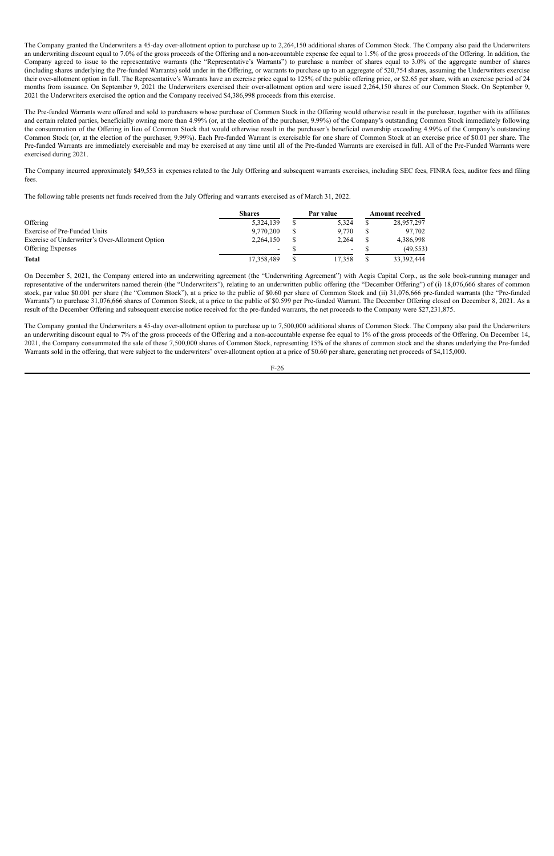The Company granted the Underwriters a 45-day over-allotment option to purchase up to 2,264,150 additional shares of Common Stock. The Company also paid the Underwriters an underwriting discount equal to 7.0% of the gross proceeds of the Offering and a non-accountable expense fee equal to 1.5% of the gross proceeds of the Offering. In addition, the Company agreed to issue to the representative warrants (the "Representative's Warrants") to purchase a number of shares equal to 3.0% of the aggregate number of shares (including shares underlying the Pre-funded Warrants) sold under in the Offering, or warrants to purchase up to an aggregate of 520,754 shares, assuming the Underwriters exercise their over-allotment option in full. The Representative's Warrants have an exercise price equal to 125% of the public offering price, or \$2.65 per share, with an exercise period of 24 months from issuance. On September 9, 2021 the Underwriters exercised their over-allotment option and were issued 2,264,150 shares of our Common Stock. On September 9, 2021 the Underwriters exercised the option and the Company received \$4,386,998 proceeds from this exercise.

The Pre-funded Warrants were offered and sold to purchasers whose purchase of Common Stock in the Offering would otherwise result in the purchaser, together with its affiliates and certain related parties, beneficially owning more than 4.99% (or, at the election of the purchaser, 9.99%) of the Company's outstanding Common Stock immediately following the consummation of the Offering in lieu of Common Stock that would otherwise result in the purchaser's beneficial ownership exceeding 4.99% of the Company's outstanding Common Stock (or, at the election of the purchaser, 9.99%). Each Pre-funded Warrant is exercisable for one share of Common Stock at an exercise price of \$0.01 per share. The Pre-funded Warrants are immediately exercisable and may be exercised at any time until all of the Pre-funded Warrants are exercised in full. All of the Pre-Funded Warrants were exercised during 2021.

The Company incurred approximately \$49,553 in expenses related to the July Offering and subsequent warrants exercises, including SEC fees, FINRA fees, auditor fees and filing fees.

The following table presents net funds received from the July Offering and warrants exercised as of March 31, 2022.

|                                                 | <b>Shares</b>  |   | Par value      | <b>Amount received</b> |              |  |
|-------------------------------------------------|----------------|---|----------------|------------------------|--------------|--|
| Offering                                        | 5,324,139      |   | 5.324          |                        | 28,957,297   |  |
| Exercise of Pre-Funded Units                    | 9,770,200      |   | 9.770          |                        | 97.702       |  |
| Exercise of Underwriter's Over-Allotment Option | 2,264,150      | S | 2.264          |                        | 4,386,998    |  |
| <b>Offering Expenses</b>                        | $\blacksquare$ |   | $\blacksquare$ |                        | (49, 553)    |  |
| Total                                           | 17,358,489     |   | 17.358         |                        | 33, 392, 444 |  |

On December 5, 2021, the Company entered into an underwriting agreement (the "Underwriting Agreement") with Aegis Capital Corp., as the sole book-running manager and representative of the underwriters named therein (the "Underwriters"), relating to an underwritten public offering (the "December Offering") of (i) 18,076,666 shares of common stock, par value \$0.001 per share (the "Common Stock"), at a price to the public of \$0.60 per share of Common Stock and (ii) 31,076,666 pre-funded warrants (the "Pre-funded Warrants") to purchase 31,076,666 shares of Common Stock, at a price to the public of \$0.599 per Pre-funded Warrant. The December Offering closed on December 8, 2021. As a result of the December Offering and subsequent exercise notice received for the pre-funded warrants, the net proceeds to the Company were \$27,231,875.

The Company granted the Underwriters a 45-day over-allotment option to purchase up to 7,500,000 additional shares of Common Stock. The Company also paid the Underwriters an underwriting discount equal to 7% of the gross proceeds of the Offering and a non-accountable expense fee equal to 1% of the gross proceeds of the Offering. On December 14, 2021, the Company consummated the sale of these 7,500,000 shares of Common Stock, representing 15% of the shares of common stock and the shares underlying the Pre-funded Warrants sold in the offering, that were subject to the underwriters' over-allotment option at a price of \$0.60 per share, generating net proceeds of \$4,115,000.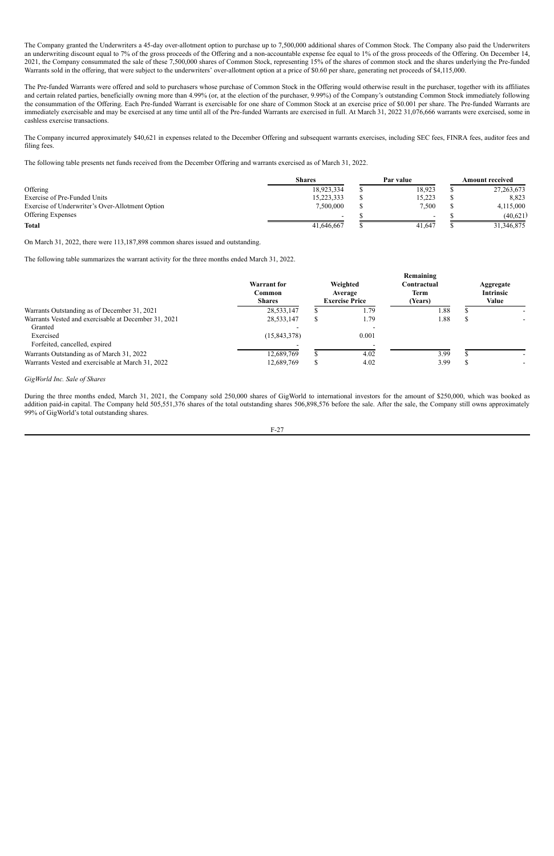The Company granted the Underwriters a 45-day over-allotment option to purchase up to 7,500,000 additional shares of Common Stock. The Company also paid the Underwriters an underwriting discount equal to 7% of the gross proceeds of the Offering and a non-accountable expense fee equal to 1% of the gross proceeds of the Offering. On December 14, 2021, the Company consummated the sale of these 7,500,000 shares of Common Stock, representing 15% of the shares of common stock and the shares underlying the Pre-funded Warrants sold in the offering, that were subject to the underwriters' over-allotment option at a price of \$0.60 per share, generating net proceeds of \$4,115,000.

The Pre-funded Warrants were offered and sold to purchasers whose purchase of Common Stock in the Offering would otherwise result in the purchaser, together with its affiliates and certain related parties, beneficially owning more than 4.99% (or, at the election of the purchaser, 9.99%) of the Company's outstanding Common Stock immediately following the consummation of the Offering. Each Pre-funded Warrant is exercisable for one share of Common Stock at an exercise price of \$0.001 per share. The Pre-funded Warrants are immediately exercisable and may be exercised at any time until all of the Pre-funded Warrants are exercised in full. At March 31, 2022 31,076,666 warrants were exercised, some in cashless exercise transactions.

The Company incurred approximately \$40,621 in expenses related to the December Offering and subsequent warrants exercises, including SEC fees, FINRA fees, auditor fees and filing fees.

The following table presents net funds received from the December Offering and warrants exercised as of March 31, 2022.

|                                                 | <b>Shares</b>            | Par value                | Amount received |              |  |
|-------------------------------------------------|--------------------------|--------------------------|-----------------|--------------|--|
| Offering                                        | 18,923,334               | 18,923                   |                 | 27, 263, 673 |  |
| Exercise of Pre-Funded Units                    | 15,223,333               | 15,223                   |                 | 8,823        |  |
| Exercise of Underwriter's Over-Allotment Option | 7,500,000                | 7,500                    |                 | 4,115,000    |  |
| <b>Offering Expenses</b>                        | $\overline{\phantom{0}}$ | $\overline{\phantom{a}}$ |                 | (40,621)     |  |
| <b>Total</b>                                    | 41,646,667               | 41.647                   |                 | 31,346,875   |  |

On March 31, 2022, there were 113,187,898 common shares issued and outstanding.

The following table summarizes the warrant activity for the three months ended March 31, 2022.

| <b>Warrant</b> for<br>Common<br><b>Shares</b> |        | Remaining<br>Contractual<br><b>Term</b><br>(Years) | <b>Aggregate</b><br><b>Intrinsic</b><br>Value |
|-----------------------------------------------|--------|----------------------------------------------------|-----------------------------------------------|
| 28, 533, 147                                  | . . 79 | 1.88                                               |                                               |
| 28, 533, 147                                  | 1.79   | 1.88                                               |                                               |
|                                               |        |                                                    |                                               |
| (15, 843, 378)                                | 0.001  |                                                    |                                               |
|                                               |        |                                                    |                                               |
| 12,689,769                                    | 4.02   | 3.99                                               |                                               |
| 12,689,769                                    | 4.02   | 3.99                                               |                                               |
|                                               |        | Weighted<br>Average<br><b>Exercise Price</b>       |                                               |

*GigWorld Inc. Sale of Shares*

During the three months ended, March 31, 2021, the Company sold 250,000 shares of GigWorld to international investors for the amount of \$250,000, which was booked as addition paid-in capital. The Company held 505,551,376 shares of the total outstanding shares 506,898,576 before the sale. After the sale, the Company still owns approximately 99% of GigWorld's total outstanding shares.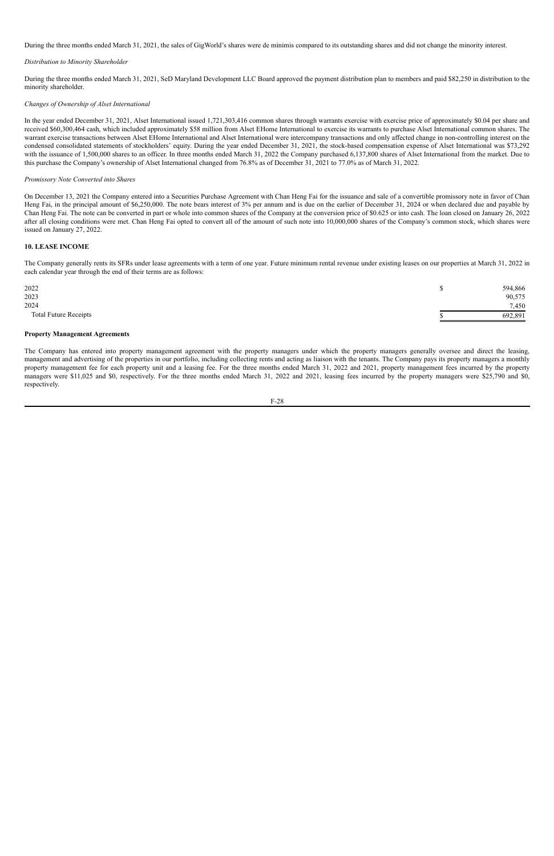During the three months ended March 31, 2021, the sales of GigWorld's shares were de minimis compared to its outstanding shares and did not change the minority interest.

## *Distribution to Minority Shareholder*

During the three months ended March 31, 2021, SeD Maryland Development LLC Board approved the payment distribution plan to members and paid \$82,250 in distribution to the minority shareholder.

## *Changes of Ownership of Alset International*

In the year ended December 31, 2021, Alset International issued 1,721,303,416 common shares through warrants exercise with exercise price of approximately \$0.04 per share and received \$60,300,464 cash, which included approximately \$58 million from Alset EHome International to exercise its warrants to purchase Alset International common shares. The warrant exercise transactions between Alset EHome International and Alset International were intercompany transactions and only affected change in non-controlling interest on the condensed consolidated statements of stockholders' equity. During the year ended December 31, 2021, the stock-based compensation expense of Alset International was \$73,292 with the issuance of 1,500,000 shares to an officer. In three months ended March 31, 2022 the Company purchased 6,137,800 shares of Alset International from the market. Due to this purchase the Company's ownership of Alset International changed from 76.8% as of December 31, 2021 to 77.0% as of March 31, 2022.

## *Promissory Note Converted into Shares*

On December 13, 2021 the Company entered into a Securities Purchase Agreement with Chan Heng Fai for the issuance and sale of a convertible promissory note in favor of Chan Heng Fai, in the principal amount of \$6,250,000. The note bears interest of 3% per annum and is due on the earlier of December 31, 2024 or when declared due and payable by Chan Heng Fai. The note can be converted in part or whole into common shares of the Company at the conversion price of \$0.625 or into cash. The loan closed on January 26, 2022 after all closing conditions were met. Chan Heng Fai opted to convert all of the amount of such note into 10,000,000 shares of the Company's common stock, which shares were issued on January 27, 2022.

#### **10. LEASE INCOME**

The Company generally rents its SFRs under lease agreements with a term of one year. Future minimum rental revenue under existing leases on our properties at March 31, 2022 in each calendar year through the end of their terms are as follows:

| 2022                         | 594,866 |
|------------------------------|---------|
| 2023                         | 90,575  |
| 2024                         | 7,450   |
| <b>Total Future Receipts</b> | 692,891 |

#### **Property Management Agreements**

The Company has entered into property management agreement with the property managers under which the property managers generally oversee and direct the leasing, management and advertising of the properties in our portfolio, including collecting rents and acting as liaison with the tenants. The Company pays its property managers a monthly property management fee for each property unit and a leasing fee. For the three months ended March 31, 2022 and 2021, property management fees incurred by the property managers were \$11,025 and \$0, respectively. For the three months ended March 31, 2022 and 2021, leasing fees incurred by the property managers were \$25,790 and \$0, respectively.

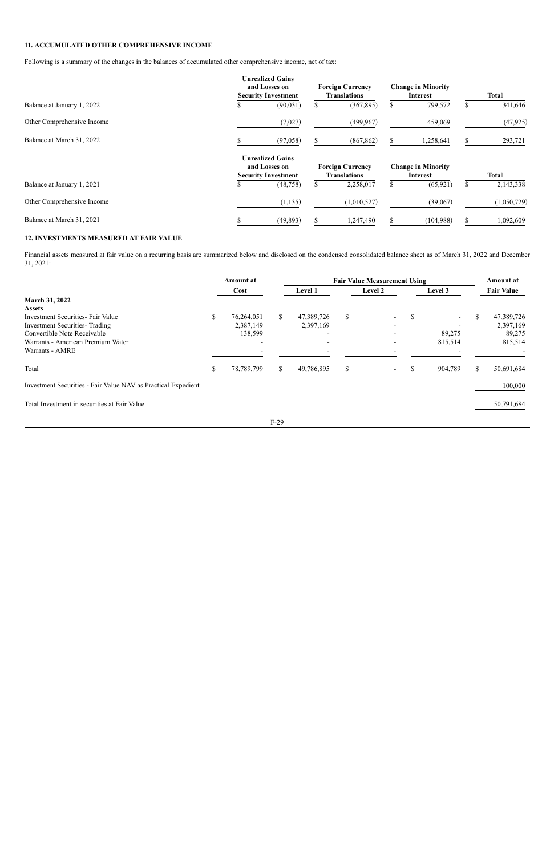# **11. ACCUMULATED OTHER COMPREHENSIVE INCOME**

Following is a summary of the changes in the balances of accumulated other comprehensive income, net of tax:

|                            | <b>Unrealized Gains</b><br>and Losses on<br><b>Security Investment</b> | <b>Foreign Currency</b><br><b>Translations</b> | <b>Change in Minority</b><br><b>Interest</b> | <b>Total</b>    |
|----------------------------|------------------------------------------------------------------------|------------------------------------------------|----------------------------------------------|-----------------|
| Balance at January 1, 2022 | (90, 031)<br>У.                                                        | (367, 895)                                     | 799,572                                      | 341,646         |
| Other Comprehensive Income | (7,027)                                                                | (499, 967)                                     | 459,069                                      | (47, 925)       |
| Balance at March 31, 2022  | (97,058)                                                               | (867, 862)                                     | 1,258,641                                    | 293,721         |
|                            | <b>Unrealized Gains</b><br>and Losses on<br><b>Security Investment</b> | <b>Foreign Currency</b><br><b>Translations</b> | <b>Change in Minority</b><br>Interest        | <b>Total</b>    |
| Balance at January 1, 2021 | (48, 758)                                                              | 2,258,017                                      | (65, 921)                                    | 2,143,338<br>S. |
| Other Comprehensive Income | (1, 135)                                                               | (1,010,527)                                    | (39,067)                                     | (1,050,729)     |
| Balance at March 31, 2021  | (49, 893)                                                              | 1,247,490                                      | (104,988)                                    | 1,092,609       |

# **12. INVESTMENTS MEASURED AT FAIR VALUE**

Financial assets measured at fair value on a recurring basis are summarized below and disclosed on the condensed consolidated balance sheet as of March 31, 2022 and December 31, 2021:

|                                                               | <b>Amount</b> at |            |        | <b>Fair Value Measurement Using</b> |              | Amount at     |         |     |                   |
|---------------------------------------------------------------|------------------|------------|--------|-------------------------------------|--------------|---------------|---------|-----|-------------------|
|                                                               |                  | Cost       |        | Level 1                             | Level 2      |               | Level 3 |     | <b>Fair Value</b> |
| <b>March 31, 2022</b>                                         |                  |            |        |                                     |              |               |         |     |                   |
| <b>Assets</b>                                                 |                  |            |        |                                     |              |               |         |     |                   |
| <b>Investment Securities- Fair Value</b>                      | D.               | 76,264,051 | \$     | 47,389,726                          | \$<br>-      | <sup>\$</sup> | $\sim$  | \$  | 47,389,726        |
| <b>Investment Securities- Trading</b>                         |                  | 2,387,149  |        | 2,397,169                           |              |               |         |     | 2,397,169         |
| Convertible Note Receivable                                   |                  | 138,599    |        |                                     |              |               | 89,275  |     | 89,275            |
| Warrants - American Premium Water                             |                  |            |        |                                     |              |               | 815,514 |     | 815,514           |
| Warrants - AMRE                                               |                  |            |        |                                     |              |               |         |     |                   |
| Total                                                         | S.               | 78,789,799 | \$     | 49,786,895                          | \$<br>$\sim$ | \$            | 904,789 | \$. | 50,691,684        |
| Investment Securities - Fair Value NAV as Practical Expedient |                  |            |        |                                     |              |               |         |     | 100,000           |
| Total Investment in securities at Fair Value                  |                  |            |        |                                     |              |               |         |     | 50,791,684        |
|                                                               |                  |            | $F-29$ |                                     |              |               |         |     |                   |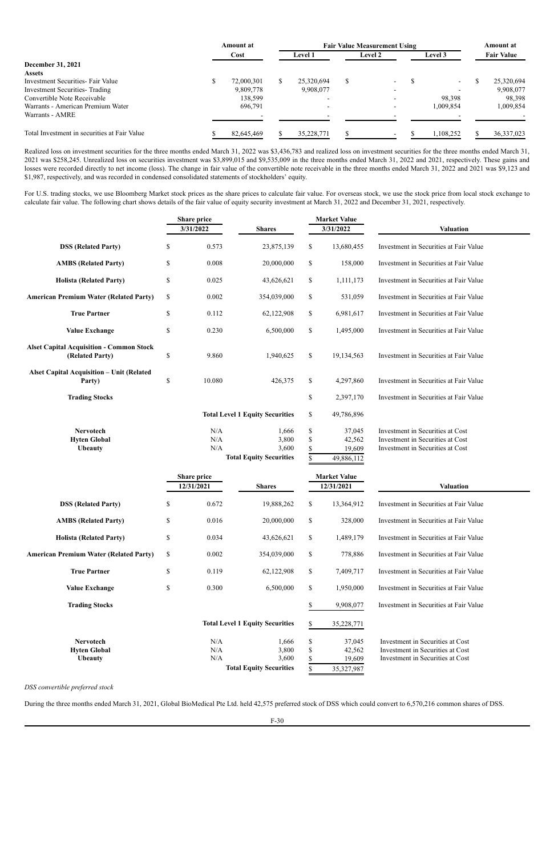|                                              | Amount at |            |    | <b>Fair Value Measurement Using</b> |     | Amount at                |  |           |                   |
|----------------------------------------------|-----------|------------|----|-------------------------------------|-----|--------------------------|--|-----------|-------------------|
|                                              |           | Cost       |    | <b>Level 1</b>                      |     | <b>Level 2</b>           |  | Level 3   | <b>Fair Value</b> |
| <b>December 31, 2021</b>                     |           |            |    |                                     |     |                          |  |           |                   |
| <b>Assets</b>                                |           |            |    |                                     |     |                          |  |           |                   |
| Investment Securities- Fair Value            |           | 72,000,301 | N. | 25,320,694                          | ۰D. | $\overline{\phantom{0}}$ |  | $\sim$    | 25,320,694        |
| <b>Investment Securities-Trading</b>         |           | 9,809,778  |    | 9,908,077                           |     |                          |  |           | 9,908,077         |
| Convertible Note Receivable                  |           | 138,599    |    |                                     |     |                          |  | 98.398    | 98,398            |
| Warrants - American Premium Water            |           | 696,791    |    | $\overline{\phantom{0}}$            |     |                          |  | 1,009,854 | 1,009,854         |
| Warrants - AMRE                              |           |            |    | $\overline{\phantom{0}}$            |     |                          |  |           |                   |
| Total Investment in securities at Fair Value |           | 82,645,469 |    | 35,228,771                          |     | $\overline{\phantom{0}}$ |  | 1,108,252 | 36, 337, 023      |

Realized loss on investment securities for the three months ended March 31, 2022 was \$3,436,783 and realized loss on investment securities for the three months ended March 31, 2021 was \$258,245. Unrealized loss on securities investment was \$3,899,015 and \$9,535,009 in the three months ended March 31, 2022 and 2021, respectively. These gains and losses were recorded directly to net income (loss). The change in fair value of the convertible note receivable in the three months ended March 31, 2022 and 2021 was \$9,123 and \$1,987, respectively, and was recorded in condensed consolidated statements of stockholders' equity.

For U.S. trading stocks, we use Bloomberg Market stock prices as the share prices to calculate fair value. For overseas stock, we use the stock price from local stock exchange to calculate fair value. The following chart shows details of the fair value of equity security investment at March 31, 2022 and December 31, 2021, respectively.

|                                                                    |      | Share price        |                                        | <b>Market Value</b> |                                        |
|--------------------------------------------------------------------|------|--------------------|----------------------------------------|---------------------|----------------------------------------|
|                                                                    |      | 3/31/2022          | <b>Shares</b>                          | 3/31/2022           | <b>Valuation</b>                       |
| <b>DSS (Related Party)</b>                                         | \$   | 0.573              | 23,875,139                             | \$<br>13,680,455    | Investment in Securities at Fair Value |
| <b>AMBS</b> (Related Party)                                        | \$   | 0.008              | 20,000,000                             | \$<br>158,000       | Investment in Securities at Fair Value |
| <b>Holista (Related Party)</b>                                     | \$   | 0.025              | 43,626,621                             | \$<br>1,111,173     | Investment in Securities at Fair Value |
| <b>American Premium Water (Related Party)</b>                      | \$   | 0.002              | 354,039,000                            | \$<br>531,059       | Investment in Securities at Fair Value |
| <b>True Partner</b>                                                | \$   | 0.112              | 62,122,908                             | \$<br>6,981,617     | Investment in Securities at Fair Value |
| <b>Value Exchange</b>                                              | \$   | 0.230              | 6,500,000                              | \$<br>1,495,000     | Investment in Securities at Fair Value |
| <b>Alset Capital Acquisition - Common Stock</b><br>(Related Party) | $\$$ | 9.860              | 1,940,625                              | \$<br>19,134,563    | Investment in Securities at Fair Value |
| <b>Alset Capital Acquisition - Unit (Related</b><br>Party)         | \$   | 10.080             | 426,375                                | \$<br>4,297,860     | Investment in Securities at Fair Value |
| <b>Trading Stocks</b>                                              |      |                    |                                        | \$<br>2,397,170     | Investment in Securities at Fair Value |
|                                                                    |      |                    | <b>Total Level 1 Equity Securities</b> | \$<br>49,786,896    |                                        |
| Nervotech                                                          |      | N/A                | 1,666                                  | \$<br>37,045        | Investment in Securities at Cost       |
| <b>Hyten Global</b>                                                |      | N/A                | 3,800                                  | \$<br>42,562        | Investment in Securities at Cost       |
| <b>Ubeauty</b>                                                     |      | N/A                | 3,600                                  | \$<br>19,609        | Investment in Securities at Cost       |
|                                                                    |      |                    | <b>Total Equity Securities</b>         | \$<br>49,886,112    |                                        |
|                                                                    |      |                    |                                        |                     |                                        |
|                                                                    |      | <b>Share price</b> |                                        | <b>Market Value</b> |                                        |
|                                                                    |      | 12/31/2021         | <b>Shares</b>                          | 12/31/2021          | <b>Valuation</b>                       |
|                                                                    |      |                    |                                        |                     |                                        |
| <b>DSS (Related Party)</b>                                         | \$   | 0.672              | 19,888,262                             | \$<br>13,364,912    | Investment in Securities at Fair Value |
| <b>AMBS</b> (Related Party)                                        | \$   | 0.016              | 20,000,000                             | \$<br>328,000       | Investment in Securities at Fair Value |
| <b>Holista (Related Party)</b>                                     | \$   | 0.034              | 43,626,621                             | \$<br>1,489,179     | Investment in Securities at Fair Value |
| <b>American Premium Water (Related Party)</b>                      | \$   | 0.002              | 354,039,000                            | \$<br>778,886       | Investment in Securities at Fair Value |
| <b>True Partner</b>                                                | \$   | 0.119              | 62,122,908                             | \$<br>7,409,717     | Investment in Securities at Fair Value |
| <b>Value Exchange</b>                                              | \$   | 0.300              | 6,500,000                              | \$<br>1,950,000     | Investment in Securities at Fair Value |
| <b>Trading Stocks</b>                                              |      |                    |                                        | \$<br>9,908,077     | Investment in Securities at Fair Value |
|                                                                    |      |                    | <b>Total Level 1 Equity Securities</b> | \$<br>35,228,771    |                                        |

| <b>Nervotech</b>    | N/A | 1.666                          | 37,045       | Investment in Securities at Cost |
|---------------------|-----|--------------------------------|--------------|----------------------------------|
| <b>Hyten Global</b> | N/A | 3.800                          | 42.562       | Investment in Securities at Cost |
| <b>Ubeauty</b>      | N/A | 3.600                          | 19.609       | Investment in Securities at Cost |
|                     |     | <b>Total Equity Securities</b> | 35, 327, 987 |                                  |

*DSS convertible preferred stock*

During the three months ended March 31, 2021, Global BioMedical Pte Ltd. held 42,575 preferred stock of DSS which could convert to 6,570,216 common shares of DSS.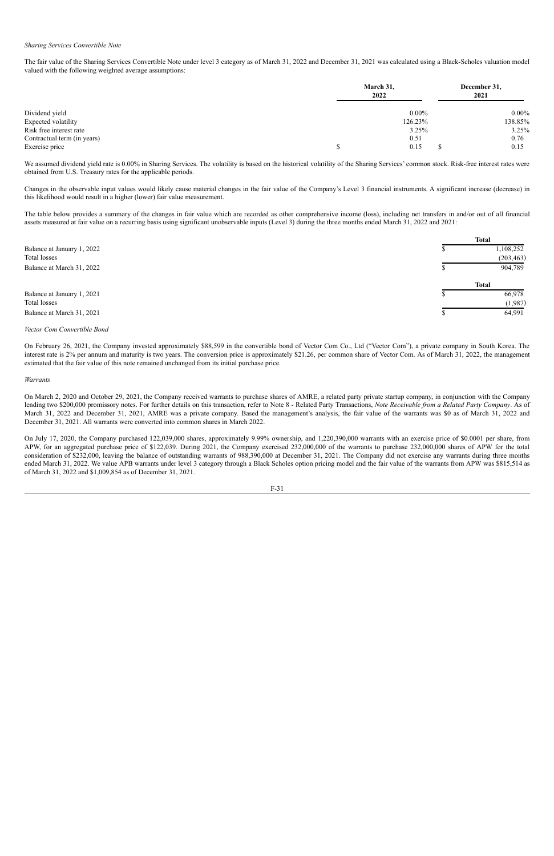#### *Sharing Services Convertible Note*

The fair value of the Sharing Services Convertible Note under level 3 category as of March 31, 2022 and December 31, 2021 was calculated using a Black-Scholes valuation model valued with the following weighted average assumptions:

We assumed dividend yield rate is 0.00% in Sharing Services. The volatility is based on the historical volatility of the Sharing Services' common stock. Risk-free interest rates were obtained from U.S. Treasury rates for the applicable periods.

|                             | March 31,<br>2022 | December 31,<br>2021 |
|-----------------------------|-------------------|----------------------|
| Dividend yield              | $0.00\%$          | $0.00\%$             |
| Expected volatility         | 126.23%           | 138.85%              |
| Risk free interest rate     | 3.25%             | 3.25%                |
| Contractual term (in years) | 0.51              | 0.76                 |
| Exercise price              | 0.15              | 0.15                 |

Changes in the observable input values would likely cause material changes in the fair value of the Company's Level 3 financial instruments. A significant increase (decrease) in this likelihood would result in a higher (lower) fair value measurement.

The table below provides a summary of the changes in fair value which are recorded as other comprehensive income (loss), including net transfers in and/or out of all financial assets measured at fair value on a recurring basis using significant unobservable inputs (Level 3) during the three months ended March 31, 2022 and 2021:

|                            | <b>Total</b> |
|----------------------------|--------------|
| Balance at January 1, 2022 | 1,108,252    |
| Total losses               | (203, 463)   |
| Balance at March 31, 2022  | 904,789      |
|                            | <b>Total</b> |
| Balance at January 1, 2021 | 66,978       |
| Total losses               | (1,987)      |
| Balance at March 31, 2021  | 64,991       |

## *Vector Com Convertible Bond*

On February 26, 2021, the Company invested approximately \$88,599 in the convertible bond of Vector Com Co., Ltd ("Vector Com"), a private company in South Korea. The interest rate is 2% per annum and maturity is two years. The conversion price is approximately \$21.26, per common share of Vector Com. As of March 31, 2022, the management estimated that the fair value of this note remained unchanged from its initial purchase price.

*Warrants*

On March 2, 2020 and October 29, 2021, the Company received warrants to purchase shares of AMRE, a related party private startup company, in conjunction with the Company lending two \$200,000 promissory notes. For further details on this transaction, refer to Note 8 - Related Party Transactions, Note Receivable from a Related Party Company. As of March 31, 2022 and December 31, 2021, AMRE was a private company. Based the management's analysis, the fair value of the warrants was \$0 as of March 31, 2022 and December 31, 2021. All warrants were converted into common shares in March 2022.

On July 17, 2020, the Company purchased 122,039,000 shares, approximately 9.99% ownership, and 1,220,390,000 warrants with an exercise price of \$0.0001 per share, from APW, for an aggregated purchase price of \$122,039. During 2021, the Company exercised 232,000,000 of the warrants to purchase 232,000,000 shares of APW for the total consideration of \$232,000, leaving the balance of outstanding warrants of 988,390,000 at December 31, 2021. The Company did not exercise any warrants during three months ended March 31, 2022. We value APB warrants under level 3 category through a Black Scholes option pricing model and the fair value of the warrants from APW was \$815,514 as of March 31, 2022 and \$1,009,854 as of December 31, 2021.

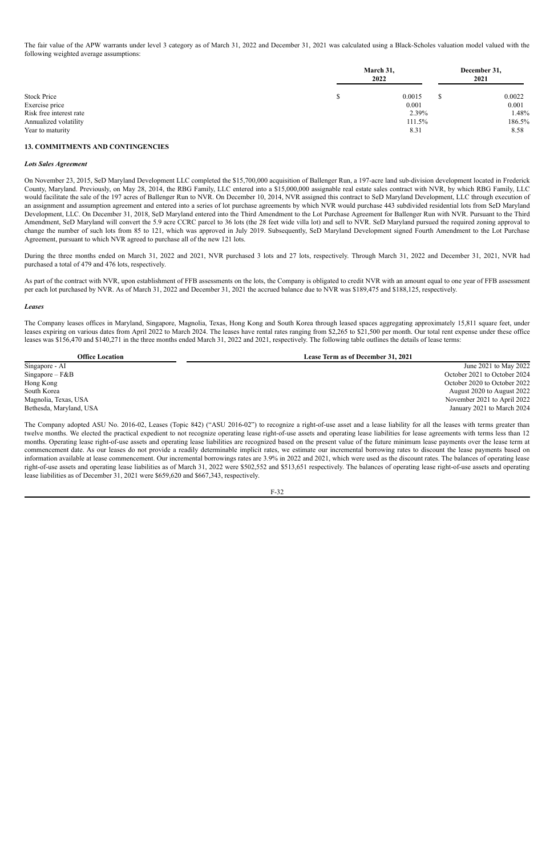The fair value of the APW warrants under level 3 category as of March 31, 2022 and December 31, 2021 was calculated using a Black-Scholes valuation model valued with the following weighted average assumptions:

|                         | March 31,<br>2022 | December 31,<br>2021 |
|-------------------------|-------------------|----------------------|
| <b>Stock Price</b>      | 0.0015            | 0.0022               |
| Exercise price          | 0.001             | 0.001                |
| Risk free interest rate | 2.39%             | 1.48%                |
| Annualized volatility   | 111.5%            | 186.5%               |
| Year to maturity        | 8.31              | 8.58                 |

#### **13. COMMITMENTS AND CONTINGENCIES**

#### *Lots Sales Agreement*

On November 23, 2015, SeD Maryland Development LLC completed the \$15,700,000 acquisition of Ballenger Run, a 197-acre land sub-division development located in Frederick County, Maryland. Previously, on May 28, 2014, the RBG Family, LLC entered into a \$15,000,000 assignable real estate sales contract with NVR, by which RBG Family, LLC would facilitate the sale of the 197 acres of Ballenger Run to NVR. On December 10, 2014, NVR assigned this contract to SeD Maryland Development, LLC through execution of an assignment and assumption agreement and entered into a series of lot purchase agreements by which NVR would purchase 443 subdivided residential lots from SeD Maryland Development, LLC. On December 31, 2018, SeD Maryland entered into the Third Amendment to the Lot Purchase Agreement for Ballenger Run with NVR. Pursuant to the Third Amendment, SeD Maryland will convert the 5.9 acre CCRC parcel to 36 lots (the 28 feet wide villa lot) and sell to NVR. SeD Maryland pursued the required zoning approval to change the number of such lots from 85 to 121, which was approved in July 2019. Subsequently, SeD Maryland Development signed Fourth Amendment to the Lot Purchase Agreement, pursuant to which NVR agreed to purchase all of the new 121 lots.

As part of the contract with NVR, upon establishment of FFB assessments on the lots, the Company is obligated to credit NVR with an amount equal to one year of FFB assessment per each lot purchased by NVR. As of March 31, 2022 and December 31, 2021 the accrued balance due to NVR was \$189,475 and \$188,125, respectively.

During the three months ended on March 31, 2022 and 2021, NVR purchased 3 lots and 27 lots, respectively. Through March 31, 2022 and December 31, 2021, NVR had purchased a total of 479 and 476 lots, respectively.

#### *Leases*

The Company leases offices in Maryland, Singapore, Magnolia, Texas, Hong Kong and South Korea through leased spaces aggregating approximately 15,811 square feet, under leases expiring on various dates from April 2022 to March 2024. The leases have rental rates ranging from \$2,265 to \$21,500 per month. Our total rent expense under these office leases was \$156,470 and \$140,271 in the three months ended March 31, 2022 and 2021, respectively. The following table outlines the details of lease terms:

| <b>Lease Term as of December 31, 2021</b> |
|-------------------------------------------|
| June 2021 to May 2022                     |
| October 2021 to October 2024              |
| October 2020 to October 2022              |
| August 2020 to August 2022                |
| November 2021 to April 2022               |
| January 2021 to March 2024                |
|                                           |

The Company adopted ASU No. 2016-02, Leases (Topic 842) ("ASU 2016-02") to recognize a right-of-use asset and a lease liability for all the leases with terms greater than twelve months. We elected the practical expedient to not recognize operating lease right-of-use assets and operating lease liabilities for lease agreements with terms less than 12 months. Operating lease right-of-use assets and operating lease liabilities are recognized based on the present value of the future minimum lease payments over the lease term at commencement date. As our leases do not provide a readily determinable implicit rates, we estimate our incremental borrowing rates to discount the lease payments based on information available at lease commencement. Our incremental borrowings rates are 3.9% in 2022 and 2021, which were used as the discount rates. The balances of operating lease right-of-use assets and operating lease liabilities as of March 31, 2022 were \$502,552 and \$513,651 respectively. The balances of operating lease right-of-use assets and operating lease liabilities as of December 31, 2021 were \$659,620 and \$667,343, respectively.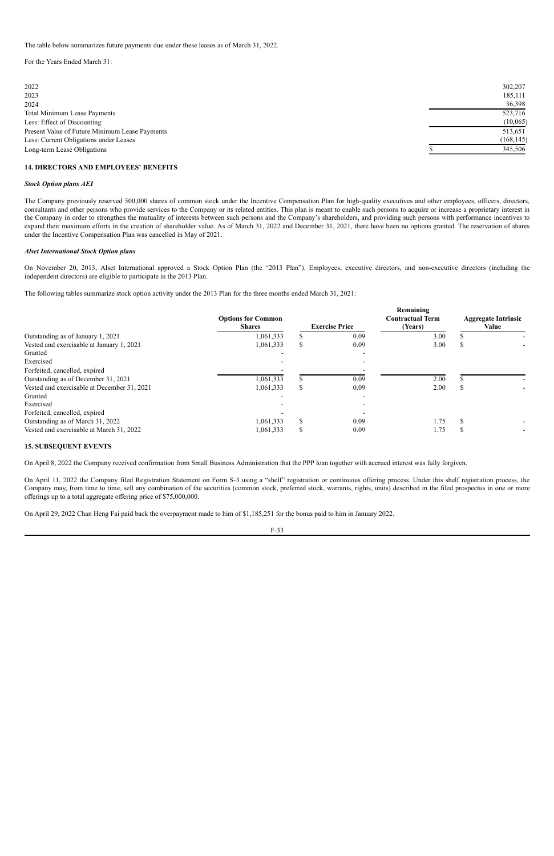The table below summarizes future payments due under these leases as of March 31, 2022.

## For the Years Ended March 31:

| 2022                                           | 302,207    |
|------------------------------------------------|------------|
| 2023                                           | 185,111    |
| 2024                                           | 36,398     |
| Total Minimum Lease Payments                   | 523,716    |
| Less: Effect of Discounting                    | (10,065)   |
| Present Value of Future Minimum Lease Payments | 513,651    |
| Less: Current Obligations under Leases         | (168, 145) |
| Long-term Lease Obligations                    | 345,506    |

## **14. DIRECTORS AND EMPLOYEES' BENEFITS**

#### *Stock Option plans AEI*

The Company previously reserved 500,000 shares of common stock under the Incentive Compensation Plan for high-quality executives and other employees, officers, directors, consultants and other persons who provide services to the Company or its related entities. This plan is meant to enable such persons to acquire or increase a proprietary interest in the Company in order to strengthen the mutuality of interests between such persons and the Company's shareholders, and providing such persons with performance incentives to expand their maximum efforts in the creation of shareholder value. As of March 31, 2022 and December 31, 2021, there have been no options granted. The reservation of shares under the Incentive Compensation Plan was cancelled in May of 2021.

## *Alset International Stock Option plans*

On November 20, 2013, Alset International approved a Stock Option Plan (the "2013 Plan"). Employees, executive directors, and non-executive directors (including the independent directors) are eligible to participate in the 2013 Plan.

The following tables summarize stock option activity under the 2013 Plan for the three months ended March 31, 2021:

|                                             |                           |   |                       | Remaining               |   |                            |
|---------------------------------------------|---------------------------|---|-----------------------|-------------------------|---|----------------------------|
|                                             | <b>Options for Common</b> |   |                       | <b>Contractual Term</b> |   | <b>Aggregate Intrinsic</b> |
|                                             | <b>Shares</b>             |   | <b>Exercise Price</b> | (Years)                 |   | Value                      |
| Outstanding as of January 1, 2021           | 1,061,333                 |   | 0.09                  | 3.00                    |   |                            |
| Vested and exercisable at January 1, 2021   | 1,061,333                 | ъ | 0.09                  | 3.00                    | D |                            |
| Granted                                     |                           |   |                       |                         |   |                            |
| Exercised                                   |                           |   |                       |                         |   |                            |
| Forfeited, cancelled, expired               |                           |   |                       |                         |   |                            |
| Outstanding as of December 31, 2021         | 1,061,333                 |   | 0.09                  | 2.00                    |   |                            |
| Vested and exercisable at December 31, 2021 | 1,061,333                 | Ъ | 0.09                  | 2.00                    | ъ |                            |
| Granted                                     |                           |   |                       |                         |   |                            |
| Exercised                                   |                           |   |                       |                         |   |                            |
| Forfeited, cancelled, expired               |                           |   |                       |                         |   |                            |
| Outstanding as of March 31, 2022            | 1,061,333                 |   | 0.09                  | 1.75                    | ж |                            |
| Vested and exercisable at March 31, 2022    | 1,061,333                 | ж | 0.09                  | 1.75                    | ж |                            |

## **15. SUBSEQUENT EVENTS**

On April 8, 2022 the Company received confirmation from Small Business Administration that the PPP loan together with accrued interest was fully forgiven.

On April 11, 2022 the Company filed Registration Statement on Form S-3 using a "shelf" registration or continuous offering process. Under this shelf registration process, the Company may, from time to time, sell any combination of the securities (common stock, preferred stock, warrants, rights, units) described in the filed prospectus in one or more offerings up to a total aggregate offering price of \$75,000,000.

On April 29, 2022 Chan Heng Fai paid back the overpayment made to him of \$1,185,251 for the bonus paid to him in January 2022.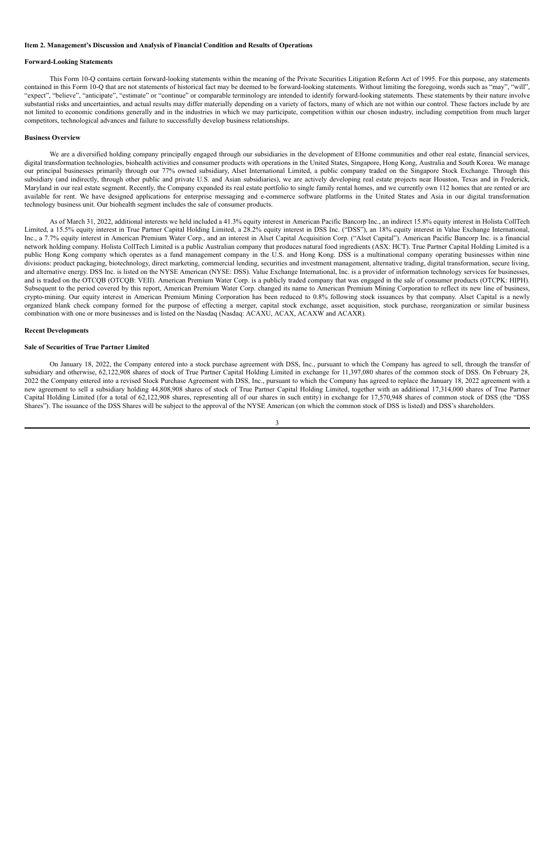#### <span id="page-35-0"></span>**Item 2. Management's Discussion and Analysis of Financial Condition and Results of Operations**

#### **Forward-Looking Statements**

This Form 10-Q contains certain forward-looking statements within the meaning of the Private Securities Litigation Reform Act of 1995. For this purpose, any statements contained in this Form 10-Q that are not statements of historical fact may be deemed to be forward-looking statements. Without limiting the foregoing, words such as "may", "will", "expect", "believe", "anticipate", "estimate" or "continue" or comparable terminology are intended to identify forward-looking statements. These statements by their nature involve substantial risks and uncertainties, and actual results may differ materially depending on a variety of factors, many of which are not within our control. These factors include by are not limited to economic conditions generally and in the industries in which we may participate, competition within our chosen industry, including competition from much larger competitors, technological advances and failure to successfully develop business relationships.

#### **Business Overview**

We are a diversified holding company principally engaged through our subsidiaries in the development of EHome communities and other real estate, financial services, digital transformation technologies, biohealth activities and consumer products with operations in the United States, Singapore, Hong Kong, Australia and South Korea. We manage our principal businesses primarily through our 77% owned subsidiary, Alset International Limited, a public company traded on the Singapore Stock Exchange. Through this subsidiary (and indirectly, through other public and private U.S. and Asian subsidiaries), we are actively developing real estate projects near Houston, Texas and in Frederick, Maryland in our real estate segment. Recently, the Company expanded its real estate portfolio to single family rental homes, and we currently own 112 homes that are rented or are available for rent. We have designed applications for enterprise messaging and e-commerce software platforms in the United States and Asia in our digital transformation technology business unit. Our biohealth segment includes the sale of consumer products.

As of March 31, 2022, additional interests we held included a 41.3% equity interest in American Pacific Bancorp Inc., an indirect 15.8% equity interest in Holista CollTech Limited, a 15.5% equity interest in True Partner Capital Holding Limited, a 28.2% equity interest in DSS Inc. ("DSS"), an 18% equity interest in Value Exchange International, Inc., a 7.7% equity interest in American Premium Water Corp., and an interest in Alset Capital Acquisition Corp. ("Alset Capital"). American Pacific Bancorp Inc. is a financial network holding company. Holista CollTech Limited is a public Australian company that produces natural food ingredients (ASX: HCT). True Partner Capital Holding Limited is a public Hong Kong company which operates as a fund management company in the U.S. and Hong Kong. DSS is a multinational company operating businesses within nine divisions: product packaging, biotechnology, direct marketing, commercial lending, securities and investment management, alternative trading, digital transformation, secure living, and alternative energy. DSS Inc. is listed on the NYSE American (NYSE: DSS). Value Exchange International, Inc. is a provider of information technology services for businesses, and is traded on the OTCQB (OTCQB: VEII). American Premium Water Corp. is a publicly traded company that was engaged in the sale of consumer products (OTCPK: HIPH). Subsequent to the period covered by this report, American Premium Water Corp. changed its name to American Premium Mining Corporation to reflect its new line of business, crypto-mining. Our equity interest in American Premium Mining Corporation has been reduced to 0.8% following stock issuances by that company. Alset Capital is a newly organized blank check company formed for the purpose of effecting a merger, capital stock exchange, asset acquisition, stock purchase, reorganization or similar business combination with one or more businesses and is listed on the Nasdaq (Nasdaq: ACAXU, ACAX, ACAXW and ACAXR).

#### **Recent Developments**

#### **Sale of Securities of True Partner Limited**

On January 18, 2022, the Company entered into a stock purchase agreement with DSS, Inc., pursuant to which the Company has agreed to sell, through the transfer of subsidiary and otherwise, 62,122,908 shares of stock of True Partner Capital Holding Limited in exchange for 11,397,080 shares of the common stock of DSS. On February 28, 2022 the Company entered into a revised Stock Purchase Agreement with DSS, Inc., pursuant to which the Company has agreed to replace the January 18, 2022 agreement with a new agreement to sell a subsidiary holding 44,808,908 shares of stock of True Partner Capital Holding Limited, together with an additional 17,314,000 shares of True Partner Capital Holding Limited (for a total of 62,122,908 shares, representing all of our shares in such entity) in exchange for 17,570,948 shares of common stock of DSS (the "DSS Shares"). The issuance of the DSS Shares will be subject to the approval of the NYSE American (on which the common stock of DSS is listed) and DSS's shareholders.

3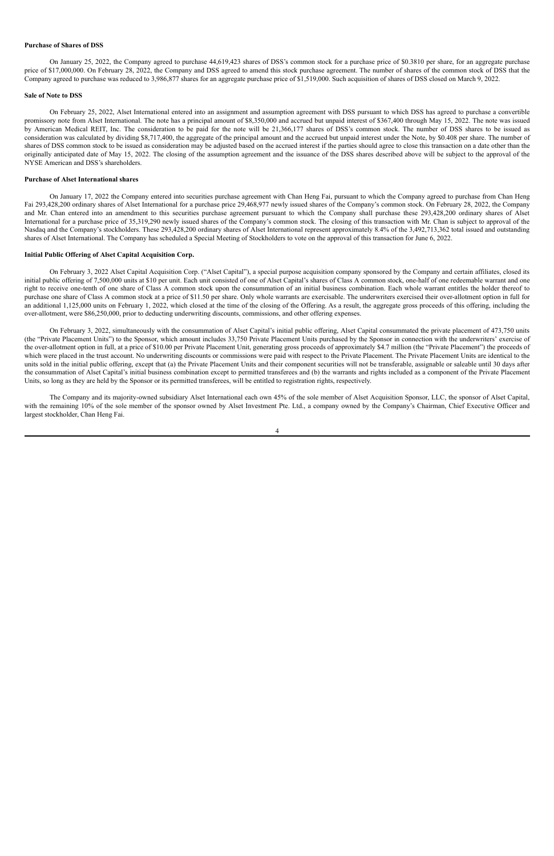#### **Purchase of Shares of DSS**

On January 25, 2022, the Company agreed to purchase 44,619,423 shares of DSS's common stock for a purchase price of \$0.3810 per share, for an aggregate purchase price of \$17,000,000. On February 28, 2022, the Company and DSS agreed to amend this stock purchase agreement. The number of shares of the common stock of DSS that the Company agreed to purchase was reduced to 3,986,877 shares for an aggregate purchase price of \$1,519,000. Such acquisition of shares of DSS closed on March 9, 2022.

#### **Sale of Note to DSS**

On February 25, 2022, Alset International entered into an assignment and assumption agreement with DSS pursuant to which DSS has agreed to purchase a convertible promissory note from Alset International. The note has a principal amount of \$8,350,000 and accrued but unpaid interest of \$367,400 through May 15, 2022. The note was issued by American Medical REIT, Inc. The consideration to be paid for the note will be 21,366,177 shares of DSS's common stock. The number of DSS shares to be issued as consideration was calculated by dividing \$8,717,400, the aggregate of the principal amount and the accrued but unpaid interest under the Note, by \$0.408 per share. The number of shares of DSS common stock to be issued as consideration may be adjusted based on the accrued interest if the parties should agree to close this transaction on a date other than the originally anticipated date of May 15, 2022. The closing of the assumption agreement and the issuance of the DSS shares described above will be subject to the approval of the NYSE American and DSS's shareholders.

#### **Purchase of Alset International shares**

On January 17, 2022 the Company entered into securities purchase agreement with Chan Heng Fai, pursuant to which the Company agreed to purchase from Chan Heng Fai 293,428,200 ordinary shares of Alset International for a purchase price 29,468,977 newly issued shares of the Company's common stock. On February 28, 2022, the Company and Mr. Chan entered into an amendment to this securities purchase agreement pursuant to which the Company shall purchase these 293,428,200 ordinary shares of Alset International for a purchase price of 35,319,290 newly issued shares of the Company's common stock. The closing of this transaction with Mr. Chan is subject to approval of the Nasdaq and the Company's stockholders. These 293,428,200 ordinary shares of Alset International represent approximately 8.4% of the 3,492,713,362 total issued and outstanding shares of Alset International. The Company has scheduled a Special Meeting of Stockholders to vote on the approval of this transaction for June 6, 2022.

#### **Initial Public Offering of Alset Capital Acquisition Corp.**

On February 3, 2022 Alset Capital Acquisition Corp. ("Alset Capital"), a special purpose acquisition company sponsored by the Company and certain affiliates, closed its initial public offering of 7,500,000 units at \$10 per unit. Each unit consisted of one of Alset Capital's shares of Class A common stock, one-half of one redeemable warrant and one right to receive one-tenth of one share of Class A common stock upon the consummation of an initial business combination. Each whole warrant entitles the holder thereof to purchase one share of Class A common stock at a price of \$11.50 per share. Only whole warrants are exercisable. The underwriters exercised their over-allotment option in full for an additional 1,125,000 units on February 1, 2022, which closed at the time of the closing of the Offering. As a result, the aggregate gross proceeds of this offering, including the over-allotment, were \$86,250,000, prior to deducting underwriting discounts, commissions, and other offering expenses.

On February 3, 2022, simultaneously with the consummation of Alset Capital's initial public offering, Alset Capital consummated the private placement of 473,750 units (the "Private Placement Units") to the Sponsor, which amount includes 33,750 Private Placement Units purchased by the Sponsor in connection with the underwriters' exercise of the over-allotment option in full, at a price of \$10.00 per Private Placement Unit, generating gross proceeds of approximately \$4.7 million (the "Private Placement") the proceeds of which were placed in the trust account. No underwriting discounts or commissions were paid with respect to the Private Placement. The Private Placement Units are identical to the units sold in the initial public offering, except that (a) the Private Placement Units and their component securities will not be transferable, assignable or saleable until 30 days after the consummation of Alset Capital's initial business combination except to permitted transferees and (b) the warrants and rights included as a component of the Private Placement Units, so long as they are held by the Sponsor or its permitted transferees, will be entitled to registration rights, respectively.

The Company and its majority-owned subsidiary Alset International each own 45% of the sole member of Alset Acquisition Sponsor, LLC, the sponsor of Alset Capital, with the remaining 10% of the sole member of the sponsor owned by Alset Investment Pte. Ltd., a company owned by the Company's Chairman, Chief Executive Officer and largest stockholder, Chan Heng Fai.

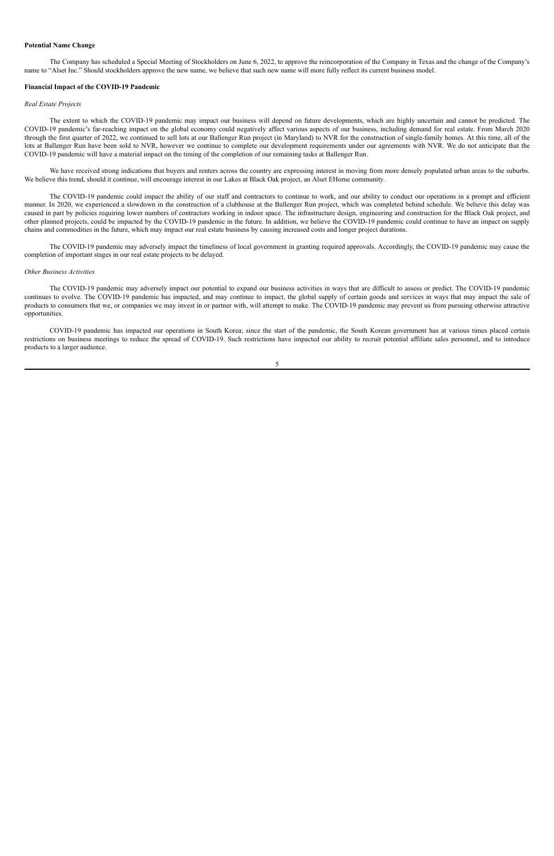#### **Potential Name Change**

The Company has scheduled a Special Meeting of Stockholders on June 6, 2022, to approve the reincorporation of the Company in Texas and the change of the Company's name to "Alset Inc." Should stockholders approve the new name, we believe that such new name will more fully reflect its current business model.

#### **Financial Impact of the COVID-19 Pandemic**

#### *Real Estate Projects*

We have received strong indications that buyers and renters across the country are expressing interest in moving from more densely populated urban areas to the suburbs. We believe this trend, should it continue, will encourage interest in our Lakes at Black Oak project, an Alset EHome community.

The extent to which the COVID-19 pandemic may impact our business will depend on future developments, which are highly uncertain and cannot be predicted. The COVID-19 pandemic's far-reaching impact on the global economy could negatively affect various aspects of our business, including demand for real estate. From March 2020 through the first quarter of 2022, we continued to sell lots at our Ballenger Run project (in Maryland) to NVR for the construction of single-family homes. At this time, all of the lots at Ballenger Run have been sold to NVR, however we continue to complete our development requirements under our agreements with NVR. We do not anticipate that the COVID-19 pandemic will have a material impact on the timing of the completion of our remaining tasks at Ballenger Run.

The COVID-19 pandemic could impact the ability of our staff and contractors to continue to work, and our ability to conduct our operations in a prompt and efficient manner. In 2020, we experienced a slowdown in the construction of a clubhouse at the Ballenger Run project, which was completed behind schedule. We believe this delay was caused in part by policies requiring lower numbers of contractors working in indoor space. The infrastructure design, engineering and construction for the Black Oak project, and other planned projects, could be impacted by the COVID-19 pandemic in the future. In addition, we believe the COVID-19 pandemic could continue to have an impact on supply chains and commodities in the future, which may impact our real estate business by causing increased costs and longer project durations.

The COVID-19 pandemic may adversely impact the timeliness of local government in granting required approvals. Accordingly, the COVID-19 pandemic may cause the completion of important stages in our real estate projects to be delayed.

#### *Other Business Activities*

The COVID-19 pandemic may adversely impact our potential to expand our business activities in ways that are difficult to assess or predict. The COVID-19 pandemic continues to evolve. The COVID-19 pandemic has impacted, and may continue to impact, the global supply of certain goods and services in ways that may impact the sale of products to consumers that we, or companies we may invest in or partner with, will attempt to make. The COVID-19 pandemic may prevent us from pursuing otherwise attractive opportunities.

COVID-19 pandemic has impacted our operations in South Korea; since the start of the pandemic, the South Korean government has at various times placed certain restrictions on business meetings to reduce the spread of COVID-19. Such restrictions have impacted our ability to recruit potential affiliate sales personnel, and to introduce products to a larger audience.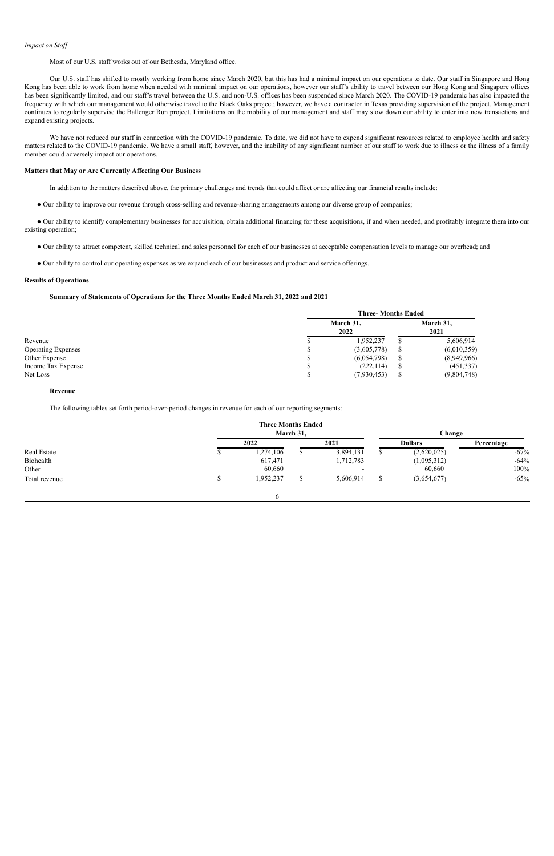#### *Impact on Staf*

## Most of our U.S. staff works out of our Bethesda, Maryland office.

Our U.S. staff has shifted to mostly working from home since March 2020, but this has had a minimal impact on our operations to date. Our staff in Singapore and Hong Kong has been able to work from home when needed with minimal impact on our operations, however our staff's ability to travel between our Hong Kong and Singapore offices has been significantly limited, and our staff's travel between the U.S. and non-U.S. offices has been suspended since March 2020. The COVID-19 pandemic has also impacted the frequency with which our management would otherwise travel to the Black Oaks project; however, we have a contractor in Texas providing supervision of the project. Management continues to regularly supervise the Ballenger Run project. Limitations on the mobility of our management and staff may slow down our ability to enter into new transactions and expand existing projects.

We have not reduced our staff in connection with the COVID-19 pandemic. To date, we did not have to expend significant resources related to employee health and safety matters related to the COVID-19 pandemic. We have a small staff, however, and the inability of any significant number of our staff to work due to illness or the illness of a family member could adversely impact our operations.

## **Matters that May or Are Currently Affecting Our Business**

In addition to the matters described above, the primary challenges and trends that could affect or are affecting our financial results include:

● Our ability to improve our revenue through cross-selling and revenue-sharing arrangements among our diverse group of companies;

● Our ability to identify complementary businesses for acquisition, obtain additional financing for these acquisitions, if and when needed, and profitably integrate them into our existing operation;

- Our ability to attract competent, skilled technical and sales personnel for each of our businesses at acceptable compensation levels to manage our overhead; and
- Our ability to control our operating expenses as we expand each of our businesses and product and service offerings.

## **Results of Operations**

#### **Summary of Statements of Operations for the Three Months Ended March 31, 2022 and 2021**

|                           | <b>Three- Months Ended</b> |  |                   |  |
|---------------------------|----------------------------|--|-------------------|--|
|                           | March 31,<br>2022          |  | March 31,<br>2021 |  |
| Revenue                   | 1,952,237                  |  | 5,606,914         |  |
| <b>Operating Expenses</b> | (3,605,778)                |  | (6,010,359)       |  |
| Other Expense             | (6,054,798)                |  | (8,949,966)       |  |
| Income Tax Expense        | (222, 114)                 |  | (451, 337)        |  |
| Net Loss                  | (7,930,453)                |  | (9,804,748)       |  |

#### **Revenue**

The following tables set forth period-over-period changes in revenue for each of our reporting segments:

|               | <b>Three Months Ended</b> | March 31, |           | Change         |            |
|---------------|---------------------------|-----------|-----------|----------------|------------|
|               | 2022                      |           | 2021      | <b>Dollars</b> | Percentage |
| Real Estate   | 1,274,106                 |           | 3,894,131 | (2,620,025)    | $-67%$     |
| Biohealth     | 617,471                   |           | 1,712,783 | (1,095,312)    | $-64%$     |
| Other         | 60,660                    |           |           | 60,660         | 100%       |
| Total revenue | 1,952,237                 |           | 5,606,914 | (3,654,677)    | $-65%$     |
|               |                           |           |           |                |            |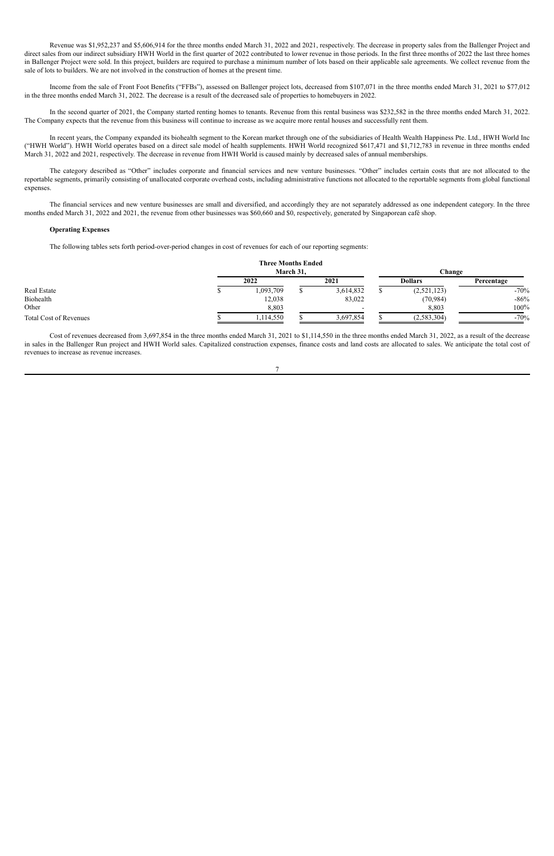Revenue was \$1,952,237 and \$5,606,914 for the three months ended March 31, 2022 and 2021, respectively. The decrease in property sales from the Ballenger Project and direct sales from our indirect subsidiary HWH World in the first quarter of 2022 contributed to lower revenue in those periods. In the first three months of 2022 the last three homes in Ballenger Project were sold. In this project, builders are required to purchase a minimum number of lots based on their applicable sale agreements. We collect revenue from the sale of lots to builders. We are not involved in the construction of homes at the present time.

Income from the sale of Front Foot Benefits ("FFBs"), assessed on Ballenger project lots, decreased from \$107,071 in the three months ended March 31, 2021 to \$77,012 in the three months ended March 31, 2022. The decrease is a result of the decreased sale of properties to homebuyers in 2022.

In the second quarter of 2021, the Company started renting homes to tenants. Revenue from this rental business was \$232,582 in the three months ended March 31, 2022. The Company expects that the revenue from this business will continue to increase as we acquire more rental houses and successfully rent them.

In recent years, the Company expanded its biohealth segment to the Korean market through one of the subsidiaries of Health Wealth Happiness Pte. Ltd., HWH World Inc ("HWH World"). HWH World operates based on a direct sale model of health supplements. HWH World recognized \$617,471 and \$1,712,783 in revenue in three months ended March 31, 2022 and 2021, respectively. The decrease in revenue from HWH World is caused mainly by decreased sales of annual memberships.

Cost of revenues decreased from 3,697,854 in the three months ended March 31, 2021 to \$1,114,550 in the three months ended March 31, 2022, as a result of the decrease in sales in the Ballenger Run project and HWH World sales. Capitalized construction expenses, finance costs and land costs are allocated to sales. We anticipate the total cost of revenues to increase as revenue increases.

The category described as "Other" includes corporate and financial services and new venture businesses. "Other" includes certain costs that are not allocated to the reportable segments, primarily consisting of unallocated corporate overhead costs, including administrative functions not allocated to the reportable segments from global functional expenses.

The financial services and new venture businesses are small and diversified, and accordingly they are not separately addressed as one independent category. In the three months ended March 31, 2022 and 2021, the revenue from other businesses was \$60,660 and \$0, respectively, generated by Singaporean café shop.

## **Operating Expenses**

The following tables sets forth period-over-period changes in cost of revenues for each of our reporting segments:

|                               | <b>Three Months Ended</b> |           |                |            |
|-------------------------------|---------------------------|-----------|----------------|------------|
|                               | March 31,                 |           | Change         |            |
|                               | 2022                      | 2021      | <b>Dollars</b> | Percentage |
| Real Estate                   | ,093,709                  | 3,614,832 | (2,521,123)    | $-70%$     |
| Biohealth                     | 12,038                    | 83,022    | (70, 984)      | $-86%$     |
| Other                         | 8,803                     |           | 8,803          | 100%       |
| <b>Total Cost of Revenues</b> | 1,114,550                 | 3,697,854 | (2,583,304)    | $-70%$     |

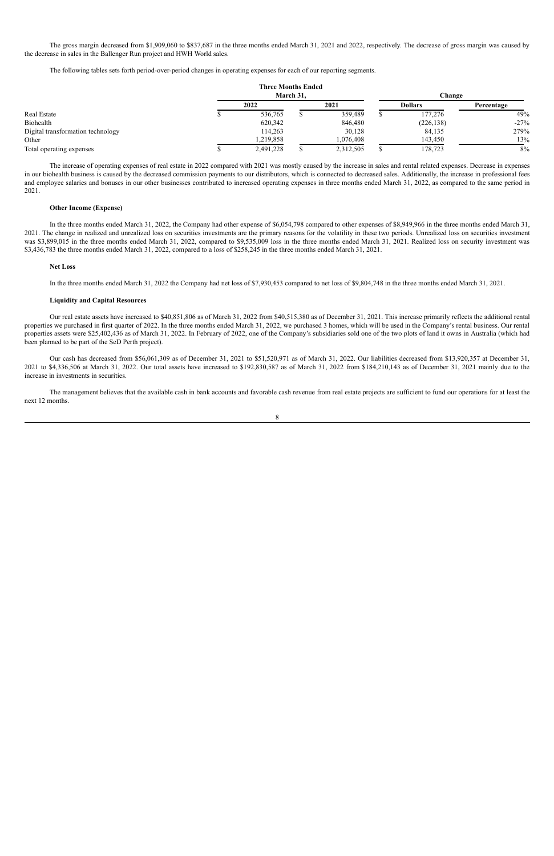The gross margin decreased from \$1,909,060 to \$837,687 in the three months ended March 31, 2021 and 2022, respectively. The decrease of gross margin was caused by the decrease in sales in the Ballenger Run project and HWH World sales.

The following tables sets forth period-over-period changes in operating expenses for each of our reporting segments.

|                                   | <b>Three Months Ended</b> |           |           |                |            |
|-----------------------------------|---------------------------|-----------|-----------|----------------|------------|
|                                   |                           | March 31, |           | Change         |            |
|                                   | 2022                      |           | 2021      | <b>Dollars</b> | Percentage |
| Real Estate                       | 536,765                   |           | 359,489   | 177,276        | 49%        |
| Biohealth                         | 620,342                   |           | 846,480   | (226, 138)     | $-27%$     |
| Digital transformation technology | 114,263                   |           | 30,128    | 84,135         | 279%       |
| Other                             | 1,219,858                 |           | 1,076,408 | 143,450        | 13%        |
| Total operating expenses          | 2,491,228                 |           | 2,312,505 | 178,723        | 8%         |

The increase of operating expenses of real estate in 2022 compared with 2021 was mostly caused by the increase in sales and rental related expenses. Decrease in expenses in our biohealth business is caused by the decreased commission payments to our distributors, which is connected to decreased sales. Additionally, the increase in professional fees and employee salaries and bonuses in our other businesses contributed to increased operating expenses in three months ended March 31, 2022, as compared to the same period in 2021.

## **Other Income (Expense)**

In the three months ended March 31, 2022, the Company had other expense of \$6,054,798 compared to other expenses of \$8,949,966 in the three months ended March 31, 2021. The change in realized and unrealized loss on securities investments are the primary reasons for the volatility in these two periods. Unrealized loss on securities investment was \$3,899,015 in the three months ended March 31, 2022, compared to \$9,535,009 loss in the three months ended March 31, 2021. Realized loss on security investment was \$3,436,783 the three months ended March 31, 2022, compared to a loss of \$258,245 in the three months ended March 31, 2021.

#### **Net Loss**

In the three months ended March 31, 2022 the Company had net loss of \$7,930,453 compared to net loss of \$9,804,748 in the three months ended March 31, 2021.

## **Liquidity and Capital Resources**

Our real estate assets have increased to \$40,851,806 as of March 31, 2022 from \$40,515,380 as of December 31, 2021. This increase primarily reflects the additional rental properties we purchased in first quarter of 2022. In the three months ended March 31, 2022, we purchased 3 homes, which will be used in the Company's rental business. Our rental properties assets were \$25,402,436 as of March 31, 2022. In February of 2022, one of the Company's subsidiaries sold one of the two plots of land it owns in Australia (which had been planned to be part of the SeD Perth project).

Our cash has decreased from \$56,061,309 as of December 31, 2021 to \$51,520,971 as of March 31, 2022. Our liabilities decreased from \$13,920,357 at December 31, 2021 to \$4,336,506 at March 31, 2022. Our total assets have increased to \$192,830,587 as of March 31, 2022 from \$184,210,143 as of December 31, 2021 mainly due to the increase in investments in securities.

The management believes that the available cash in bank accounts and favorable cash revenue from real estate projects are sufficient to fund our operations for at least the next 12 months.

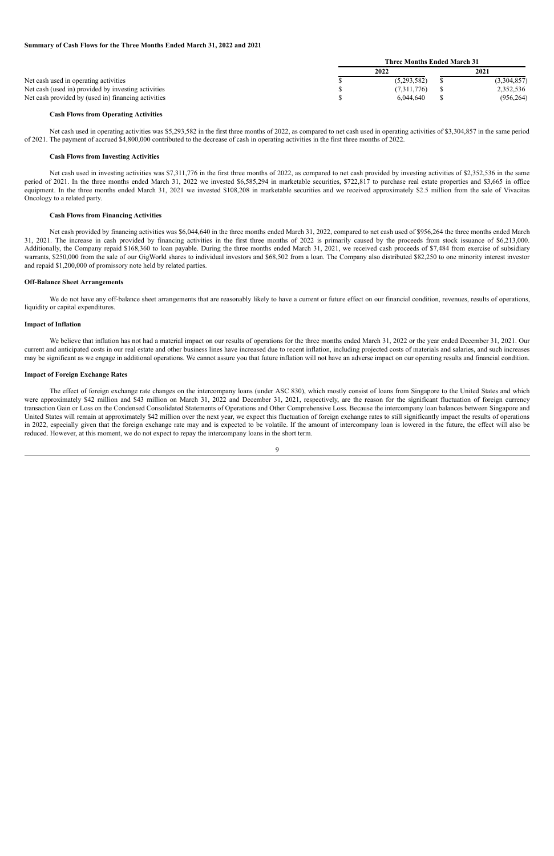#### **Summary of Cash Flows for the Three Months Ended March 31, 2022 and 2021**

|                                                     | <b>Three Months Ended March 31</b> |  |             |  |
|-----------------------------------------------------|------------------------------------|--|-------------|--|
|                                                     | 2022                               |  | 2021        |  |
| Net cash used in operating activities               | (5,293,582)                        |  | (3,304,857) |  |
| Net cash (used in) provided by investing activities | (7,311,776)                        |  | 2,352,536   |  |
| Net cash provided by (used in) financing activities | 6.044.640                          |  | (956, 264)  |  |

Net cash used in operating activities was \$5,293,582 in the first three months of 2022, as compared to net cash used in operating activities of \$3,304,857 in the same period of 2021. The payment of accrued \$4,800,000 contributed to the decrease of cash in operating activities in the first three months of 2022.

#### **Cash Flows from Operating Activities**

#### **Cash Flows from Investing Activities**

Net cash used in investing activities was \$7,311,776 in the first three months of 2022, as compared to net cash provided by investing activities of \$2,352,536 in the same period of 2021. In the three months ended March 31, 2022 we invested \$6,585,294 in marketable securities, \$722,817 to purchase real estate properties and \$3,665 in office equipment. In the three months ended March 31, 2021 we invested \$108,208 in marketable securities and we received approximately \$2.5 million from the sale of Vivacitas Oncology to a related party.

Net cash provided by financing activities was \$6,044,640 in the three months ended March 31, 2022, compared to net cash used of \$956,264 the three months ended March 31, 2021. The increase in cash provided by financing activities in the first three months of 2022 is primarily caused by the proceeds from stock issuance of \$6,213,000. Additionally, the Company repaid \$168,360 to loan payable. During the three months ended March 31, 2021, we received cash proceeds of \$7,484 from exercise of subsidiary warrants, \$250,000 from the sale of our GigWorld shares to individual investors and \$68,502 from a loan. The Company also distributed \$82,250 to one minority interest investor and repaid \$1,200,000 of promissory note held by related parties.

We do not have any off-balance sheet arrangements that are reasonably likely to have a current or future effect on our financial condition, revenues, results of operations, liquidity or capital expenditures.

#### **Cash Flows from Financing Activities**

We believe that inflation has not had a material impact on our results of operations for the three months ended March 31, 2022 or the year ended December 31, 2021. Our current and anticipated costs in our real estate and other business lines have increased due to recent inflation, including projected costs of materials and salaries, and such increases may be significant as we engage in additional operations. We cannot assure you that future inflation will not have an adverse impact on our operating results and financial condition.

## **Off-Balance Sheet Arrangements**

#### **Impact of Inflation**

#### **Impact of Foreign Exchange Rates**

The effect of foreign exchange rate changes on the intercompany loans (under ASC 830), which mostly consist of loans from Singapore to the United States and which were approximately \$42 million and \$43 million on March 31, 2022 and December 31, 2021, respectively, are the reason for the significant fluctuation of foreign currency transaction Gain or Loss on the Condensed Consolidated Statements of Operations and Other Comprehensive Loss. Because the intercompany loan balances between Singapore and United States will remain at approximately \$42 million over the next year, we expect this fluctuation of foreign exchange rates to still significantly impact the results of operations in 2022, especially given that the foreign exchange rate may and is expected to be volatile. If the amount of intercompany loan is lowered in the future, the effect will also be reduced. However, at this moment, we do not expect to repay the intercompany loans in the short term.

#### 9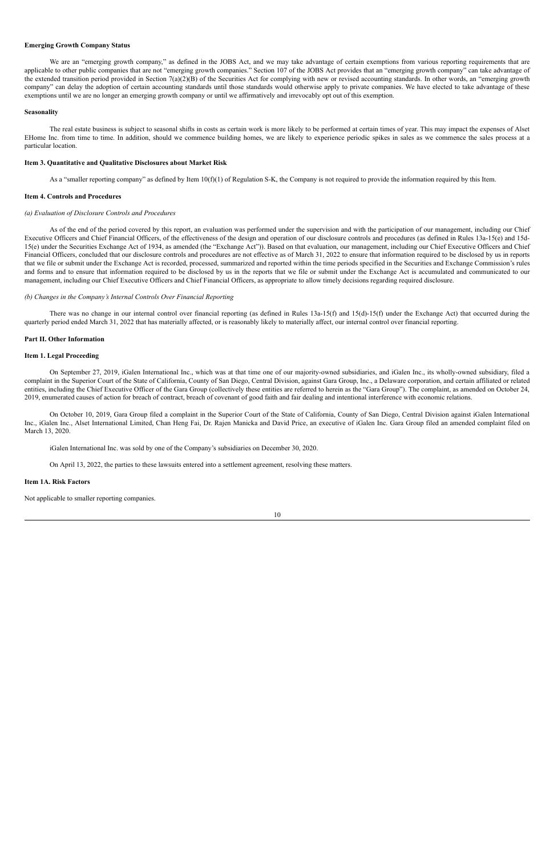#### **Emerging Growth Company Status**

We are an "emerging growth company," as defined in the JOBS Act, and we may take advantage of certain exemptions from various reporting requirements that are applicable to other public companies that are not "emerging growth companies." Section 107 of the JOBS Act provides that an "emerging growth company" can take advantage of the extended transition period provided in Section 7(a)(2)(B) of the Securities Act for complying with new or revised accounting standards. In other words, an "emerging growth company" can delay the adoption of certain accounting standards until those standards would otherwise apply to private companies. We have elected to take advantage of these exemptions until we are no longer an emerging growth company or until we affirmatively and irrevocably opt out of this exemption.

#### **Seasonality**

The real estate business is subject to seasonal shifts in costs as certain work is more likely to be performed at certain times of year. This may impact the expenses of Alset EHome Inc. from time to time. In addition, should we commence building homes, we are likely to experience periodic spikes in sales as we commence the sales process at a particular location.

### <span id="page-42-0"></span>**Item 3. Quantitative and Qualitative Disclosures about Market Risk**

As a "smaller reporting company" as defined by Item 10(f)(1) of Regulation S-K, the Company is not required to provide the information required by this Item.

#### <span id="page-42-1"></span>**Item 4. Controls and Procedures**

#### *(a) Evaluation of Disclosure Controls and Procedures*

As of the end of the period covered by this report, an evaluation was performed under the supervision and with the participation of our management, including our Chief Executive Officers and Chief Financial Officers, of the effectiveness of the design and operation of our disclosure controls and procedures (as defined in Rules 13a-15(e) and 15d-15(e) under the Securities Exchange Act of 1934, as amended (the "Exchange Act")). Based on that evaluation, our management, including our Chief Executive Officers and Chief Financial Officers, concluded that our disclosure controls and procedures are not effective as of March 31, 2022 to ensure that information required to be disclosed by us in reports that we file or submit under the Exchange Act is recorded, processed, summarized and reported within the time periods specified in the Securities and Exchange Commission's rules and forms and to ensure that information required to be disclosed by us in the reports that we file or submit under the Exchange Act is accumulated and communicated to our management, including our Chief Executive Officers and Chief Financial Officers, as appropriate to allow timely decisions regarding required disclosure.

#### *(b) Changes in the Company's Internal Controls Over Financial Reporting*

There was no change in our internal control over financial reporting (as defined in Rules 13a-15(f) and 15(d)-15(f) under the Exchange Act) that occurred during the quarterly period ended March 31, 2022 that has materially affected, or is reasonably likely to materially affect, our internal control over financial reporting.

#### <span id="page-42-2"></span>**Part II. Other Information**

#### <span id="page-42-3"></span>**Item 1. Legal Proceeding**

On September 27, 2019, iGalen International Inc., which was at that time one of our majority-owned subsidiaries, and iGalen Inc., its wholly-owned subsidiary, filed a complaint in the Superior Court of the State of California, County of San Diego, Central Division, against Gara Group, Inc., a Delaware corporation, and certain affiliated or related entities, including the Chief Executive Officer of the Gara Group (collectively these entities are referred to herein as the "Gara Group"). The complaint, as amended on October 24, 2019, enumerated causes of action for breach of contract, breach of covenant of good faith and fair dealing and intentional interference with economic relations.

On October 10, 2019, Gara Group filed a complaint in the Superior Court of the State of California, County of San Diego, Central Division against iGalen International Inc., iGalen Inc., Alset International Limited, Chan Heng Fai, Dr. Rajen Manicka and David Price, an executive of iGalen Inc. Gara Group filed an amended complaint filed on March 13, 2020.

iGalen International Inc. was sold by one of the Company's subsidiaries on December 30, 2020.

On April 13, 2022, the parties to these lawsuits entered into a settlement agreement, resolving these matters.

#### <span id="page-42-4"></span>**Item 1A. Risk Factors**

Not applicable to smaller reporting companies.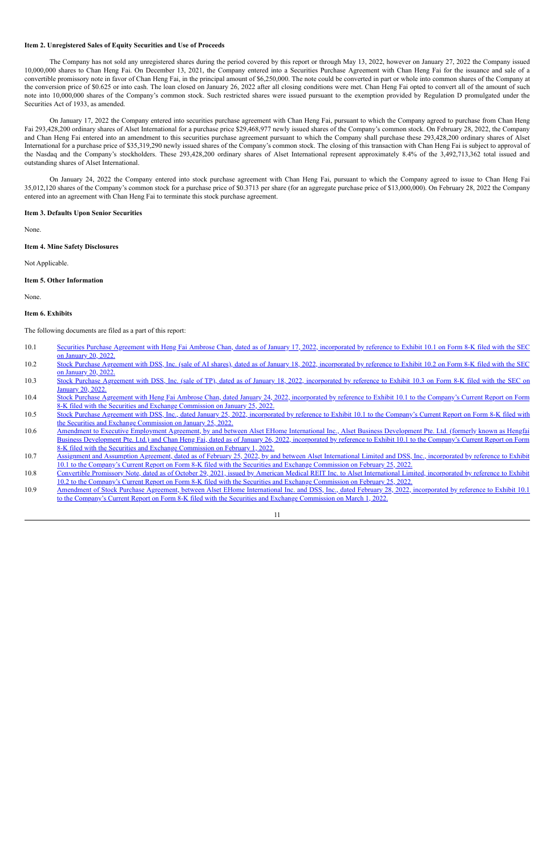#### <span id="page-43-0"></span>**Item 2. Unregistered Sales of Equity Securities and Use of Proceeds**

The Company has not sold any unregistered shares during the period covered by this report or through May 13, 2022, however on January 27, 2022 the Company issued 10,000,000 shares to Chan Heng Fai. On December 13, 2021, the Company entered into a Securities Purchase Agreement with Chan Heng Fai for the issuance and sale of a convertible promissory note in favor of Chan Heng Fai, in the principal amount of \$6,250,000. The note could be converted in part or whole into common shares of the Company at the conversion price of \$0.625 or into cash. The loan closed on January 26, 2022 after all closing conditions were met. Chan Heng Fai opted to convert all of the amount of such note into 10,000,000 shares of the Company's common stock. Such restricted shares were issued pursuant to the exemption provided by Regulation D promulgated under the Securities Act of 1933, as amended.

On January 17, 2022 the Company entered into securities purchase agreement with Chan Heng Fai, pursuant to which the Company agreed to purchase from Chan Heng Fai 293,428,200 ordinary shares of Alset International for a purchase price \$29,468,977 newly issued shares of the Company's common stock. On February 28, 2022, the Company and Chan Heng Fai entered into an amendment to this securities purchase agreement pursuant to which the Company shall purchase these 293,428,200 ordinary shares of Alset International for a purchase price of \$35,319,290 newly issued shares of the Company's common stock. The closing of this transaction with Chan Heng Fai is subject to approval of the Nasdaq and the Company's stockholders. These 293,428,200 ordinary shares of Alset International represent approximately 8.4% of the 3,492,713,362 total issued and outstanding shares of Alset International.

On January 24, 2022 the Company entered into stock purchase agreement with Chan Heng Fai, pursuant to which the Company agreed to issue to Chan Heng Fai 35,012,120 shares of the Company's common stock for a purchase price of \$0.3713 per share (for an aggregate purchase price of \$13,000,000). On February 28, 2022 the Company entered into an agreement with Chan Heng Fai to terminate this stock purchase agreement.

#### <span id="page-43-1"></span>**Item 3. Defaults Upon Senior Securities**

None.

## <span id="page-43-2"></span>**Item 4. Mine Safety Disclosures**

Not Applicable.

## <span id="page-43-3"></span>**Item 5. Other Information**

None.

## <span id="page-43-4"></span>**Item 6. Exhibits**

The following documents are filed as a part of this report:

- 10.1 Securities Purchase Agreement with Heng Fai Ambrose Chan, dated as of January 17, 2022, [incorporated](https://www.sec.gov/Archives/edgar/data/1750106/000149315222001666/ex10-1.htm) by reference to Exhibit 10.1 on Form 8-K filed with the SEC on January 20, 2022.
- 10.2 Stock Purchase Agreement with DSS, Inc. (sale of AI shares), dated as of January 18, 2022, [incorporated](https://www.sec.gov/Archives/edgar/data/1750106/000149315222001666/ex10-2.htm) by reference to Exhibit 10.2 on Form 8-K filed with the SEC on January 20, 2022.
- 10.3 Stock Purchase Agreement with DSS, Inc. (sale of TP), dated as of January 18, 2022, [incorporated](https://www.sec.gov/Archives/edgar/data/1750106/000149315222001666/ex10-3.htm) by reference to Exhibit 10.3 on Form 8-K filed with the SEC on January 20, 2022.
- 10.4 Stock Purchase Agreement with Heng Fai Ambrose Chan, dated January 24, 2022, incorporated by reference to Exhibit 10.1 to the Company's Current Report on Form 8-K filed with the Securities and Exchange [Commission](https://www.sec.gov/Archives/edgar/data/1750106/000149315222002174/ex10-1.htm) on January 25, 2022.
- 10.5 Stock Purchase Agreement with DSS, Inc., dated January 25, 2022, incorporated by reference to Exhibit 10.1 to the Company's Current Report on Form 8-K filed with the Securities and Exchange [Commission](https://www.sec.gov/Archives/edgar/data/1750106/000149315222002185/ex10-1.htm) on January 25, 2022.
- 10.6 Amendment to Executive Employment Agreement, by and between Alset EHome International Inc., Alset Business Development Pte. Ltd. (formerly known as Hengfai Business [Development](https://www.sec.gov/Archives/edgar/data/1750106/000149315222002873/ex10-1.htm) Pte. Ltd.) and Chan Heng Fai, dated as of January 26, 2022, incorporated by reference to Exhibit 10.1 to the Company's Current Report on Form 8-K filed with the Securities and Exchange Commission on February 1, 2022.
- 10.7 Assignment and Assumption Agreement, dated as of February 25, 2022, by and between Alset [International](https://www.sec.gov/Archives/edgar/data/1750106/000149315222005518/ex10-1.htm) Limited and DSS, Inc., incorporated by reference to Exhibit 10.1 to the Company's Current Report on Form 8-K filed with the Securities and Exchange Commission on February 25, 2022.
- 10.8 Convertible Promissory Note, dated as of October 29, 2021, issued by American Medical REIT Inc. to Alset [International](https://www.sec.gov/Archives/edgar/data/1750106/000149315222005518/ex10-2.htm) Limited, incorporated by reference to Exhibit 10.2 to the Company's Current Report on Form 8-K filed with the Securities and Exchange Commission on February 25, 2022.
- 10.9 Amendment of Stock Purchase Agreement, between Alset EHome [International](https://www.sec.gov/Archives/edgar/data/1750106/000149315222005689/ex10-1.htm) Inc. and DSS, Inc., dated February 28, 2022, incorporated by reference to Exhibit 10.1 to the Company's Current Report on Form 8-K filed with the Securities and Exchange Commission on March 1, 2022.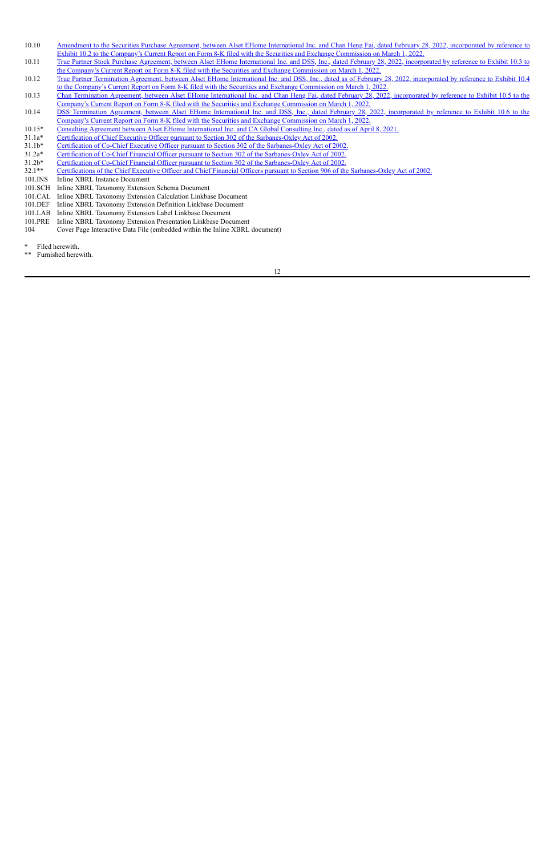- 10.10 Amendment to the Securities Purchase Agreement, between Alset EHome [International](https://www.sec.gov/Archives/edgar/data/1750106/000149315222005689/ex10-2.htm) Inc. and Chan Heng Fai, dated February 28, 2022, incorporated by reference to Exhibit 10.2 to the Company's Current Report on Form 8-K filed with the Securities and Exchange Commission on March 1, 2022.
- 10.11 True Partner Stock Purchase Agreement, between Alset EHome [International](https://www.sec.gov/Archives/edgar/data/1750106/000149315222005689/ex10-3.htm) Inc. and DSS, Inc., dated February 28, 2022, incorporated by reference to Exhibit 10.3 to the Company's Current Report on Form 8-K filed with the Securities and Exchange Commission on March 1, 2022.
- 10.12 True Partner Termination Agreement, between Alset EHome [International](https://www.sec.gov/Archives/edgar/data/1750106/000149315222005689/ex10-4.htm) Inc. and DSS, Inc., dated as of February 28, 2022, incorporated by reference to Exhibit 10.4 to the Company's Current Report on Form 8-K filed with the Securities and Exchange Commission on March 1, 2022.
- 10.13 Chan Termination Agreement, between Alset EHome [International](https://www.sec.gov/Archives/edgar/data/1750106/000149315222005689/ex10-5.htm) Inc. and Chan Heng Fai, dated February 28, 2022, incorporated by reference to Exhibit 10.5 to the Company's Current Report on Form 8-K filed with the Securities and Exchange Commission on March 1, 2022.
- 10.14 DSS Termination Agreement, between Alset EHome [International](https://www.sec.gov/Archives/edgar/data/1750106/000149315222005689/ex10-6.htm) Inc. and DSS, Inc., dated February 28, 2022, incorporated by reference to Exhibit 10.6 to the Company's Current Report on Form 8-K filed with the Securities and Exchange Commission on March 1, 2022.
- 10.15\* Consulting Agreement between Alset EHome [International](https://www.sec.gov/Archives/edgar/data/1750106/000149315222013337/ex10-15.htm) Inc. and CA Global Consulting Inc., dated as of April 8, 2021.
- 31.1a\* Certification of Chief Executive Officer pursuant to Section 302 of the [Sarbanes-Oxley](https://www.sec.gov/Archives/edgar/data/1750106/000149315222013337/ex31-1a.htm) Act of 2002.
- 31.1b\* Certification of Co-Chief Executive Officer pursuant to Section 302 of the [Sarbanes-Oxley](https://www.sec.gov/Archives/edgar/data/1750106/000149315222013337/ex31-1b.htm) Act of 2002.
- 31.2a\* Certification of Co-Chief Financial Officer pursuant to Section 302 of the [Sarbanes-Oxley](https://www.sec.gov/Archives/edgar/data/1750106/000149315222013337/ex31-2a.htm) Act of 2002.
- 
- 31.2b\* Certification of Co-Chief Financial Officer pursuant to Section 302 of the [Sarbanes-Oxley](https://www.sec.gov/Archives/edgar/data/1750106/000149315222013337/ex31-2b.htm) Act of 2002. Certifications of the Chief Executive Officer and Chief Financial Officers pursuant to Section 906 of the [Sarbanes-Oxley](https://www.sec.gov/Archives/edgar/data/1750106/000149315222013337/ex32-1.htm) Act of 2002.
- 101.INS Inline XBRL Instance Document
- 101.SCH Inline XBRL Taxonomy Extension Schema Document
- 101.CAL Inline XBRL Taxonomy Extension Calculation Linkbase Document
- 101.DEF Inline XBRL Taxonomy Extension Definition Linkbase Document
- 101.LAB Inline XBRL Taxonomy Extension Label Linkbase Document
- 101.PRE Inline XBRL Taxonomy Extension Presentation Linkbase Document
- 104 Cover Page Interactive Data File (embedded within the Inline XBRL document)
- \* Filed herewith.
- \*\* Furnished herewith.

## 12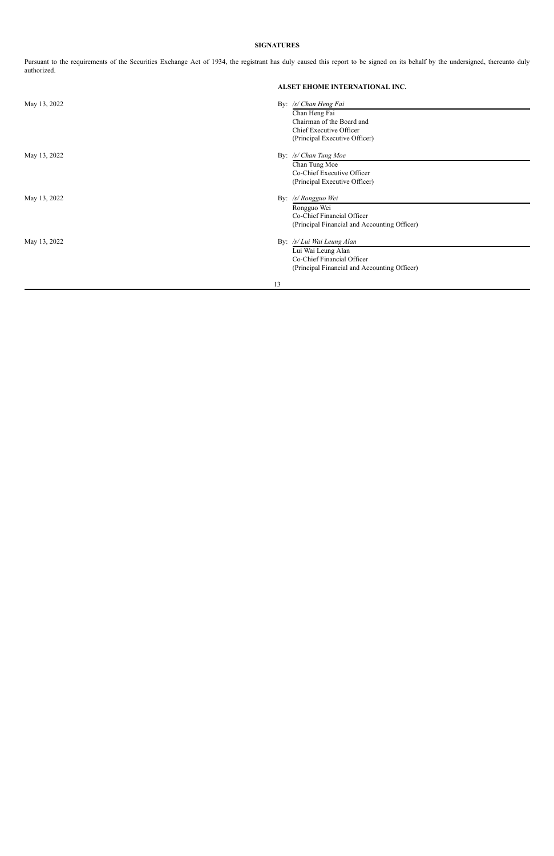# **SIGNATURES**

<span id="page-45-0"></span>Pursuant to the requirements of the Securities Exchange Act of 1934, the registrant has duly caused this report to be signed on its behalf by the undersigned, thereunto duly authorized.

|              | ALSET EHOME INTERNATIONAL INC.                                                                                                  |
|--------------|---------------------------------------------------------------------------------------------------------------------------------|
| May 13, 2022 | By: /s/ Chan Heng Fai<br>Chan Heng Fai<br>Chairman of the Board and<br>Chief Executive Officer<br>(Principal Executive Officer) |
| May 13, 2022 | By: /s/ Chan Tung Moe<br>Chan Tung Moe<br>Co-Chief Executive Officer<br>(Principal Executive Officer)                           |
| May 13, 2022 | By: /s/ Rongguo Wei<br>Rongguo Wei<br>Co-Chief Financial Officer<br>(Principal Financial and Accounting Officer)                |
| May 13, 2022 | By: /s/ Lui Wai Leung Alan<br>Lui Wai Leung Alan<br>Co-Chief Financial Officer<br>(Principal Financial and Accounting Officer)  |
|              | 13                                                                                                                              |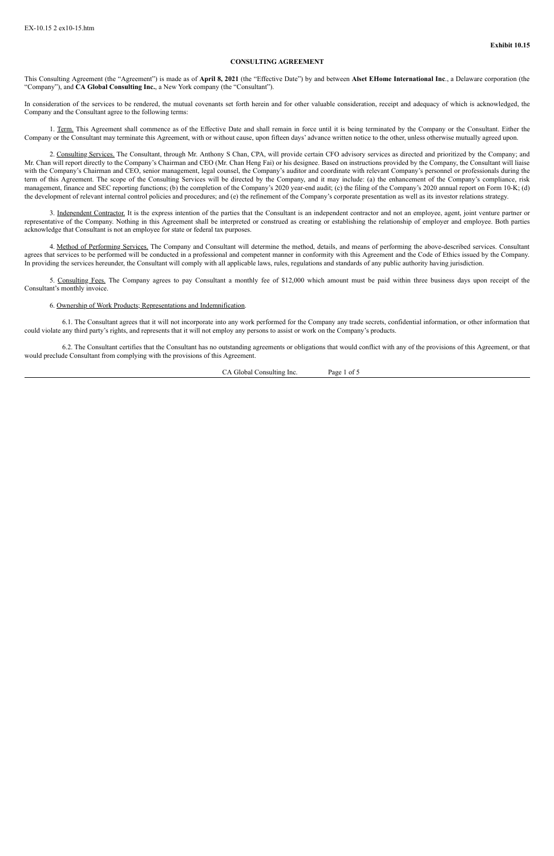## **CONSULTING AGREEMENT**

This Consulting Agreement (the "Agreement") is made as of **April 8, 2021** (the "Effective Date") by and between **Alset EHome International Inc**., a Delaware corporation (the "Company"), and **CA Global Consulting Inc.**, a New York company (the "Consultant").

In consideration of the services to be rendered, the mutual covenants set forth herein and for other valuable consideration, receipt and adequacy of which is acknowledged, the Company and the Consultant agree to the following terms:

1. Term. This Agreement shall commence as of the Effective Date and shall remain in force until it is being terminated by the Company or the Consultant. Either the Company or the Consultant may terminate this Agreement, with or without cause, upon fifteen days' advance written notice to the other, unless otherwise mutually agreed upon.

2. Consulting Services. The Consultant, through Mr. Anthony S Chan, CPA, will provide certain CFO advisory services as directed and prioritized by the Company; and Mr. Chan will report directly to the Company's Chairman and CEO (Mr. Chan Heng Fai) or his designee. Based on instructions provided by the Company, the Consultant will liaise with the Company's Chairman and CEO, senior management, legal counsel, the Company's auditor and coordinate with relevant Company's personnel or professionals during the term of this Agreement. The scope of the Consulting Services will be directed by the Company, and it may include: (a) the enhancement of the Company's compliance, risk management, finance and SEC reporting functions; (b) the completion of the Company's 2020 year-end audit; (c) the filing of the Company's 2020 annual report on Form 10-K; (d) the development of relevant internal control policies and procedures; and (e) the refinement of the Company's corporate presentation as well as its investor relations strategy.

3. Independent Contractor. It is the express intention of the parties that the Consultant is an independent contractor and not an employee, agent, joint venture partner or representative of the Company. Nothing in this Agreement shall be interpreted or construed as creating or establishing the relationship of employer and employee. Both parties acknowledge that Consultant is not an employee for state or federal tax purposes.

4. Method of Performing Services. The Company and Consultant will determine the method, details, and means of performing the above-described services. Consultant agrees that services to be performed will be conducted in a professional and competent manner in conformity with this Agreement and the Code of Ethics issued by the Company. In providing the services hereunder, the Consultant will comply with all applicable laws, rules, regulations and standards of any public authority having jurisdiction.

5. Consulting Fees. The Company agrees to pay Consultant a monthly fee of \$12,000 which amount must be paid within three business days upon receipt of the Consultant's monthly invoice.

## 6. Ownership of Work Products; Representations and Indemnification.

6.1. The Consultant agrees that it will not incorporate into any work performed for the Company any trade secrets, confidential information, or other information that could violate any third party's rights, and represents that it will not employ any persons to assist or work on the Company's products.

6.2. The Consultant certifies that the Consultant has no outstanding agreements or obligations that would conflict with any of the provisions of this Agreement, or that would preclude Consultant from complying with the provisions of this Agreement.

CA Global Consulting Inc. Page 1 of 5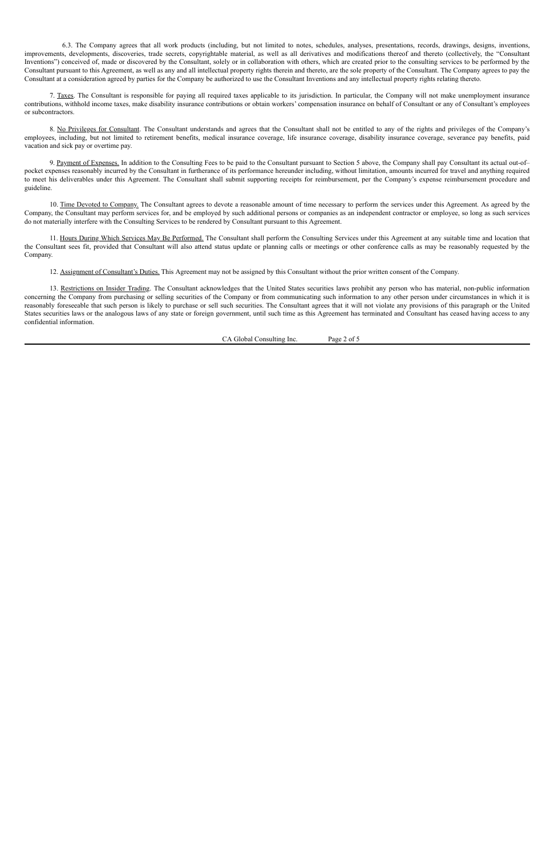6.3. The Company agrees that all work products (including, but not limited to notes, schedules, analyses, presentations, records, drawings, designs, inventions, improvements, developments, discoveries, trade secrets, copyrightable material, as well as all derivatives and modifications thereof and thereto (collectively, the "Consultant Inventions") conceived of, made or discovered by the Consultant, solely or in collaboration with others, which are created prior to the consulting services to be performed by the Consultant pursuant to this Agreement, as well as any and all intellectual property rights therein and thereto, are the sole property of the Consultant. The Company agrees to pay the Consultant at a consideration agreed by parties for the Company be authorized to use the Consultant Inventions and any intellectual property rights relating thereto.

7. Taxes. The Consultant is responsible for paying all required taxes applicable to its jurisdiction. In particular, the Company will not make unemployment insurance contributions, withhold income taxes, make disability insurance contributions or obtain workers' compensation insurance on behalf of Consultant or any of Consultant's employees or subcontractors.

8. No Privileges for Consultant. The Consultant understands and agrees that the Consultant shall not be entitled to any of the rights and privileges of the Company's employees, including, but not limited to retirement benefits, medical insurance coverage, life insurance coverage, disability insurance coverage, severance pay benefits, paid vacation and sick pay or overtime pay.

9. Payment of Expenses. In addition to the Consulting Fees to be paid to the Consultant pursuant to Section 5 above, the Company shall pay Consultant its actual out-ofpocket expenses reasonably incurred by the Consultant in furtherance of its performance hereunder including, without limitation, amounts incurred for travel and anything required to meet his deliverables under this Agreement. The Consultant shall submit supporting receipts for reimbursement, per the Company's expense reimbursement procedure and guideline.

10. Time Devoted to Company. The Consultant agrees to devote a reasonable amount of time necessary to perform the services under this Agreement. As agreed by the Company, the Consultant may perform services for, and be employed by such additional persons or companies as an independent contractor or employee, so long as such services do not materially interfere with the Consulting Services to be rendered by Consultant pursuant to this Agreement.

11. Hours During Which Services May Be Performed. The Consultant shall perform the Consulting Services under this Agreement at any suitable time and location that the Consultant sees fit, provided that Consultant will also attend status update or planning calls or meetings or other conference calls as may be reasonably requested by the Company.

12. Assignment of Consultant's Duties. This Agreement may not be assigned by this Consultant without the prior written consent of the Company.

13. Restrictions on Insider Trading. The Consultant acknowledges that the United States securities laws prohibit any person who has material, non-public information concerning the Company from purchasing or selling securities of the Company or from communicating such information to any other person under circumstances in which it is reasonably foreseeable that such person is likely to purchase or sell such securities. The Consultant agrees that it will not violate any provisions of this paragraph or the United States securities laws or the analogous laws of any state or foreign government, until such time as this Agreement has terminated and Consultant has ceased having access to any confidential information.

CA Global Consulting Inc. Page 2 of 5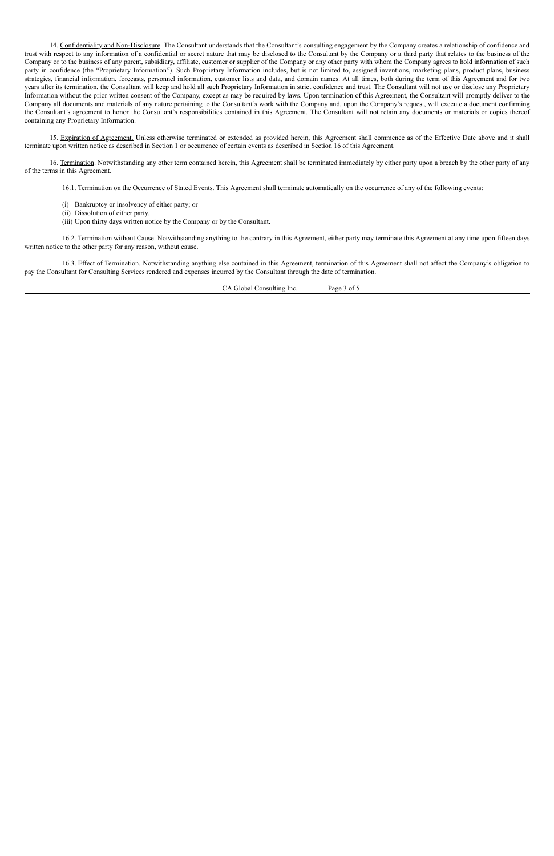14. Confidentiality and Non-Disclosure. The Consultant understands that the Consultant's consulting engagement by the Company creates a relationship of confidence and trust with respect to any information of a confidential or secret nature that may be disclosed to the Consultant by the Company or a third party that relates to the business of the Company or to the business of any parent, subsidiary, affiliate, customer or supplier of the Company or any other party with whom the Company agrees to hold information of such party in confidence (the "Proprietary Information"). Such Proprietary Information includes, but is not limited to, assigned inventions, marketing plans, product plans, business strategies, financial information, forecasts, personnel information, customer lists and data, and domain names. At all times, both during the term of this Agreement and for two years after its termination, the Consultant will keep and hold all such Proprietary Information in strict confidence and trust. The Consultant will not use or disclose any Proprietary Information without the prior written consent of the Company, except as may be required by laws. Upon termination of this Agreement, the Consultant will promptly deliver to the Company all documents and materials of any nature pertaining to the Consultant's work with the Company and, upon the Company's request, will execute a document confirming the Consultant's agreement to honor the Consultant's responsibilities contained in this Agreement. The Consultant will not retain any documents or materials or copies thereof containing any Proprietary Information.

15. Expiration of Agreement. Unless otherwise terminated or extended as provided herein, this Agreement shall commence as of the Effective Date above and it shall terminate upon written notice as described in Section 1 or occurrence of certain events as described in Section 16 of this Agreement.

16. Termination. Notwithstanding any other term contained herein, this Agreement shall be terminated immediately by either party upon a breach by the other party of any of the terms in this Agreement.

16.2. Termination without Cause. Notwithstanding anything to the contrary in this Agreement, either party may terminate this Agreement at any time upon fifteen days written notice to the other party for any reason, without cause.

16.3. Effect of Termination. Notwithstanding anything else contained in this Agreement, termination of this Agreement shall not affect the Company's obligation to pay the Consultant for Consulting Services rendered and expenses incurred by the Consultant through the date of termination.

CA Global Consulting Inc. Page 3 of 5

16.1. Termination on the Occurrence of Stated Events. This Agreement shall terminate automatically on the occurrence of any of the following events:

- (i) Bankruptcy or insolvency of either party; or
- (ii) Dissolution of either party.
- (iii) Upon thirty days written notice by the Company or by the Consultant.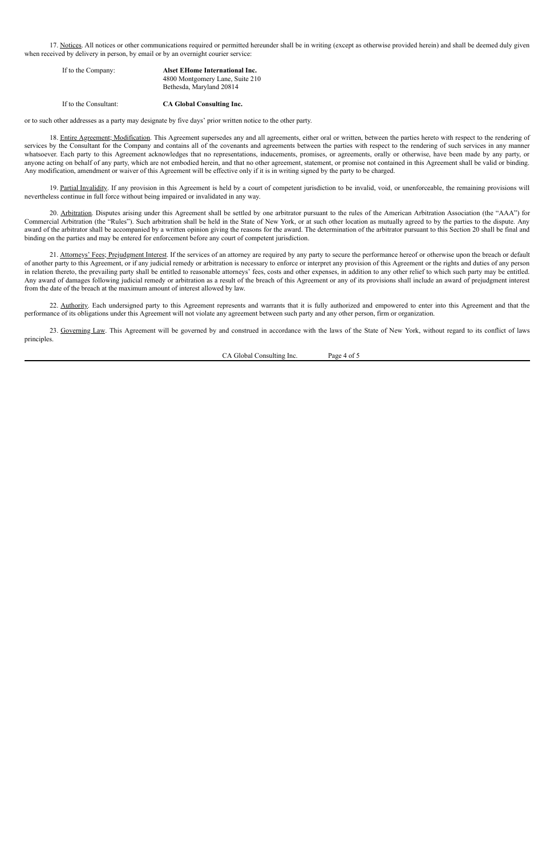17. Notices. All notices or other communications required or permitted hereunder shall be in writing (except as otherwise provided herein) and shall be deemed duly given when received by delivery in person, by email or by an overnight courier service:

| If to the Company:    | Alset EHome International Inc.<br>4800 Montgomery Lane, Suite 210<br>Bethesda, Maryland 20814 |
|-----------------------|-----------------------------------------------------------------------------------------------|
| If to the Consultant: | <b>CA Global Consulting Inc.</b>                                                              |

or to such other addresses as a party may designate by five days' prior written notice to the other party.

18. Entire Agreement; Modification. This Agreement supersedes any and all agreements, either oral or written, between the parties hereto with respect to the rendering of services by the Consultant for the Company and contains all of the covenants and agreements between the parties with respect to the rendering of such services in any manner whatsoever. Each party to this Agreement acknowledges that no representations, inducements, promises, or agreements, orally or otherwise, have been made by any party, or anyone acting on behalf of any party, which are not embodied herein, and that no other agreement, statement, or promise not contained in this Agreement shall be valid or binding. Any modification, amendment or waiver of this Agreement will be effective only if it is in writing signed by the party to be charged.

19. Partial Invalidity. If any provision in this Agreement is held by a court of competent jurisdiction to be invalid, void, or unenforceable, the remaining provisions will nevertheless continue in full force without being impaired or invalidated in any way.

20. Arbitration. Disputes arising under this Agreement shall be settled by one arbitrator pursuant to the rules of the American Arbitration Association (the "AAA") for Commercial Arbitration (the "Rules"). Such arbitration shall be held in the State of New York, or at such other location as mutually agreed to by the parties to the dispute. Any award of the arbitrator shall be accompanied by a written opinion giving the reasons for the award. The determination of the arbitrator pursuant to this Section 20 shall be final and binding on the parties and may be entered for enforcement before any court of competent jurisdiction.

21. Attorneys' Fees; Prejudgment Interest. If the services of an attorney are required by any party to secure the performance hereof or otherwise upon the breach or default of another party to this Agreement, or if any judicial remedy or arbitration is necessary to enforce or interpret any provision of this Agreement or the rights and duties of any person in relation thereto, the prevailing party shall be entitled to reasonable attorneys' fees, costs and other expenses, in addition to any other relief to which such party may be entitled. Any award of damages following judicial remedy or arbitration as a result of the breach of this Agreement or any of its provisions shall include an award of prejudgment interest from the date of the breach at the maximum amount of interest allowed by law.

22. Authority. Each undersigned party to this Agreement represents and warrants that it is fully authorized and empowered to enter into this Agreement and that the performance of its obligations under this Agreement will not violate any agreement between such party and any other person, firm or organization.

23. Governing Law. This Agreement will be governed by and construed in accordance with the laws of the State of New York, without regard to its conflict of laws principles.

CA Global Consulting Inc. Page 4 of 5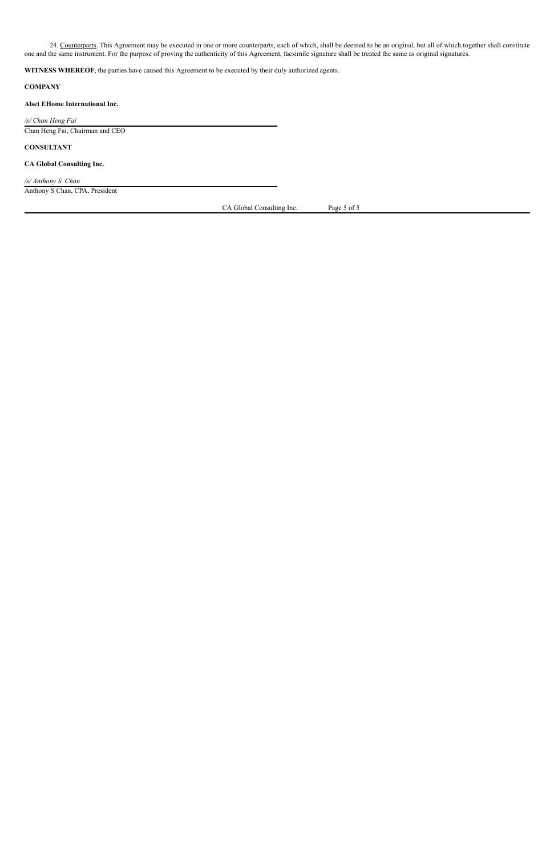24. Counterparts. This Agreement may be executed in one or more counterparts, each of which, shall be deemed to be an original, but all of which together shall constitute one and the same instrument. For the purpose of proving the authenticity of this Agreement, facsimile signature shall be treated the same as original signatures.

**WITNESS WHEREOF**, the parties have caused this Agreement to be executed by their duly authorized agents.

## **COMPANY**

## **Alset EHome International Inc.**

*/s/ Chan Heng Fai*

Chan Heng Fai, Chairman and CEO

# **CONSULTANT**

**CA Global Consulting Inc.**

*/s/ Anthony S. Chan* Anthony S Chan, CPA, President

CA Global Consulting Inc. Page 5 of 5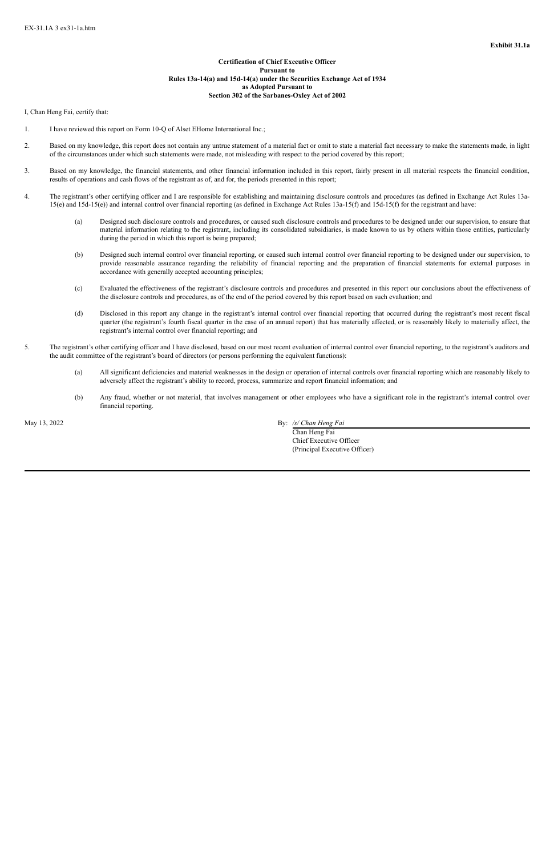## **Certification of Chief Executive Officer Pursuant to Rules 13a-14(a) and 15d-14(a) under the Securities Exchange Act of 1934 as Adopted Pursuant to Section 302 of the Sarbanes-Oxley Act of 2002**

I, Chan Heng Fai, certify that:

- 1. I have reviewed this report on Form 10-Q of Alset EHome International Inc.;
- 2. Based on my knowledge, this report does not contain any untrue statement of a material fact or omit to state a material fact necessary to make the statements made, in light of the circumstances under which such statements were made, not misleading with respect to the period covered by this report;
- 3. Based on my knowledge, the financial statements, and other financial information included in this report, fairly present in all material respects the financial condition, results of operations and cash flows of the registrant as of, and for, the periods presented in this report;
- 4. The registrant's other certifying officer and I are responsible for establishing and maintaining disclosure controls and procedures (as defined in Exchange Act Rules 13a-15(e) and 15d-15(e)) and internal control over financial reporting (as defined in Exchange Act Rules 13a-15(f) and 15d-15(f) for the registrant and have:
	- (a) Designed such disclosure controls and procedures, or caused such disclosure controls and procedures to be designed under our supervision, to ensure that material information relating to the registrant, including its consolidated subsidiaries, is made known to us by others within those entities, particularly during the period in which this report is being prepared;
	- (b) Designed such internal control over financial reporting, or caused such internal control over financial reporting to be designed under our supervision, to provide reasonable assurance regarding the reliability of financial reporting and the preparation of financial statements for external purposes in accordance with generally accepted accounting principles;
	- (c) Evaluated the effectiveness of the registrant's disclosure controls and procedures and presented in this report our conclusions about the effectiveness of the disclosure controls and procedures, as of the end of the period covered by this report based on such evaluation; and
	- (d) Disclosed in this report any change in the registrant's internal control over financial reporting that occurred during the registrant's most recent fiscal quarter (the registrant's fourth fiscal quarter in the case of an annual report) that has materially affected, or is reasonably likely to materially affect, the registrant's internal control over financial reporting; and
- 5. The registrant's other certifying officer and I have disclosed, based on our most recent evaluation of internal control over financial reporting, to the registrant's auditors and the audit committee of the registrant's board of directors (or persons performing the equivalent functions):
	- (a) All significant deficiencies and material weaknesses in the design or operation of internal controls over financial reporting which are reasonably likely to adversely affect the registrant's ability to record, process, summarize and report financial information; and
	- (b) Any fraud, whether or not material, that involves management or other employees who have a significant role in the registrant's internal control over financial reporting.

May 13, 2022 By: */s/ Chan Heng Fai*

Chan Heng Fai Chief Executive Officer (Principal Executive Officer)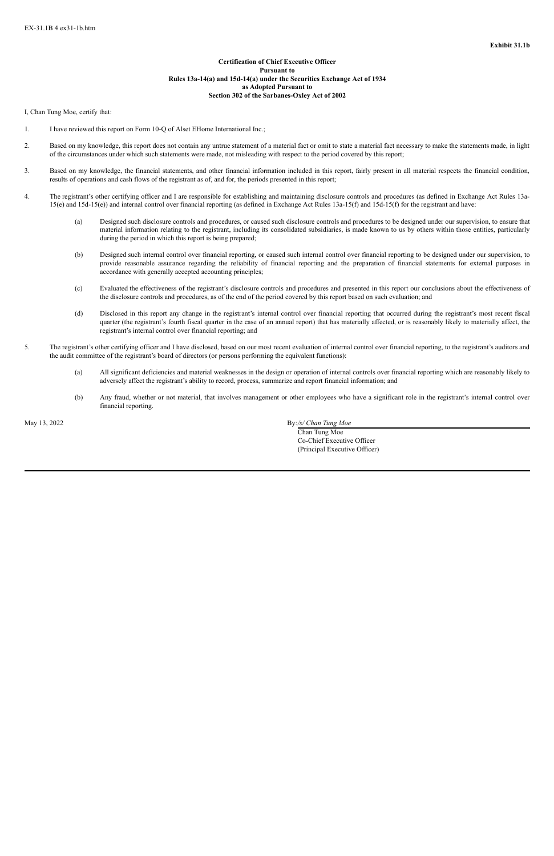## **Certification of Chief Executive Officer Pursuant to Rules 13a-14(a) and 15d-14(a) under the Securities Exchange Act of 1934 as Adopted Pursuant to Section 302 of the Sarbanes-Oxley Act of 2002**

I, Chan Tung Moe, certify that:

- 1. I have reviewed this report on Form 10-Q of Alset EHome International Inc.;
- 2. Based on my knowledge, this report does not contain any untrue statement of a material fact or omit to state a material fact necessary to make the statements made, in light of the circumstances under which such statements were made, not misleading with respect to the period covered by this report;
- 3. Based on my knowledge, the financial statements, and other financial information included in this report, fairly present in all material respects the financial condition, results of operations and cash flows of the registrant as of, and for, the periods presented in this report;
- 4. The registrant's other certifying officer and I are responsible for establishing and maintaining disclosure controls and procedures (as defined in Exchange Act Rules 13a-15(e) and 15d-15(e)) and internal control over financial reporting (as defined in Exchange Act Rules 13a-15(f) and 15d-15(f) for the registrant and have:
	- (a) Designed such disclosure controls and procedures, or caused such disclosure controls and procedures to be designed under our supervision, to ensure that material information relating to the registrant, including its consolidated subsidiaries, is made known to us by others within those entities, particularly during the period in which this report is being prepared;
	- (b) Designed such internal control over financial reporting, or caused such internal control over financial reporting to be designed under our supervision, to provide reasonable assurance regarding the reliability of financial reporting and the preparation of financial statements for external purposes in accordance with generally accepted accounting principles;
	- (c) Evaluated the effectiveness of the registrant's disclosure controls and procedures and presented in this report our conclusions about the effectiveness of the disclosure controls and procedures, as of the end of the period covered by this report based on such evaluation; and
	- (d) Disclosed in this report any change in the registrant's internal control over financial reporting that occurred during the registrant's most recent fiscal quarter (the registrant's fourth fiscal quarter in the case of an annual report) that has materially affected, or is reasonably likely to materially affect, the registrant's internal control over financial reporting; and
- 5. The registrant's other certifying officer and I have disclosed, based on our most recent evaluation of internal control over financial reporting, to the registrant's auditors and the audit committee of the registrant's board of directors (or persons performing the equivalent functions):
	- (a) All significant deficiencies and material weaknesses in the design or operation of internal controls over financial reporting which are reasonably likely to adversely affect the registrant's ability to record, process, summarize and report financial information; and
	- (b) Any fraud, whether or not material, that involves management or other employees who have a significant role in the registrant's internal control over financial reporting.

May 13, 2022 By:*/s/ Chan Tung Moe*

Chan Tung Moe Co-Chief Executive Officer (Principal Executive Officer)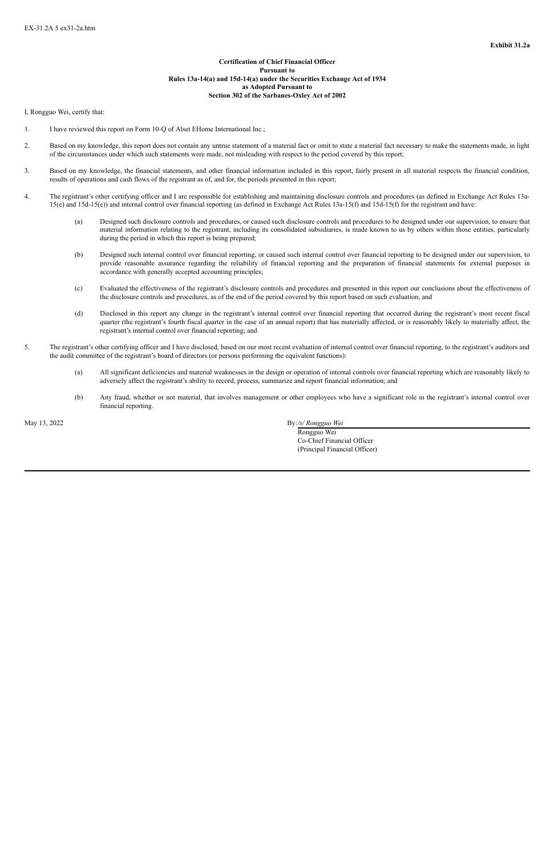## **Certification of Chief Financial Officer Pursuant to Rules 13a-14(a) and 15d-14(a) under the Securities Exchange Act of 1934 as Adopted Pursuant to Section 302 of the Sarbanes-Oxley Act of 2002**

I, Rongguo Wei, certify that:

- 1. I have reviewed this report on Form 10-Q of Alset EHome International Inc.;
- 2. Based on my knowledge, this report does not contain any untrue statement of a material fact or omit to state a material fact necessary to make the statements made, in light of the circumstances under which such statements were made, not misleading with respect to the period covered by this report;
- 3. Based on my knowledge, the financial statements, and other financial information included in this report, fairly present in all material respects the financial condition, results of operations and cash flows of the registrant as of, and for, the periods presented in this report;
- 4. The registrant's other certifying officer and I are responsible for establishing and maintaining disclosure controls and procedures (as defined in Exchange Act Rules 13a-15(e) and 15d-15(e)) and internal control over financial reporting (as defined in Exchange Act Rules 13a-15(f) and 15d-15(f) for the registrant and have:
	- (a) Designed such disclosure controls and procedures, or caused such disclosure controls and procedures to be designed under our supervision, to ensure that material information relating to the registrant, including its consolidated subsidiaries, is made known to us by others within those entities, particularly during the period in which this report is being prepared;
	- (b) Designed such internal control over financial reporting, or caused such internal control over financial reporting to be designed under our supervision, to provide reasonable assurance regarding the reliability of financial reporting and the preparation of financial statements for external purposes in accordance with generally accepted accounting principles;
	- (c) Evaluated the effectiveness of the registrant's disclosure controls and procedures and presented in this report our conclusions about the effectiveness of the disclosure controls and procedures, as of the end of the period covered by this report based on such evaluation; and
	- (d) Disclosed in this report any change in the registrant's internal control over financial reporting that occurred during the registrant's most recent fiscal quarter (the registrant's fourth fiscal quarter in the case of an annual report) that has materially affected, or is reasonably likely to materially affect, the registrant's internal control over financial reporting; and
- 5. The registrant's other certifying officer and I have disclosed, based on our most recent evaluation of internal control over financial reporting, to the registrant's auditors and the audit committee of the registrant's board of directors (or persons performing the equivalent functions):
	- (a) All significant deficiencies and material weaknesses in the design or operation of internal controls over financial reporting which are reasonably likely to adversely affect the registrant's ability to record, process, summarize and report financial information; and
	- (b) Any fraud, whether or not material, that involves management or other employees who have a significant role in the registrant's internal control over financial reporting.

May 13, 2022 By:*/s/ Rongguo Wei*

Rongguo Wei Co-Chief Financial Officer (Principal Financial Officer)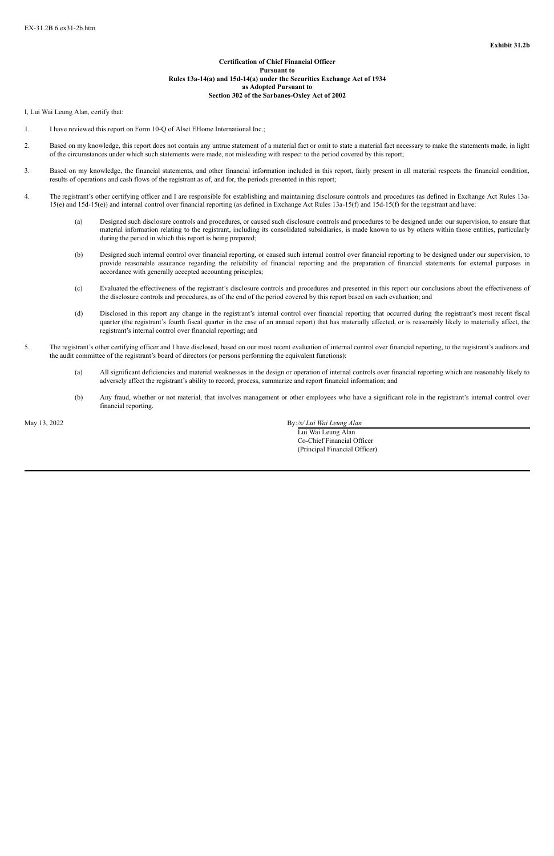## **Certification of Chief Financial Officer Pursuant to Rules 13a-14(a) and 15d-14(a) under the Securities Exchange Act of 1934 as Adopted Pursuant to Section 302 of the Sarbanes-Oxley Act of 2002**

I, Lui Wai Leung Alan, certify that:

- 1. I have reviewed this report on Form 10-Q of Alset EHome International Inc.;
- 2. Based on my knowledge, this report does not contain any untrue statement of a material fact or omit to state a material fact necessary to make the statements made, in light of the circumstances under which such statements were made, not misleading with respect to the period covered by this report;
- 3. Based on my knowledge, the financial statements, and other financial information included in this report, fairly present in all material respects the financial condition, results of operations and cash flows of the registrant as of, and for, the periods presented in this report;
- 4. The registrant's other certifying officer and I are responsible for establishing and maintaining disclosure controls and procedures (as defined in Exchange Act Rules 13a-15(e) and 15d-15(e)) and internal control over financial reporting (as defined in Exchange Act Rules 13a-15(f) and 15d-15(f) for the registrant and have:
	- (a) Designed such disclosure controls and procedures, or caused such disclosure controls and procedures to be designed under our supervision, to ensure that material information relating to the registrant, including its consolidated subsidiaries, is made known to us by others within those entities, particularly during the period in which this report is being prepared;
	- (b) Designed such internal control over financial reporting, or caused such internal control over financial reporting to be designed under our supervision, to provide reasonable assurance regarding the reliability of financial reporting and the preparation of financial statements for external purposes in accordance with generally accepted accounting principles;
	- (c) Evaluated the effectiveness of the registrant's disclosure controls and procedures and presented in this report our conclusions about the effectiveness of the disclosure controls and procedures, as of the end of the period covered by this report based on such evaluation; and
	- (d) Disclosed in this report any change in the registrant's internal control over financial reporting that occurred during the registrant's most recent fiscal quarter (the registrant's fourth fiscal quarter in the case of an annual report) that has materially affected, or is reasonably likely to materially affect, the registrant's internal control over financial reporting; and
- 5. The registrant's other certifying officer and I have disclosed, based on our most recent evaluation of internal control over financial reporting, to the registrant's auditors and the audit committee of the registrant's board of directors (or persons performing the equivalent functions):
	- (a) All significant deficiencies and material weaknesses in the design or operation of internal controls over financial reporting which are reasonably likely to adversely affect the registrant's ability to record, process, summarize and report financial information; and
	- (b) Any fraud, whether or not material, that involves management or other employees who have a significant role in the registrant's internal control over financial reporting.

May 13, 2022 By:*/s/ Lui Wai Leung Alan*

Lui Wai Leung Alan Co-Chief Financial Officer (Principal Financial Officer)